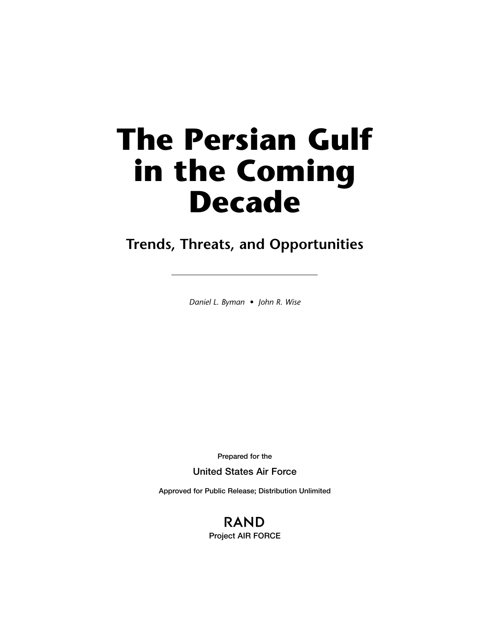# **The Persian Gulf in the Coming Decade**

**Trends, Threats, and Opportunities**

*Daniel L. Byman • John R. Wise*

**Prepared for the** 

**United States Air Force**

**Approved for Public Release; Distribution Unlimited**

**Project AIR FORCE RAND**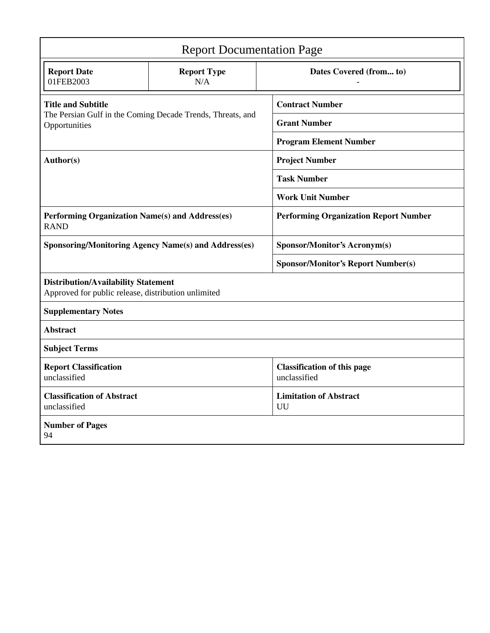| <b>Report Documentation Page</b>                                                                  |                                                            |                                                    |  |  |  |  |
|---------------------------------------------------------------------------------------------------|------------------------------------------------------------|----------------------------------------------------|--|--|--|--|
| <b>Report Date</b><br>01FEB2003                                                                   | <b>Report Type</b><br>N/A                                  | Dates Covered (from to)                            |  |  |  |  |
| <b>Title and Subtitle</b>                                                                         |                                                            | <b>Contract Number</b>                             |  |  |  |  |
| Opportunities                                                                                     | The Persian Gulf in the Coming Decade Trends, Threats, and | <b>Grant Number</b>                                |  |  |  |  |
|                                                                                                   |                                                            | <b>Program Element Number</b>                      |  |  |  |  |
| Author(s)                                                                                         |                                                            | <b>Project Number</b>                              |  |  |  |  |
|                                                                                                   |                                                            | <b>Task Number</b>                                 |  |  |  |  |
|                                                                                                   |                                                            | <b>Work Unit Number</b>                            |  |  |  |  |
| Performing Organization Name(s) and Address(es)<br><b>RAND</b>                                    |                                                            | <b>Performing Organization Report Number</b>       |  |  |  |  |
| <b>Sponsoring/Monitoring Agency Name(s) and Address(es)</b>                                       |                                                            | <b>Sponsor/Monitor's Acronym(s)</b>                |  |  |  |  |
|                                                                                                   |                                                            | <b>Sponsor/Monitor's Report Number(s)</b>          |  |  |  |  |
| <b>Distribution/Availability Statement</b><br>Approved for public release, distribution unlimited |                                                            |                                                    |  |  |  |  |
| <b>Supplementary Notes</b>                                                                        |                                                            |                                                    |  |  |  |  |
| <b>Abstract</b>                                                                                   |                                                            |                                                    |  |  |  |  |
| <b>Subject Terms</b>                                                                              |                                                            |                                                    |  |  |  |  |
| <b>Report Classification</b><br>unclassified                                                      |                                                            | <b>Classification of this page</b><br>unclassified |  |  |  |  |
| <b>Classification of Abstract</b><br>unclassified                                                 |                                                            | <b>Limitation of Abstract</b><br>UU                |  |  |  |  |
| <b>Number of Pages</b><br>94                                                                      |                                                            |                                                    |  |  |  |  |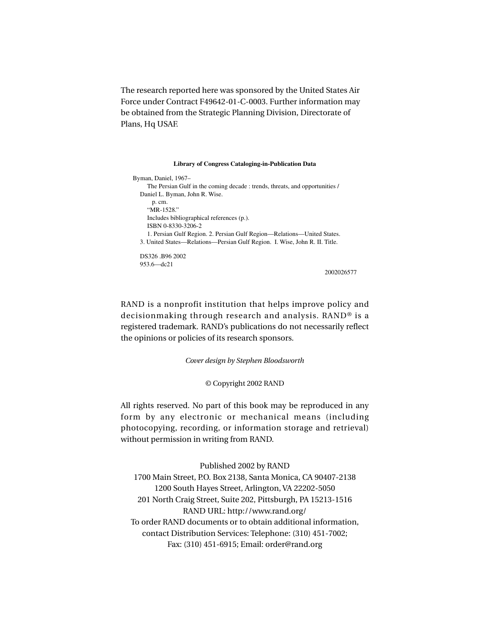The research reported here was sponsored by the United States Air Force under Contract F49642-01-C-0003. Further information may be obtained from the Strategic Planning Division, Directorate of Plans, Hq USAF.

#### **Library of Congress Cataloging-in-Publication Data**

Byman, Daniel, 1967– The Persian Gulf in the coming decade : trends, threats, and opportunities / Daniel L. Byman, John R. Wise. p. cm. "MR-1528." Includes bibliographical references (p.). ISBN 0-8330-3206-2 1. Persian Gulf Region. 2. Persian Gulf Region—Relations—United States. 3. United States—Relations—Persian Gulf Region. I. Wise, John R. II. Title. DS326 .B96 2002

953.6—dc21

2002026577

RAND is a nonprofit institution that helps improve policy and decisionmaking through research and analysis. RAND® is a registered trademark. RAND's publications do not necessarily reflect the opinions or policies of its research sponsors.

*Cover design by Stephen Bloodsworth*

#### © Copyright 2002 RAND

All rights reserved. No part of this book may be reproduced in any form by any electronic or mechanical means (including photocopying, recording, or information storage and retrieval) without permission in writing from RAND.

Published 2002 by RAND

1700 Main Street, P.O. Box 2138, Santa Monica, CA 90407-2138 1200 South Hayes Street, Arlington, VA 22202-5050 201 North Craig Street, Suite 202, Pittsburgh, PA 15213-1516 RAND URL: http://www.rand.org/ To order RAND documents or to obtain additional information, contact Distribution Services: Telephone: (310) 451-7002; Fax: (310) 451-6915; Email: order@rand.org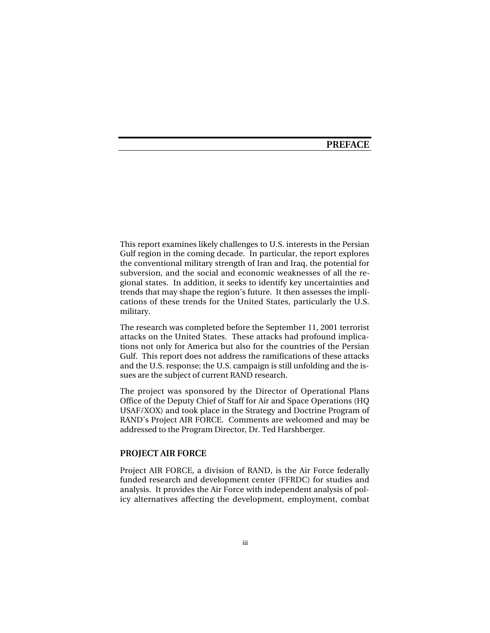## **PREFACE**

This report examines likely challenges to U.S. interests in the Persian Gulf region in the coming decade. In particular, the report explores the conventional military strength of Iran and Iraq, the potential for subversion, and the social and economic weaknesses of all the regional states. In addition, it seeks to identify key uncertainties and trends that may shape the region's future. It then assesses the implications of these trends for the United States, particularly the U.S. military.

The research was completed before the September 11, 2001 terrorist attacks on the United States. These attacks had profound implications not only for America but also for the countries of the Persian Gulf. This report does not address the ramifications of these attacks and the U.S. response; the U.S. campaign is still unfolding and the issues are the subject of current RAND research.

The project was sponsored by the Director of Operational Plans Office of the Deputy Chief of Staff for Air and Space Operations (HQ USAF/XOX) and took place in the Strategy and Doctrine Program of RAND's Project AIR FORCE. Comments are welcomed and may be addressed to the Program Director, Dr. Ted Harshberger.

#### **PROJECT AIR FORCE**

Project AIR FORCE, a division of RAND, is the Air Force federally funded research and development center (FFRDC) for studies and analysis. It provides the Air Force with independent analysis of policy alternatives affecting the development, employment, combat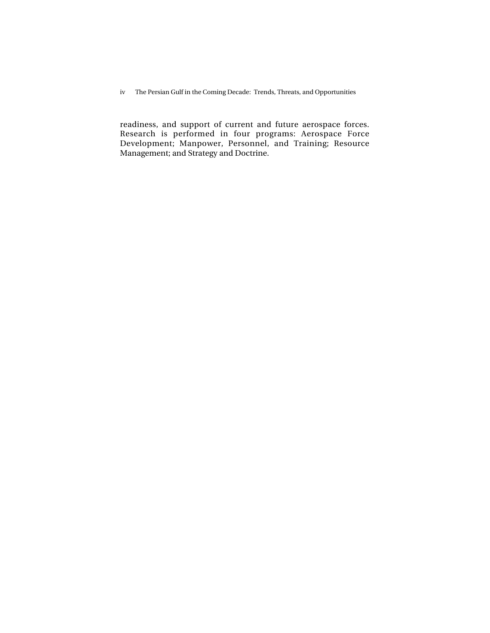readiness, and support of current and future aerospace forces. Research is performed in four programs: Aerospace Force Development; Manpower, Personnel, and Training; Resource Management; and Strategy and Doctrine.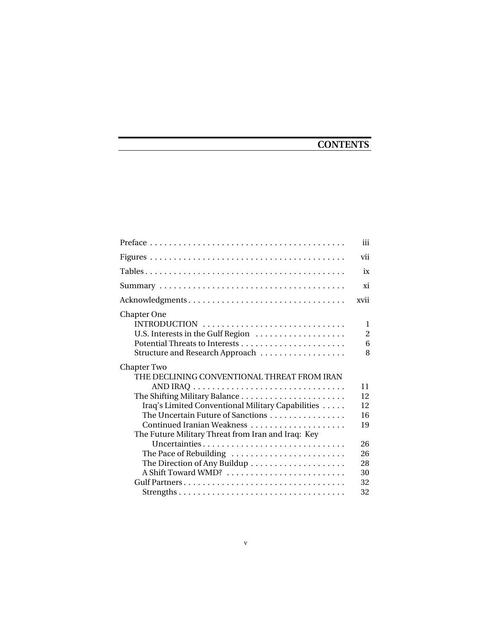# **CONTENTS**

|                                                                                                                                                                                                                                          | iii                           |
|------------------------------------------------------------------------------------------------------------------------------------------------------------------------------------------------------------------------------------------|-------------------------------|
|                                                                                                                                                                                                                                          | vii                           |
|                                                                                                                                                                                                                                          | ix                            |
|                                                                                                                                                                                                                                          | xi                            |
| Acknowledgments                                                                                                                                                                                                                          | xvii                          |
| <b>Chapter One</b><br>INTRODUCTION<br>U.S. Interests in the Gulf Region<br>Structure and Research Approach                                                                                                                               | 1<br>$\overline{2}$<br>6<br>8 |
| Chapter Two<br>THE DECLINING CONVENTIONAL THREAT FROM IRAN<br>Iraq's Limited Conventional Military Capabilities<br>The Uncertain Future of Sanctions<br>Continued Iranian Weakness<br>The Future Military Threat from Iran and Iraq: Key | 11<br>12<br>12<br>16<br>19    |
| Uncertainties<br>The Pace of Rebuilding $\dots\dots\dots\dots\dots\dots\dots\dots\dots$<br>A Shift Toward WMD?                                                                                                                           | 26<br>26<br>28<br>30          |
|                                                                                                                                                                                                                                          | 32<br>32                      |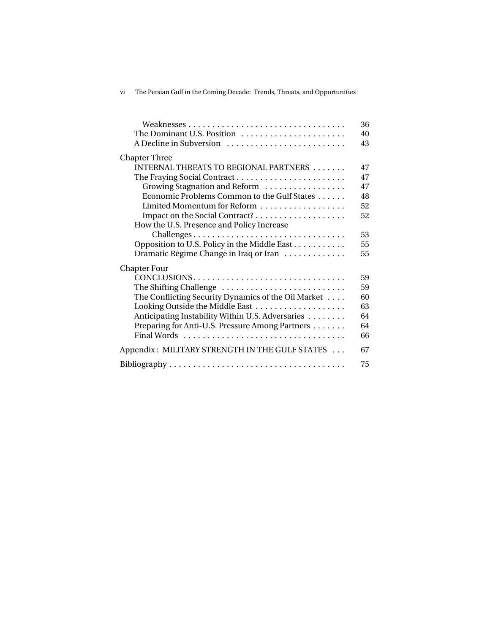|                                                     | 36 |
|-----------------------------------------------------|----|
| The Dominant U.S. Position                          | 40 |
| A Decline in Subversion                             | 43 |
| <b>Chapter Three</b>                                |    |
| INTERNAL THREATS TO REGIONAL PARTNERS               | 47 |
|                                                     | 47 |
| Growing Stagnation and Reform                       | 47 |
| Economic Problems Common to the Gulf States         | 48 |
| Limited Momentum for Reform                         | 52 |
|                                                     | 52 |
| How the U.S. Presence and Policy Increase           |    |
| Challenges                                          | 53 |
| Opposition to U.S. Policy in the Middle East        | 55 |
| Dramatic Regime Change in Iraq or Iran              | 55 |
| <b>Chapter Four</b>                                 |    |
| CONCLUSIONS                                         | 59 |
| The Shifting Challenge                              | 59 |
| The Conflicting Security Dynamics of the Oil Market | 60 |
| Looking Outside the Middle East                     | 63 |
| Anticipating Instability Within U.S. Adversaries    | 64 |
| Preparing for Anti-U.S. Pressure Among Partners     | 64 |
|                                                     | 66 |
|                                                     |    |
| Appendix: MILITARY STRENGTH IN THE GULF STATES      | 67 |
|                                                     | 75 |
|                                                     |    |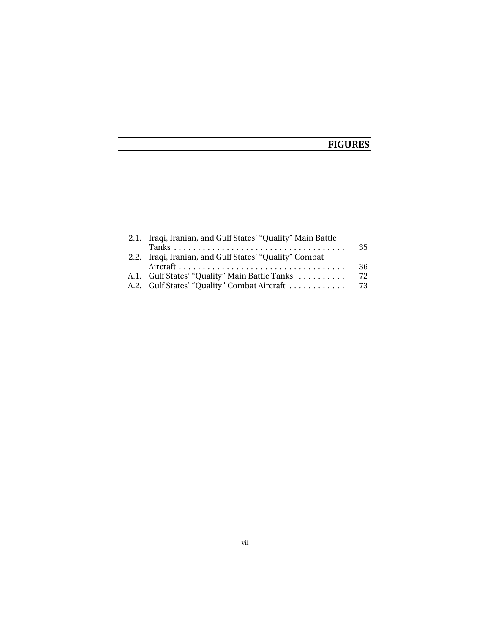# **FIGURES**

| 2.1. Iraqi, Iranian, and Gulf States' "Quality" Main Battle |     |
|-------------------------------------------------------------|-----|
|                                                             | -35 |
| 2.2. Iraqi, Iranian, and Gulf States' "Quality" Combat      |     |
|                                                             | -36 |
| A.1. Gulf States' "Quality" Main Battle Tanks               | -72 |
|                                                             |     |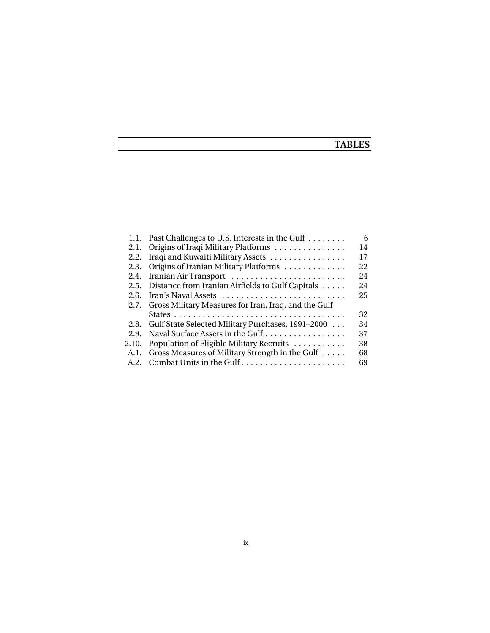# **TABLES**

| 1.1.  | Past Challenges to U.S. Interests in the Gulf             | 6  |
|-------|-----------------------------------------------------------|----|
| 2.1.  | Origins of Iraqi Military Platforms                       | 14 |
| 2.2.  | Iraqi and Kuwaiti Military Assets                         | 17 |
| 2.3.  | Origins of Iranian Military Platforms                     | 22 |
| 2.4.  | Iranian Air Transport                                     | 24 |
| 2.5.  | Distance from Iranian Airfields to Gulf Capitals          | 24 |
| 2.6.  |                                                           | 25 |
|       | 2.7. Gross Military Measures for Iran, Iraq, and the Gulf |    |
|       |                                                           | 32 |
| 2.8.  | Gulf State Selected Military Purchases, 1991–2000         | 34 |
| 2.9.  | Naval Surface Assets in the Gulf                          | 37 |
| 2.10. | Population of Eligible Military Recruits                  | 38 |
| A.1.  | Gross Measures of Military Strength in the Gulf           | 68 |
| A.2.  |                                                           | 69 |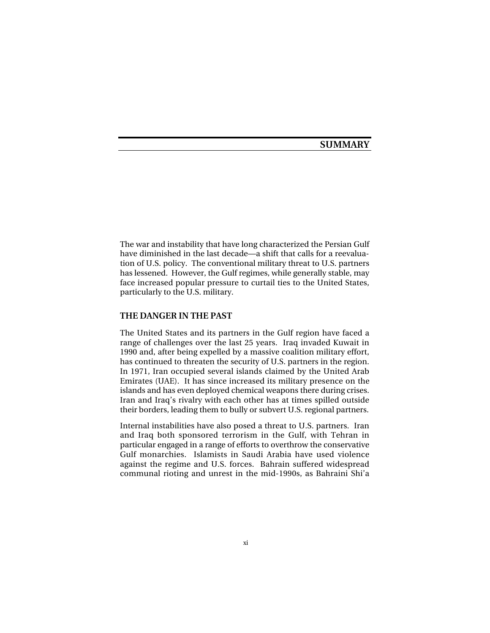## **SUMMARY**

The war and instability that have long characterized the Persian Gulf have diminished in the last decade—a shift that calls for a reevaluation of U.S. policy. The conventional military threat to U.S. partners has lessened. However, the Gulf regimes, while generally stable, may face increased popular pressure to curtail ties to the United States, particularly to the U.S. military.

# **THE DANGER IN THE PAST**

The United States and its partners in the Gulf region have faced a range of challenges over the last 25 years. Iraq invaded Kuwait in 1990 and, after being expelled by a massive coalition military effort, has continued to threaten the security of U.S. partners in the region. In 1971, Iran occupied several islands claimed by the United Arab Emirates (UAE). It has since increased its military presence on the islands and has even deployed chemical weapons there during crises. Iran and Iraq's rivalry with each other has at times spilled outside their borders, leading them to bully or subvert U.S. regional partners.

Internal instabilities have also posed a threat to U.S. partners. Iran and Iraq both sponsored terrorism in the Gulf, with Tehran in particular engaged in a range of efforts to overthrow the conservative Gulf monarchies. Islamists in Saudi Arabia have used violence against the regime and U.S. forces. Bahrain suffered widespread communal rioting and unrest in the mid-1990s, as Bahraini Shi'a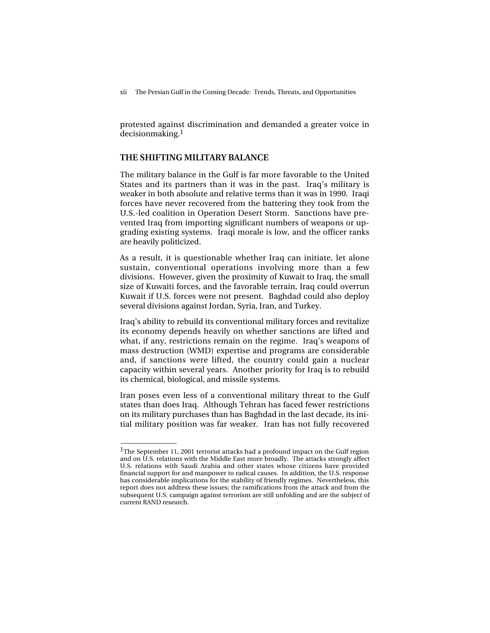protested against discrimination and demanded a greater voice in decisionmaking.<sup>1</sup>

#### **THE SHIFTING MILITARY BALANCE**

\_\_\_\_\_\_\_\_\_\_\_\_\_\_

The military balance in the Gulf is far more favorable to the United States and its partners than it was in the past. Iraq's military is weaker in both absolute and relative terms than it was in 1990. Iraqi forces have never recovered from the battering they took from the U.S.-led coalition in Operation Desert Storm. Sanctions have prevented Iraq from importing significant numbers of weapons or upgrading existing systems. Iraqi morale is low, and the officer ranks are heavily politicized.

As a result, it is questionable whether Iraq can initiate, let alone sustain, conventional operations involving more than a few divisions. However, given the proximity of Kuwait to Iraq, the small size of Kuwaiti forces, and the favorable terrain, Iraq could overrun Kuwait if U.S. forces were not present. Baghdad could also deploy several divisions against Jordan, Syria, Iran, and Turkey.

Iraq's ability to rebuild its conventional military forces and revitalize its economy depends heavily on whether sanctions are lifted and what, if any, restrictions remain on the regime. Iraq's weapons of mass destruction (WMD) expertise and programs are considerable and, if sanctions were lifted, the country could gain a nuclear capacity within several years. Another priority for Iraq is to rebuild its chemical, biological, and missile systems.

Iran poses even less of a conventional military threat to the Gulf states than does Iraq. Although Tehran has faced fewer restrictions on its military purchases than has Baghdad in the last decade, its initial military position was far weaker. Iran has not fully recovered

<sup>&</sup>lt;sup>1</sup>The September 11, 2001 terrorist attacks had a profound impact on the Gulf region and on U.S. relations with the Middle East more broadly. The attacks strongly affect U.S. relations with Saudi Arabia and other states whose citizens have provided financial support for and manpower to radical causes. In addition, the U.S. response has considerable implications for the stability of friendly regimes. Nevertheless, this report does not address these issues; the ramifications from the attack and from the subsequent U.S. campaign against terrorism are still unfolding and are the subject of current RAND research.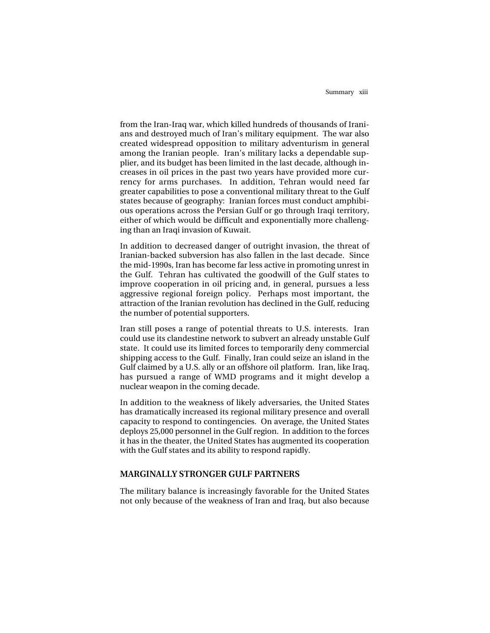Summary xiii

from the Iran-Iraq war, which killed hundreds of thousands of Iranians and destroyed much of Iran's military equipment. The war also created widespread opposition to military adventurism in general among the Iranian people. Iran's military lacks a dependable supplier, and its budget has been limited in the last decade, although increases in oil prices in the past two years have provided more currency for arms purchases. In addition, Tehran would need far greater capabilities to pose a conventional military threat to the Gulf states because of geography: Iranian forces must conduct amphibious operations across the Persian Gulf or go through Iraqi territory, either of which would be difficult and exponentially more challenging than an Iraqi invasion of Kuwait.

In addition to decreased danger of outright invasion, the threat of Iranian-backed subversion has also fallen in the last decade. Since the mid-1990s, Iran has become far less active in promoting unrest in the Gulf. Tehran has cultivated the goodwill of the Gulf states to improve cooperation in oil pricing and, in general, pursues a less aggressive regional foreign policy. Perhaps most important, the attraction of the Iranian revolution has declined in the Gulf, reducing the number of potential supporters.

Iran still poses a range of potential threats to U.S. interests. Iran could use its clandestine network to subvert an already unstable Gulf state. It could use its limited forces to temporarily deny commercial shipping access to the Gulf. Finally, Iran could seize an island in the Gulf claimed by a U.S. ally or an offshore oil platform. Iran, like Iraq, has pursued a range of WMD programs and it might develop a nuclear weapon in the coming decade.

In addition to the weakness of likely adversaries, the United States has dramatically increased its regional military presence and overall capacity to respond to contingencies. On average, the United States deploys 25,000 personnel in the Gulf region. In addition to the forces it has in the theater, the United States has augmented its cooperation with the Gulf states and its ability to respond rapidly.

# **MARGINALLY STRONGER GULF PARTNERS**

The military balance is increasingly favorable for the United States not only because of the weakness of Iran and Iraq, but also because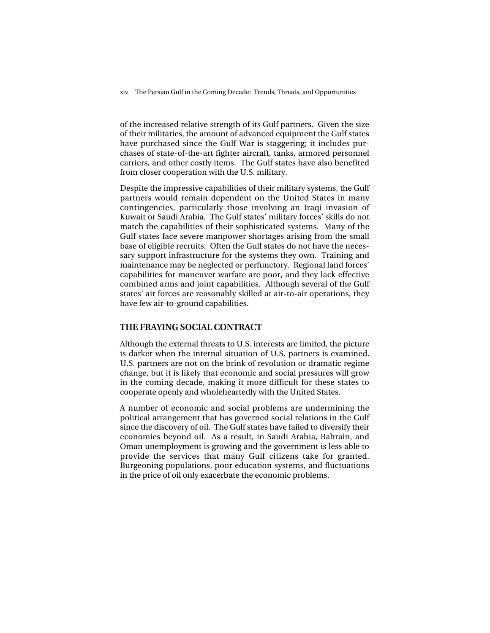of the increased relative strength of its Gulf partners. Given the size of their militaries, the amount of advanced equipment the Gulf states have purchased since the Gulf War is staggering; it includes purchases of state-of-the-art fighter aircraft, tanks, armored personnel carriers, and other costly items. The Gulf states have also benefited from closer cooperation with the U.S. military.

Despite the impressive capabilities of their military systems, the Gulf partners would remain dependent on the United States in many contingencies, particularly those involving an Iraqi invasion of Kuwait or Saudi Arabia. The Gulf states' military forces' skills do not match the capabilities of their sophisticated systems. Many of the Gulf states face severe manpower shortages arising from the small base of eligible recruits. Often the Gulf states do not have the necessary support infrastructure for the systems they own. Training and maintenance may be neglected or perfunctory. Regional land forces' capabilities for maneuver warfare are poor, and they lack effective combined arms and joint capabilities. Although several of the Gulf states' air forces are reasonably skilled at air-to-air operations, they have few air-to-ground capabilities.

#### **THE FRAYING SOCIAL CONTRACT**

Although the external threats to U.S. interests are limited, the picture is darker when the internal situation of U.S. partners is examined. U.S. partners are not on the brink of revolution or dramatic regime change, but it is likely that economic and social pressures will grow in the coming decade, making it more difficult for these states to cooperate openly and wholeheartedly with the United States.

A number of economic and social problems are undermining the political arrangement that has governed social relations in the Gulf since the discovery of oil. The Gulf states have failed to diversify their economies beyond oil. As a result, in Saudi Arabia, Bahrain, and Oman unemployment is growing and the government is less able to provide the services that many Gulf citizens take for granted. Burgeoning populations, poor education systems, and fluctuations in the price of oil only exacerbate the economic problems.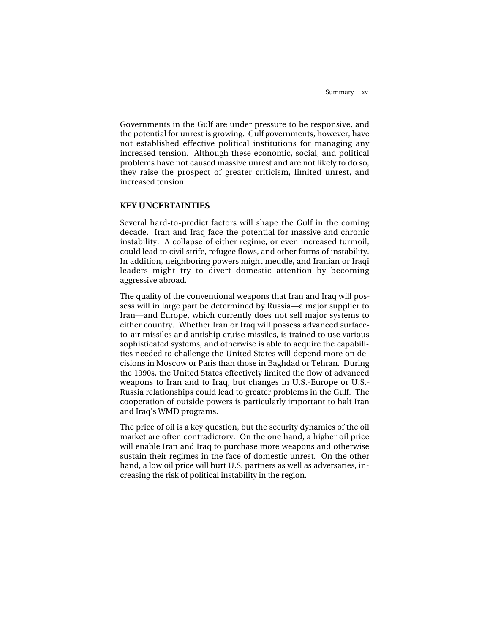Governments in the Gulf are under pressure to be responsive, and the potential for unrest is growing. Gulf governments, however, have not established effective political institutions for managing any increased tension. Although these economic, social, and political problems have not caused massive unrest and are not likely to do so, they raise the prospect of greater criticism, limited unrest, and increased tension.

#### **KEY UNCERTAINTIES**

Several hard-to-predict factors will shape the Gulf in the coming decade. Iran and Iraq face the potential for massive and chronic instability. A collapse of either regime, or even increased turmoil, could lead to civil strife, refugee flows, and other forms of instability. In addition, neighboring powers might meddle, and Iranian or Iraqi leaders might try to divert domestic attention by becoming aggressive abroad.

The quality of the conventional weapons that Iran and Iraq will possess will in large part be determined by Russia—a major supplier to Iran—and Europe, which currently does not sell major systems to either country. Whether Iran or Iraq will possess advanced surfaceto-air missiles and antiship cruise missiles, is trained to use various sophisticated systems, and otherwise is able to acquire the capabilities needed to challenge the United States will depend more on decisions in Moscow or Paris than those in Baghdad or Tehran. During the 1990s, the United States effectively limited the flow of advanced weapons to Iran and to Iraq, but changes in U.S.-Europe or U.S.- Russia relationships could lead to greater problems in the Gulf. The cooperation of outside powers is particularly important to halt Iran and Iraq's WMD programs.

The price of oil is a key question, but the security dynamics of the oil market are often contradictory. On the one hand, a higher oil price will enable Iran and Iraq to purchase more weapons and otherwise sustain their regimes in the face of domestic unrest. On the other hand, a low oil price will hurt U.S. partners as well as adversaries, increasing the risk of political instability in the region.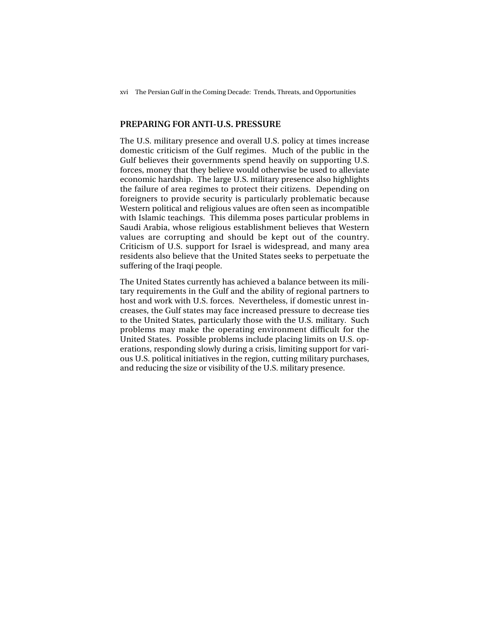#### **PREPARING FOR ANTI-U.S. PRESSURE**

The U.S. military presence and overall U.S. policy at times increase domestic criticism of the Gulf regimes. Much of the public in the Gulf believes their governments spend heavily on supporting U.S. forces, money that they believe would otherwise be used to alleviate economic hardship. The large U.S. military presence also highlights the failure of area regimes to protect their citizens. Depending on foreigners to provide security is particularly problematic because Western political and religious values are often seen as incompatible with Islamic teachings. This dilemma poses particular problems in Saudi Arabia, whose religious establishment believes that Western values are corrupting and should be kept out of the country. Criticism of U.S. support for Israel is widespread, and many area residents also believe that the United States seeks to perpetuate the suffering of the Iraqi people.

The United States currently has achieved a balance between its military requirements in the Gulf and the ability of regional partners to host and work with U.S. forces. Nevertheless, if domestic unrest increases, the Gulf states may face increased pressure to decrease ties to the United States, particularly those with the U.S. military. Such problems may make the operating environment difficult for the United States. Possible problems include placing limits on U.S. operations, responding slowly during a crisis, limiting support for various U.S. political initiatives in the region, cutting military purchases, and reducing the size or visibility of the U.S. military presence.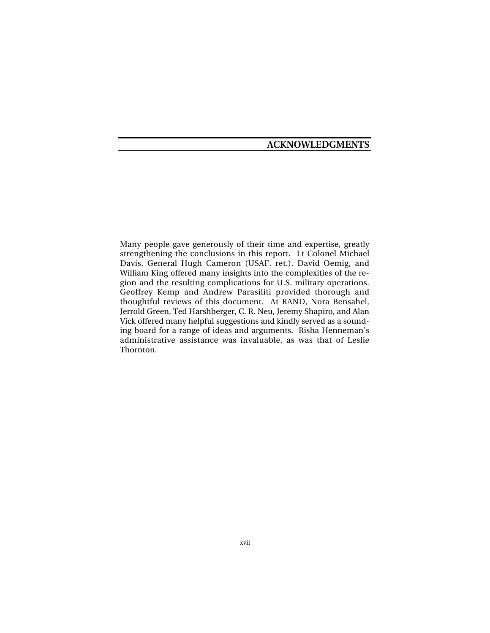# **ACKNOWLEDGMENTS**

Many people gave generously of their time and expertise, greatly strengthening the conclusions in this report. Lt Colonel Michael Davis, General Hugh Cameron (USAF, ret.), David Oemig, and William King offered many insights into the complexities of the region and the resulting complications for U.S. military operations. Geoffrey Kemp and Andrew Parasiliti provided thorough and thoughtful reviews of this document. At RAND, Nora Bensahel, Jerrold Green, Ted Harshberger, C. R. Neu, Jeremy Shapiro, and Alan Vick offered many helpful suggestions and kindly served as a sounding board for a range of ideas and arguments. Risha Henneman's administrative assistance was invaluable, as was that of Leslie Thornton.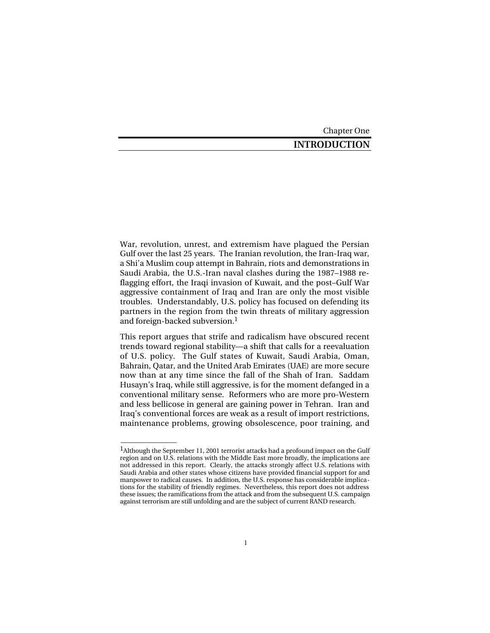#### Chapter One

## **INTRODUCTION**

War, revolution, unrest, and extremism have plagued the Persian Gulf over the last 25 years. The Iranian revolution, the Iran-Iraq war, a Shi'a Muslim coup attempt in Bahrain, riots and demonstrations in Saudi Arabia, the U.S.-Iran naval clashes during the 1987–1988 reflagging effort, the Iraqi invasion of Kuwait, and the post–Gulf War aggressive containment of Iraq and Iran are only the most visible troubles. Understandably, U.S. policy has focused on defending its partners in the region from the twin threats of military aggression and foreign-backed subversion.<sup>1</sup>

This report argues that strife and radicalism have obscured recent trends toward regional stability—a shift that calls for a reevaluation of U.S. policy. The Gulf states of Kuwait, Saudi Arabia, Oman, Bahrain, Qatar, and the United Arab Emirates (UAE) are more secure now than at any time since the fall of the Shah of Iran. Saddam Husayn's Iraq, while still aggressive, is for the moment defanged in a conventional military sense. Reformers who are more pro-Western and less bellicose in general are gaining power in Tehran. Iran and Iraq's conventional forces are weak as a result of import restrictions, maintenance problems, growing obsolescence, poor training, and

 $\overline{\phantom{a}}$ 

<sup>&</sup>lt;sup>1</sup>Although the September 11, 2001 terrorist attacks had a profound impact on the Gulf region and on U.S. relations with the Middle East more broadly, the implications are not addressed in this report. Clearly, the attacks strongly affect U.S. relations with Saudi Arabia and other states whose citizens have provided financial support for and manpower to radical causes. In addition, the U.S. response has considerable implications for the stability of friendly regimes. Nevertheless, this report does not address these issues; the ramifications from the attack and from the subsequent U.S. campaign against terrorism are still unfolding and are the subject of current RAND research.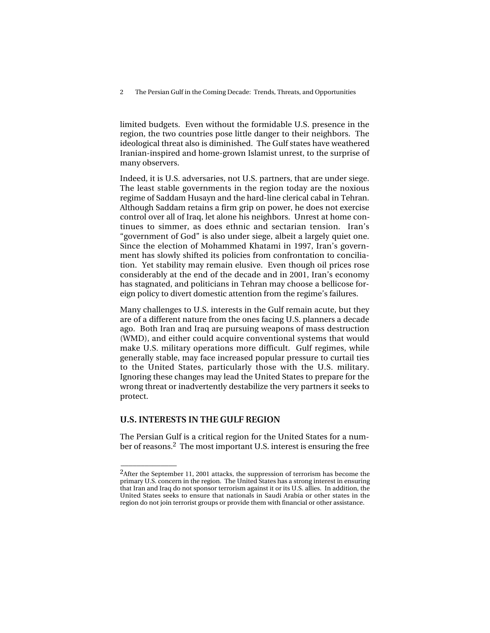limited budgets. Even without the formidable U.S. presence in the region, the two countries pose little danger to their neighbors. The ideological threat also is diminished. The Gulf states have weathered Iranian-inspired and home-grown Islamist unrest, to the surprise of many observers.

Indeed, it is U.S. adversaries, not U.S. partners, that are under siege. The least stable governments in the region today are the noxious regime of Saddam Husayn and the hard-line clerical cabal in Tehran. Although Saddam retains a firm grip on power, he does not exercise control over all of Iraq, let alone his neighbors. Unrest at home continues to simmer, as does ethnic and sectarian tension. Iran's "government of God" is also under siege, albeit a largely quiet one. Since the election of Mohammed Khatami in 1997, Iran's government has slowly shifted its policies from confrontation to conciliation. Yet stability may remain elusive. Even though oil prices rose considerably at the end of the decade and in 2001, Iran's economy has stagnated, and politicians in Tehran may choose a bellicose foreign policy to divert domestic attention from the regime's failures.

Many challenges to U.S. interests in the Gulf remain acute, but they are of a different nature from the ones facing U.S. planners a decade ago. Both Iran and Iraq are pursuing weapons of mass destruction (WMD), and either could acquire conventional systems that would make U.S. military operations more difficult. Gulf regimes, while generally stable, may face increased popular pressure to curtail ties to the United States, particularly those with the U.S. military. Ignoring these changes may lead the United States to prepare for the wrong threat or inadvertently destabilize the very partners it seeks to protect.

#### **U.S. INTERESTS IN THE GULF REGION**

\_\_\_\_\_\_\_\_\_\_\_\_\_\_

The Persian Gulf is a critical region for the United States for a number of reasons.2 The most important U.S. interest is ensuring the free

<sup>&</sup>lt;sup>2</sup>After the September 11, 2001 attacks, the suppression of terrorism has become the primary U.S. concern in the region. The United States has a strong interest in ensuring that Iran and Iraq do not sponsor terrorism against it or its U.S. allies. In addition, the United States seeks to ensure that nationals in Saudi Arabia or other states in the region do not join terrorist groups or provide them with financial or other assistance.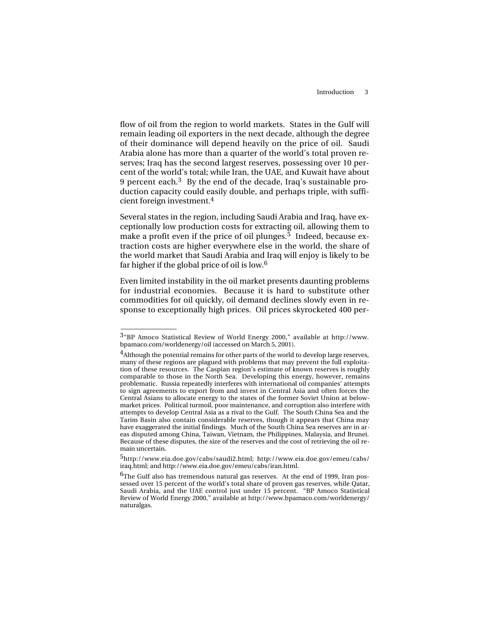flow of oil from the region to world markets. States in the Gulf will remain leading oil exporters in the next decade, although the degree of their dominance will depend heavily on the price of oil. Saudi Arabia alone has more than a quarter of the world's total proven reserves; Iraq has the second largest reserves, possessing over 10 percent of the world's total; while Iran, the UAE, and Kuwait have about 9 percent each.3 By the end of the decade, Iraq's sustainable production capacity could easily double, and perhaps triple, with sufficient foreign investment.4

Several states in the region, including Saudi Arabia and Iraq, have exceptionally low production costs for extracting oil, allowing them to make a profit even if the price of oil plunges.<sup>5</sup> Indeed, because extraction costs are higher everywhere else in the world, the share of the world market that Saudi Arabia and Iraq will enjoy is likely to be far higher if the global price of oil is low.<sup>6</sup>

Even limited instability in the oil market presents daunting problems for industrial economies. Because it is hard to substitute other commodities for oil quickly, oil demand declines slowly even in response to exceptionally high prices. Oil prices skyrocketed 400 per-

 $\overline{\phantom{a}}$ 

<sup>3&</sup>quot;BP Amoco Statistical Review of World Energy 2000," available at http://www. bpamaco.com/worldenergy/oil (accessed on March 5, 2001).

<sup>&</sup>lt;sup>4</sup>Although the potential remains for other parts of the world to develop large reserves, many of these regions are plagued with problems that may prevent the full exploitation of these resources. The Caspian region's estimate of known reserves is roughly comparable to those in the North Sea. Developing this energy, however, remains problematic. Russia repeatedly interferes with international oil companies' attempts to sign agreements to export from and invest in Central Asia and often forces the Central Asians to allocate energy to the states of the former Soviet Union at belowmarket prices.Political turmoil, poor maintenance, and corruption also interfere with attempts to develop Central Asia as a rival to the Gulf. The South China Sea and the Tarim Basin also contain considerable reserves, though it appears that China may have exaggerated the initial findings. Much of the South China Sea reserves are in areas disputed among China, Taiwan, Vietnam, the Philippines, Malaysia, and Brunei. Because of these disputes, the size of the reserves and the cost of retrieving the oil remain uncertain.

<sup>5</sup>http://www.eia.doe.gov/cabs/saudi2.html; http://www.eia.doe.gov/emeu/cabs/ iraq.html; and http://www.eia.doe.gov/emeu/cabs/iran.html.

 $6$ The Gulf also has tremendous natural gas reserves. At the end of 1999, Iran possessed over 15 percent of the world's total share of proven gas reserves, while Qatar, Saudi Arabia, and the UAE control just under 15 percent. "BP Amoco Statistical Review of World Energy 2000," available at http://www.bpamaco.com/worldenergy/ naturalgas.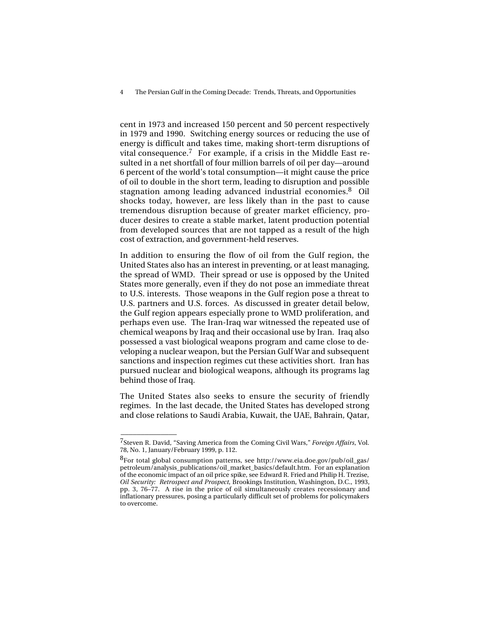cent in 1973 and increased 150 percent and 50 percent respectively in 1979 and 1990. Switching energy sources or reducing the use of energy is difficult and takes time, making short-term disruptions of vital consequence.7 For example, if a crisis in the Middle East resulted in a net shortfall of four million barrels of oil per day—around 6 percent of the world's total consumption—it might cause the price of oil to double in the short term, leading to disruption and possible stagnation among leading advanced industrial economies.8 Oil shocks today, however, are less likely than in the past to cause tremendous disruption because of greater market efficiency, producer desires to create a stable market, latent production potential from developed sources that are not tapped as a result of the high cost of extraction, and government-held reserves.

In addition to ensuring the flow of oil from the Gulf region, the United States also has an interest in preventing, or at least managing, the spread of WMD. Their spread or use is opposed by the United States more generally, even if they do not pose an immediate threat to U.S. interests. Those weapons in the Gulf region pose a threat to U.S. partners and U.S. forces. As discussed in greater detail below, the Gulf region appears especially prone to WMD proliferation, and perhaps even use. The Iran-Iraq war witnessed the repeated use of chemical weapons by Iraq and their occasional use by Iran. Iraq also possessed a vast biological weapons program and came close to developing a nuclear weapon, but the Persian Gulf War and subsequent sanctions and inspection regimes cut these activities short. Iran has pursued nuclear and biological weapons, although its programs lag behind those of Iraq.

The United States also seeks to ensure the security of friendly regimes. In the last decade, the United States has developed strong and close relations to Saudi Arabia, Kuwait, the UAE, Bahrain, Qatar,

<sup>7</sup>Steven R. David, "Saving America from the Coming Civil Wars," *Foreign Affairs*, Vol. 78, No. 1, January/February 1999, p. 112.

<sup>8</sup>For total global consumption patterns, see http://www.eia.doe.gov/pub/oil\_gas/ petroleum/analysis\_publications/oil\_market\_basics/default.htm. For an explanation of the economic impact of an oil price spike, see Edward R. Fried and Philip H. Trezise, *Oil Security: Retrospect and Prospect*, Brookings Institution, Washington, D.C., 1993, pp. 3, 76–77. A rise in the price of oil simultaneously creates recessionary and inflationary pressures, posing a particularly difficult set of problems for policymakers to overcome.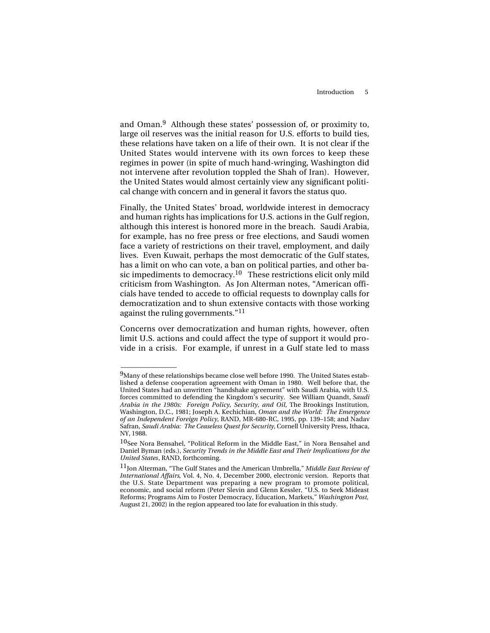and Oman.9 Although these states' possession of, or proximity to, large oil reserves was the initial reason for U.S. efforts to build ties, these relations have taken on a life of their own. It is not clear if the United States would intervene with its own forces to keep these regimes in power (in spite of much hand-wringing, Washington did not intervene after revolution toppled the Shah of Iran). However, the United States would almost certainly view any significant political change with concern and in general it favors the status quo.

Finally, the United States' broad, worldwide interest in democracy and human rights has implications for U.S. actions in the Gulf region, although this interest is honored more in the breach. Saudi Arabia, for example, has no free press or free elections, and Saudi women face a variety of restrictions on their travel, employment, and daily lives. Even Kuwait, perhaps the most democratic of the Gulf states, has a limit on who can vote, a ban on political parties, and other basic impediments to democracy.10 These restrictions elicit only mild criticism from Washington. As Jon Alterman notes, "American officials have tended to accede to official requests to downplay calls for democratization and to shun extensive contacts with those working against the ruling governments."<sup>11</sup>

Concerns over democratization and human rights, however, often limit U.S. actions and could affect the type of support it would provide in a crisis. For example, if unrest in a Gulf state led to mass

 $\overline{\phantom{a}}$ 

<sup>&</sup>lt;sup>9</sup>Many of these relationships became close well before 1990. The United States established a defense cooperation agreement with Oman in 1980. Well before that, the United States had an unwritten "handshake agreement" with Saudi Arabia, with U.S. forces committed to defending the Kingdom's security. See William Quandt, *Saudi Arabia in the 1980s: Foreign Policy, Security, and Oil,* The Brookings Institution, Washington, D.C., 1981; Joseph A. Kechichian, *Oman and the World: The Emergence of an Independent Foreign Policy,* RAND, MR-680-RC, 1995, pp. 139–158; and Nadav Safran, *Saudi Arabia: The Ceaseless Quest for Security,* Cornell University Press, Ithaca, NY, 1988*.*

 $10$ See Nora Bensahel, "Political Reform in the Middle East," in Nora Bensahel and Daniel Byman (eds.), *Security Trends in the Middle East and Their Implications for the United States*, RAND, forthcoming.

<sup>11</sup>Jon Alterman, "The Gulf States and the American Umbrella," *Middle East Review of International Affairs*, Vol. 4, No. 4, December 2000, electronic version. Reports that the U.S. State Department was preparing a new program to promote political, economic, and social reform (Peter Slevin and Glenn Kessler, "U.S. to Seek Mideast Reforms; Programs Aim to Foster Democracy, Education, Markets," *Washington Post,* August 21, 2002) in the region appeared too late for evaluation in this study.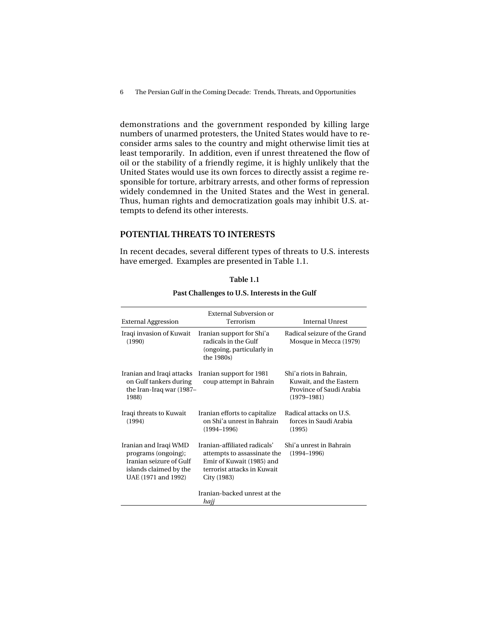demonstrations and the government responded by killing large numbers of unarmed protesters, the United States would have to reconsider arms sales to the country and might otherwise limit ties at least temporarily. In addition, even if unrest threatened the flow of oil or the stability of a friendly regime, it is highly unlikely that the United States would use its own forces to directly assist a regime responsible for torture, arbitrary arrests, and other forms of repression widely condemned in the United States and the West in general. Thus, human rights and democratization goals may inhibit U.S. attempts to defend its other interests.

#### **POTENTIAL THREATS TO INTERESTS**

In recent decades, several different types of threats to U.S. interests have emerged. Examples are presented in Table 1.1.

| <b>External Aggression</b>                                                                                               | External Subversion or<br>Terrorism                                                                                                    | <b>Internal Unrest</b>                                                                            |
|--------------------------------------------------------------------------------------------------------------------------|----------------------------------------------------------------------------------------------------------------------------------------|---------------------------------------------------------------------------------------------------|
| Iraqi invasion of Kuwait<br>(1990)                                                                                       | Iranian support for Shi'a<br>radicals in the Gulf<br>(ongoing, particularly in<br>the 1980s)                                           | Radical seizure of the Grand<br>Mosque in Mecca (1979)                                            |
| Iranian and Iraqi attacks<br>on Gulf tankers during<br>the Iran-Iraq war (1987–<br>1988)                                 | Iranian support for 1981<br>coup attempt in Bahrain                                                                                    | Shi'a riots in Bahrain,<br>Kuwait, and the Eastern<br>Province of Saudi Arabia<br>$(1979 - 1981)$ |
| Iraqi threats to Kuwait<br>(1994)                                                                                        | Iranian efforts to capitalize<br>on Shi'a unrest in Bahrain<br>$(1994 - 1996)$                                                         | Radical attacks on U.S.<br>forces in Saudi Arabia<br>(1995)                                       |
| Iranian and Iraqi WMD<br>programs (ongoing);<br>Iranian seizure of Gulf<br>islands claimed by the<br>UAE (1971 and 1992) | Iranian-affiliated radicals'<br>attempts to assassinate the<br>Emir of Kuwait (1985) and<br>terrorist attacks in Kuwait<br>City (1983) | Shi'a unrest in Bahrain<br>$(1994 - 1996)$                                                        |
|                                                                                                                          | Iranian-backed unrest at the<br>hajj                                                                                                   |                                                                                                   |

# **Table 1.1 Past Challenges to U.S. Interests in the Gulf**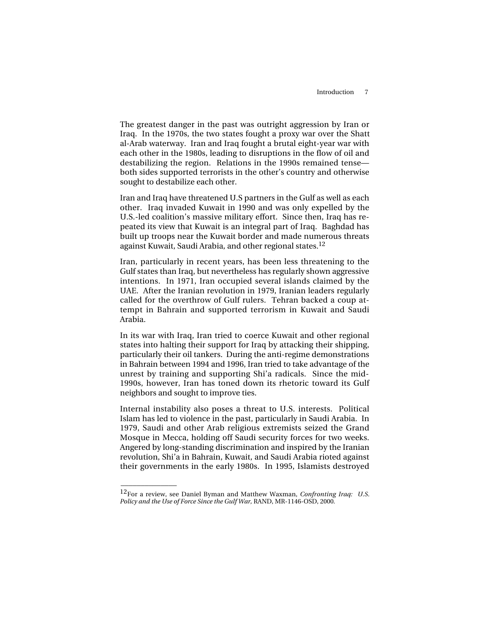The greatest danger in the past was outright aggression by Iran or Iraq. In the 1970s, the two states fought a proxy war over the Shatt al-Arab waterway. Iran and Iraq fought a brutal eight-year war with each other in the 1980s, leading to disruptions in the flow of oil and destabilizing the region. Relations in the 1990s remained tense both sides supported terrorists in the other's country and otherwise sought to destabilize each other.

Iran and Iraq have threatened U.S partners in the Gulf as well as each other. Iraq invaded Kuwait in 1990 and was only expelled by the U.S.-led coalition's massive military effort. Since then, Iraq has repeated its view that Kuwait is an integral part of Iraq. Baghdad has built up troops near the Kuwait border and made numerous threats against Kuwait, Saudi Arabia, and other regional states.12

Iran, particularly in recent years, has been less threatening to the Gulf states than Iraq, but nevertheless has regularly shown aggressive intentions. In 1971, Iran occupied several islands claimed by the UAE. After the Iranian revolution in 1979, Iranian leaders regularly called for the overthrow of Gulf rulers. Tehran backed a coup attempt in Bahrain and supported terrorism in Kuwait and Saudi Arabia.

In its war with Iraq, Iran tried to coerce Kuwait and other regional states into halting their support for Iraq by attacking their shipping, particularly their oil tankers. During the anti-regime demonstrations in Bahrain between 1994 and 1996, Iran tried to take advantage of the unrest by training and supporting Shi'a radicals. Since the mid-1990s, however, Iran has toned down its rhetoric toward its Gulf neighbors and sought to improve ties.

Internal instability also poses a threat to U.S. interests. Political Islam has led to violence in the past, particularly in Saudi Arabia. In 1979, Saudi and other Arab religious extremists seized the Grand Mosque in Mecca, holding off Saudi security forces for two weeks. Angered by long-standing discrimination and inspired by the Iranian revolution, Shi'a in Bahrain, Kuwait, and Saudi Arabia rioted against their governments in the early 1980s. In 1995, Islamists destroyed

 $\overline{\phantom{a}}$ 

<sup>12</sup>For a review, see Daniel Byman and Matthew Waxman, *Confronting Iraq: U.S. Policy and the Use of Force Since the Gulf War,* RAND, MR-1146-OSD, 2000*.*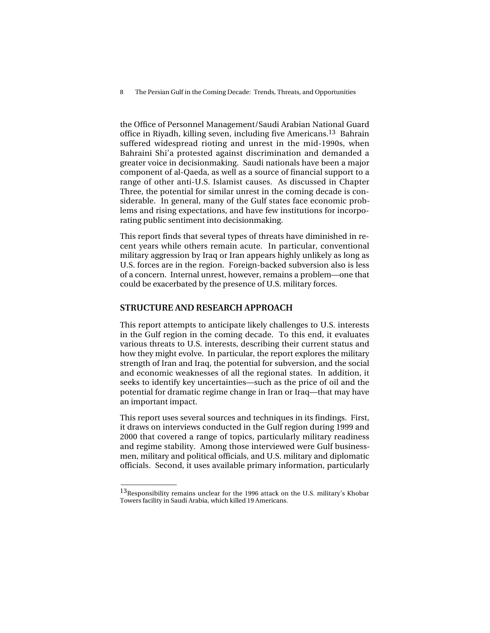the Office of Personnel Management/Saudi Arabian National Guard office in Riyadh, killing seven, including five Americans.13 Bahrain suffered widespread rioting and unrest in the mid-1990s, when Bahraini Shi'a protested against discrimination and demanded a greater voice in decisionmaking. Saudi nationals have been a major component of al-Qaeda, as well as a source of financial support to a range of other anti-U.S. Islamist causes. As discussed in Chapter Three, the potential for similar unrest in the coming decade is considerable. In general, many of the Gulf states face economic problems and rising expectations, and have few institutions for incorporating public sentiment into decisionmaking.

This report finds that several types of threats have diminished in recent years while others remain acute. In particular, conventional military aggression by Iraq or Iran appears highly unlikely as long as U.S. forces are in the region. Foreign-backed subversion also is less of a concern. Internal unrest, however, remains a problem—one that could be exacerbated by the presence of U.S. military forces.

#### **STRUCTURE AND RESEARCH APPROACH**

 $\overline{\phantom{a}}$ 

This report attempts to anticipate likely challenges to U.S. interests in the Gulf region in the coming decade. To this end, it evaluates various threats to U.S. interests, describing their current status and how they might evolve. In particular, the report explores the military strength of Iran and Iraq, the potential for subversion, and the social and economic weaknesses of all the regional states. In addition, it seeks to identify key uncertainties—such as the price of oil and the potential for dramatic regime change in Iran or Iraq—that may have an important impact.

This report uses several sources and techniques in its findings. First, it draws on interviews conducted in the Gulf region during 1999 and 2000 that covered a range of topics, particularly military readiness and regime stability. Among those interviewed were Gulf businessmen, military and political officials, and U.S. military and diplomatic officials. Second, it uses available primary information, particularly

 $^{13}$ Responsibility remains unclear for the 1996 attack on the U.S. military's Khobar Towers facility in Saudi Arabia, which killed 19 Americans.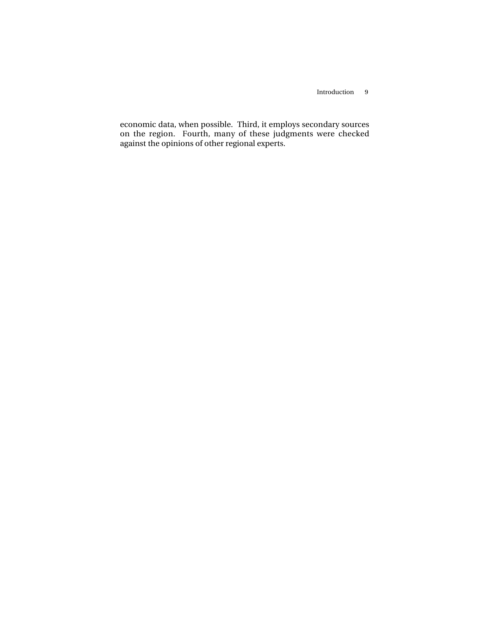Introduction 9

economic data, when possible. Third, it employs secondary sources on the region. Fourth, many of these judgments were checked against the opinions of other regional experts.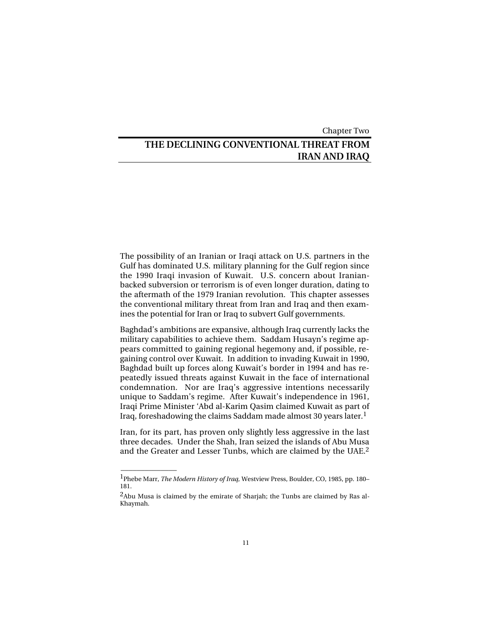Chapter Two

# **THE DECLINING CONVENTIONAL THREAT FROM IRAN AND IRAQ**

The possibility of an Iranian or Iraqi attack on U.S. partners in the Gulf has dominated U.S. military planning for the Gulf region since the 1990 Iraqi invasion of Kuwait. U.S. concern about Iranianbacked subversion or terrorism is of even longer duration, dating to the aftermath of the 1979 Iranian revolution. This chapter assesses the conventional military threat from Iran and Iraq and then examines the potential for Iran or Iraq to subvert Gulf governments.

Baghdad's ambitions are expansive, although Iraq currently lacks the military capabilities to achieve them. Saddam Husayn's regime appears committed to gaining regional hegemony and, if possible, regaining control over Kuwait. In addition to invading Kuwait in 1990, Baghdad built up forces along Kuwait's border in 1994 and has repeatedly issued threats against Kuwait in the face of international condemnation. Nor are Iraq's aggressive intentions necessarily unique to Saddam's regime. After Kuwait's independence in 1961, Iraqi Prime Minister 'Abd al-Karim Qasim claimed Kuwait as part of Iraq, foreshadowing the claims Saddam made almost 30 years later.<sup>1</sup>

Iran, for its part, has proven only slightly less aggressive in the last three decades. Under the Shah, Iran seized the islands of Abu Musa and the Greater and Lesser Tunbs, which are claimed by the UAE.<sup>2</sup>

 $\overline{\phantom{a}}$ 

<sup>1</sup>Phebe Marr, *The Modern History of Iraq,* Westview Press, Boulder, CO, 1985, pp. 180– 181.

<sup>&</sup>lt;sup>2</sup>Abu Musa is claimed by the emirate of Sharjah; the Tunbs are claimed by Ras al-Khaymah.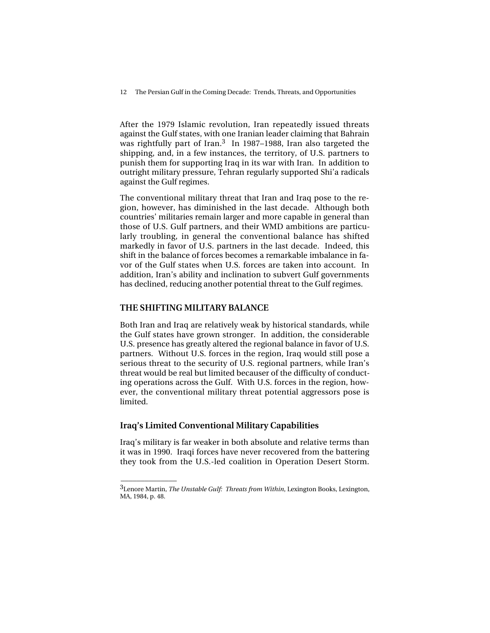After the 1979 Islamic revolution, Iran repeatedly issued threats against the Gulf states, with one Iranian leader claiming that Bahrain was rightfully part of Iran.3 In 1987–1988, Iran also targeted the shipping, and, in a few instances, the territory, of U.S. partners to punish them for supporting Iraq in its war with Iran. In addition to outright military pressure, Tehran regularly supported Shi'a radicals against the Gulf regimes.

The conventional military threat that Iran and Iraq pose to the region, however, has diminished in the last decade. Although both countries' militaries remain larger and more capable in general than those of U.S. Gulf partners, and their WMD ambitions are particularly troubling, in general the conventional balance has shifted markedly in favor of U.S. partners in the last decade. Indeed, this shift in the balance of forces becomes a remarkable imbalance in favor of the Gulf states when U.S. forces are taken into account. In addition, Iran's ability and inclination to subvert Gulf governments has declined, reducing another potential threat to the Gulf regimes.

#### **THE SHIFTING MILITARY BALANCE**

 $\overline{\phantom{a}}$ 

Both Iran and Iraq are relatively weak by historical standards, while the Gulf states have grown stronger. In addition, the considerable U.S. presence has greatly altered the regional balance in favor of U.S. partners. Without U.S. forces in the region, Iraq would still pose a serious threat to the security of U.S. regional partners, while Iran's threat would be real but limited becauser of the difficulty of conducting operations across the Gulf. With U.S. forces in the region, however, the conventional military threat potential aggressors pose is limited.

#### **Iraq's Limited Conventional Military Capabilities**

Iraq's military is far weaker in both absolute and relative terms than it was in 1990. Iraqi forces have never recovered from the battering they took from the U.S.-led coalition in Operation Desert Storm.

<sup>3</sup>Lenore Martin, *The Unstable Gulf: Threats from Within*, Lexington Books, Lexington, MA, 1984, p. 48.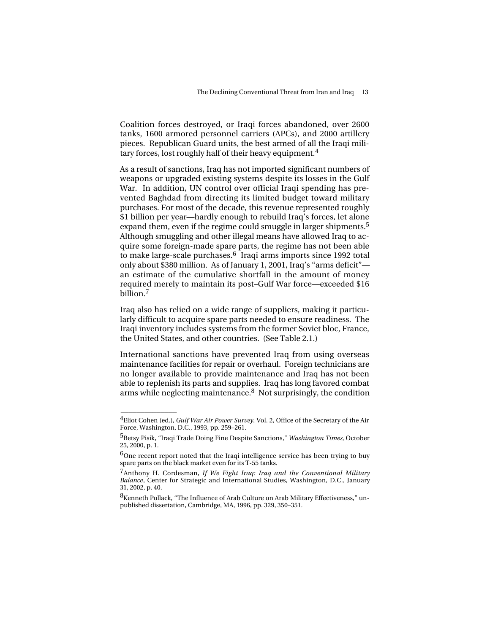Coalition forces destroyed, or Iraqi forces abandoned, over 2600 tanks, 1600 armored personnel carriers (APCs), and 2000 artillery pieces. Republican Guard units, the best armed of all the Iraqi military forces, lost roughly half of their heavy equipment.<sup>4</sup>

As a result of sanctions, Iraq has not imported significant numbers of weapons or upgraded existing systems despite its losses in the Gulf War. In addition, UN control over official Iraqi spending has prevented Baghdad from directing its limited budget toward military purchases. For most of the decade, this revenue represented roughly \$1 billion per year—hardly enough to rebuild Iraq's forces, let alone expand them, even if the regime could smuggle in larger shipments.<sup>5</sup> Although smuggling and other illegal means have allowed Iraq to acquire some foreign-made spare parts, the regime has not been able to make large-scale purchases.6 Iraqi arms imports since 1992 total only about \$380 million. As of January 1, 2001, Iraq's "arms deficit" an estimate of the cumulative shortfall in the amount of money required merely to maintain its post–Gulf War force—exceeded \$16 billion.<sup>7</sup>

Iraq also has relied on a wide range of suppliers, making it particularly difficult to acquire spare parts needed to ensure readiness. The Iraqi inventory includes systems from the former Soviet bloc, France, the United States, and other countries. (See Table 2.1.)

International sanctions have prevented Iraq from using overseas maintenance facilities for repair or overhaul. Foreign technicians are no longer available to provide maintenance and Iraq has not been able to replenish its parts and supplies. Iraq has long favored combat arms while neglecting maintenance.8 Not surprisingly, the condition

<sup>4</sup>Eliot Cohen (ed.), *Gulf War Air Power Survey*, Vol. 2, Office of the Secretary of the Air Force, Washington, D.C., 1993, pp. 259–261.

<sup>5</sup>Betsy Pisik, "Iraqi Trade Doing Fine Despite Sanctions," *Washington Times*, October 25, 2000, p. 1.

 $6$ One recent report noted that the Iraqi intelligence service has been trying to buy spare parts on the black market even for its T-55 tanks.

<sup>7</sup>Anthony H. Cordesman, *If We Fight Iraq: Iraq and the Conventional Military Balance*, Center for Strategic and International Studies, Washington, D.C., January 31, 2002, p. 40.

<sup>&</sup>lt;sup>8</sup>Kenneth Pollack, "The Influence of Arab Culture on Arab Military Effectiveness," unpublished dissertation, Cambridge, MA, 1996, pp. 329, 350–351.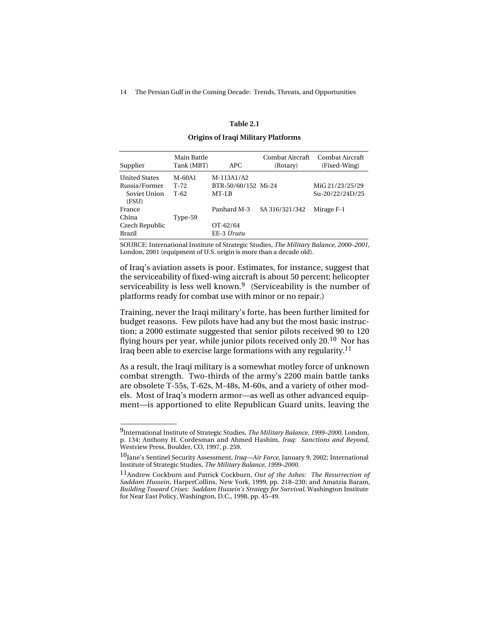#### **Table 2.1**

#### **Origins of Iraqi Military Platforms**

| Supplier             | Main Battle<br>Tank (MBT) | APC.                | Combat Aircraft<br>(Rotary) | Combat Aircraft<br>(Fixed-Wing) |
|----------------------|---------------------------|---------------------|-----------------------------|---------------------------------|
| <b>United States</b> | M-60A1                    | M-113A1/A2          |                             |                                 |
| Russia/Former        | $T-72$                    | BTR-50/60/152 Mi-24 |                             | MiG 21/23/25/29                 |
| Soviet Union         | T-62                      | MT-LB               |                             | Su-20/22/24D/25                 |
| (FSU)                |                           |                     |                             |                                 |
| France               |                           | Panhard M-3         | SA 316/321/342              | Mirage F-1                      |
| China                | Type-59                   |                     |                             |                                 |
| Czech Republic       |                           | OT-62/64            |                             |                                 |
| Brazil               |                           | EE-3 Urutu          |                             |                                 |

SOURCE: International Institute of Strategic Studies, *The Military Balance, 2000–2001*, London, 2001 (equipment of U.S. origin is more than a decade old).

of Iraq's aviation assets is poor. Estimates, for instance, suggest that the serviceability of fixed-wing aircraft is about 50 percent; helicopter serviceability is less well known.<sup>9</sup> (Serviceability is the number of platforms ready for combat use with minor or no repair.)

Training, never the Iraqi military's forte, has been further limited for budget reasons. Few pilots have had any but the most basic instruction; a 2000 estimate suggested that senior pilots received 90 to 120 flying hours per year, while junior pilots received only 20.10 Nor has Iraq been able to exercise large formations with any regularity.11

As a result, the Iraqi military is a somewhat motley force of unknown combat strength. Two-thirds of the army's 2200 main battle tanks are obsolete T-55s, T-62s, M-48s, M-60s, and a variety of other models. Most of Iraq's modern armor—as well as other advanced equipment—is apportioned to elite Republican Guard units, leaving the

<sup>9</sup>International Institute of Strategic Studies, *The Military Balance, 1999–2000,* London, p. 134; Anthony H. Cordesman and Ahmed Hashim, *Iraq: Sanctions and Beyond*, Westview Press, Boulder, CO, 1997, p. 259.

<sup>10</sup>Jane's Sentinel Security Assessment, *Iraq—Air Force*, January 9, 2002; International Institute of Strategic Studies, *The Military Balance, 1999–2000*.

<sup>11</sup>Andrew Cockburn and Patrick Cockburn, *Out of the Ashes: The Resurrection of Saddam Hussein,* HarperCollins, New York, 1999*,* pp. 218–230; and Amatzia Baram, *Building Toward Crises: Saddam Hussein's Strategy for Survival,* Washington Institute for Near East Policy, Washington, D.C., 1998, pp. 45–49.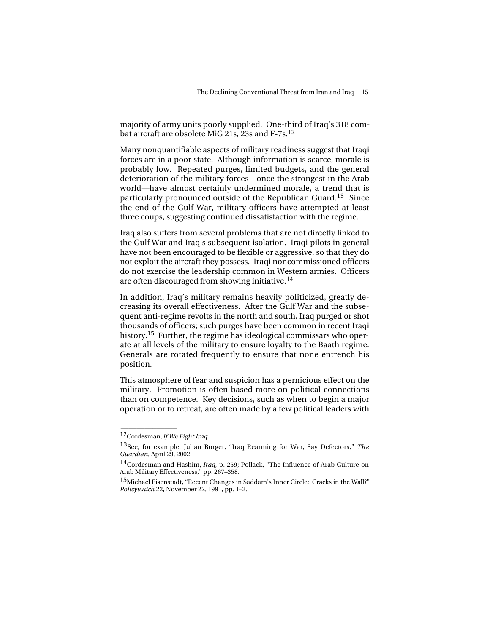majority of army units poorly supplied. One-third of Iraq's 318 combat aircraft are obsolete MiG 21s, 23s and F-7s.<sup>12</sup>

Many nonquantifiable aspects of military readiness suggest that Iraqi forces are in a poor state. Although information is scarce, morale is probably low. Repeated purges, limited budgets, and the general deterioration of the military forces—once the strongest in the Arab world—have almost certainly undermined morale, a trend that is particularly pronounced outside of the Republican Guard.13 Since the end of the Gulf War, military officers have attempted at least three coups, suggesting continued dissatisfaction with the regime.

Iraq also suffers from several problems that are not directly linked to the Gulf War and Iraq's subsequent isolation. Iraqi pilots in general have not been encouraged to be flexible or aggressive, so that they do not exploit the aircraft they possess. Iraqi noncommissioned officers do not exercise the leadership common in Western armies. Officers are often discouraged from showing initiative.<sup>14</sup>

In addition, Iraq's military remains heavily politicized, greatly decreasing its overall effectiveness. After the Gulf War and the subsequent anti-regime revolts in the north and south, Iraq purged or shot thousands of officers; such purges have been common in recent Iraqi history.<sup>15</sup> Further, the regime has ideological commissars who operate at all levels of the military to ensure loyalty to the Baath regime. Generals are rotated frequently to ensure that none entrench his position.

This atmosphere of fear and suspicion has a pernicious effect on the military. Promotion is often based more on political connections than on competence. Key decisions, such as when to begin a major operation or to retreat, are often made by a few political leaders with

<sup>12</sup>Cordesman, *If We Fight Iraq.*

<sup>13</sup>See, for example, Julian Borger, "Iraq Rearming for War, Say Defectors," *The Guardian*, April 29, 2002.

<sup>14</sup>Cordesman and Hashim, *Iraq,* p. 259; Pollack, "The Influence of Arab Culture on Arab Military Effectiveness," pp. 267–358.

<sup>15</sup>Michael Eisenstadt, "Recent Changes in Saddam's Inner Circle: Cracks in the Wall?" *Policywatch* 22, November 22, 1991, pp. 1–2.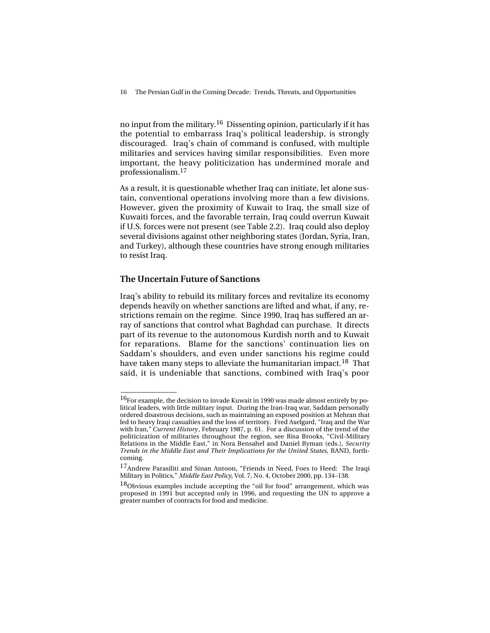no input from the military.16 Dissenting opinion, particularly if it has the potential to embarrass Iraq's political leadership, is strongly discouraged. Iraq's chain of command is confused, with multiple militaries and services having similar responsibilities. Even more important, the heavy politicization has undermined morale and professionalism.<sup>17</sup>

As a result, it is questionable whether Iraq can initiate, let alone sustain, conventional operations involving more than a few divisions. However, given the proximity of Kuwait to Iraq, the small size of Kuwaiti forces, and the favorable terrain, Iraq could overrun Kuwait if U.S. forces were not present (see Table 2.2). Iraq could also deploy several divisions against other neighboring states (Jordan, Syria, Iran, and Turkey), although these countries have strong enough militaries to resist Iraq.

## **The Uncertain Future of Sanctions**

\_\_\_\_\_\_\_\_\_\_\_\_\_\_

Iraq's ability to rebuild its military forces and revitalize its economy depends heavily on whether sanctions are lifted and what, if any, restrictions remain on the regime. Since 1990, Iraq has suffered an array of sanctions that control what Baghdad can purchase. It directs part of its revenue to the autonomous Kurdish north and to Kuwait for reparations. Blame for the sanctions' continuation lies on Saddam's shoulders, and even under sanctions his regime could have taken many steps to alleviate the humanitarian impact.<sup>18</sup> That said, it is undeniable that sanctions, combined with Iraq's poor

<sup>16</sup>For example, the decision to invade Kuwait in 1990 was made almost entirely by political leaders, with little military input. During the Iran-Iraq war, Saddam personally ordered disastrous decisions, such as maintaining an exposed position at Mehran that led to heavy Iraqi casualties and the loss of territory. Fred Axelgard, "Iraq and the War with Iran," *Current History*, February 1987, p. 61. For a discussion of the trend of the politicization of militaries throughout the region, see Risa Brooks, "Civil-Military Relations in the Middle East," in Nora Bensahel and Daniel Byman (eds.), *Security Trends in the Middle East and Their Implications for the United States,* RAND, forthcoming.

<sup>17</sup>Andrew Parasiliti and Sinan Antoon, "Friends in Need, Foes to Heed: The Iraqi Military in Politics," *Middle East Policy*, Vol. 7, No. 4, October 2000, pp. 134–138.

<sup>&</sup>lt;sup>18</sup>Obvious examples include accepting the "oil for food" arrangement, which was proposed in 1991 but accepted only in 1996, and requesting the UN to approve a greater number of contracts for food and medicine.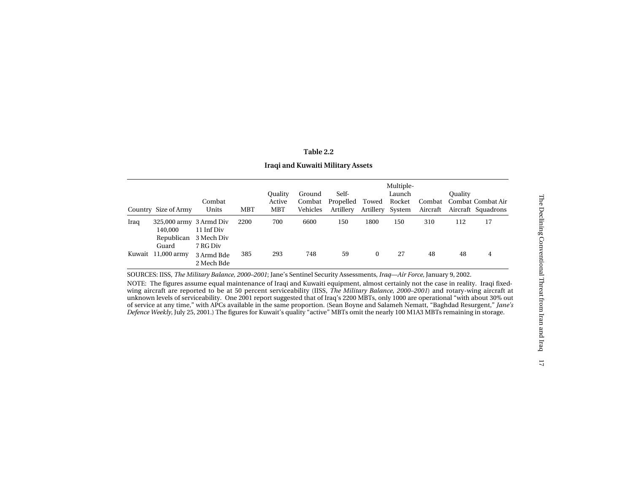|  | Table 2.2 |
|--|-----------|
|  |           |

#### **Iraqi and Kuwaiti Military Assets**

| Country Size of Army                                         | Combat<br>Units                                                                             | <b>MBT</b>  | Ouality<br>Active<br><b>MBT</b> | Ground<br>Combat<br>Vehicles | Self-<br>Propelled<br>Artillery | Towed<br>Artillery System | Multiple-<br>Launch<br>Rocket |           | Ouality   | Combat Combat Combat Air<br>Aircraft Aircraft Squadrons |
|--------------------------------------------------------------|---------------------------------------------------------------------------------------------|-------------|---------------------------------|------------------------------|---------------------------------|---------------------------|-------------------------------|-----------|-----------|---------------------------------------------------------|
| Iraq<br>140,000<br>Republican<br>Guard<br>Kuwait 11,000 army | 325,000 army 3 Armd Div<br>11 Inf Div<br>3 Mech Div<br>7 RG Div<br>3 Armd Bde<br>2 Mech Bde | 2200<br>385 | 700<br>293                      | 6600<br>748                  | 150<br>59                       | 1800<br>$\theta$          | 150<br>27                     | 310<br>48 | 112<br>48 | 17<br>4                                                 |

SOURCES: IISS, *The Military Balance, 2000–2001*; Jane's Sentinel Security Assessments, *Iraq—Air Force,* January 9, 2002.

NOTE: The figures assume equal maintenance of Iraqi and Kuwaiti equipment, almost certainly not the case in reality. Iraqi fixedwing aircraft are reported to be at 50 percent serviceability (IISS, *The Military Balance, 2000–2001*) and rotary-wing aircraft at unknown levels of serviceability. One 2001 report suggested that of Iraq's 2200 MBTs, only 1000 are operational "with about 30% out of service at any time," with APCs available in the same proportion. (Sean Boyne and Salameh Nematt, "Baghdad Resurgent," *Jane's Defence Weekly*, July 25, 2001.) The figures for Kuwait's quality "active" MBTs omit the nearly 100 M1A3 MBTs remaining in storage.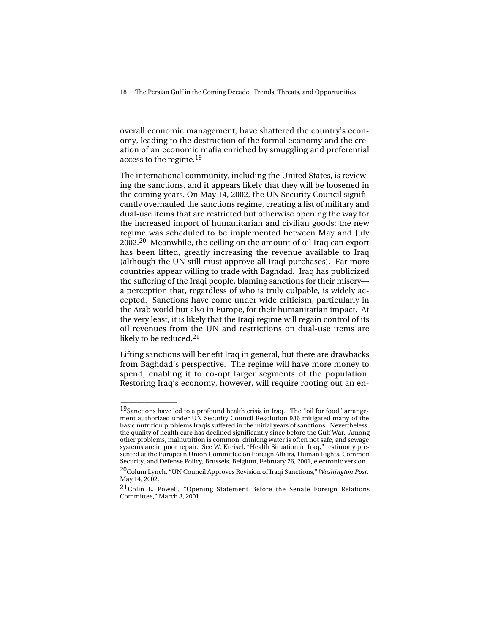overall economic management, have shattered the country's economy, leading to the destruction of the formal economy and the creation of an economic mafia enriched by smuggling and preferential access to the regime.<sup>19</sup>

The international community, including the United States, is reviewing the sanctions, and it appears likely that they will be loosened in the coming years. On May 14, 2002, the UN Security Council significantly overhauled the sanctions regime, creating a list of military and dual-use items that are restricted but otherwise opening the way for the increased import of humanitarian and civilian goods; the new regime was scheduled to be implemented between May and July 2002.20 Meanwhile, the ceiling on the amount of oil Iraq can export has been lifted, greatly increasing the revenue available to Iraq (although the UN still must approve all Iraqi purchases). Far more countries appear willing to trade with Baghdad. Iraq has publicized the suffering of the Iraqi people, blaming sanctions for their misery a perception that, regardless of who is truly culpable, is widely accepted. Sanctions have come under wide criticism, particularly in the Arab world but also in Europe, for their humanitarian impact. At the very least, it is likely that the Iraqi regime will regain control of its oil revenues from the UN and restrictions on dual-use items are likely to be reduced.<sup>21</sup>

Lifting sanctions will benefit Iraq in general, but there are drawbacks from Baghdad's perspective. The regime will have more money to spend, enabling it to co-opt larger segments of the population. Restoring Iraq's economy, however, will require rooting out an en-

<sup>19</sup>Sanctions have led to a profound health crisis in Iraq. The "oil for food" arrangement authorized under UN Security Council Resolution 986 mitigated many of the basic nutrition problems Iraqis suffered in the initial years of sanctions. Nevertheless, the quality of health care has declined significantly since before the Gulf War. Among other problems, malnutrition is common, drinking water is often not safe, and sewage systems are in poor repair. See W. Kreisel, "Health Situation in Iraq," testimony presented at the European Union Committee on Foreign Affairs, Human Rights, Common Security, and Defense Policy, Brussels, Belgium, February 26, 2001, electronic version.

<sup>20</sup>Colum Lynch, "UN Council Approves Revision of Iraqi Sanctions," *Washington Post*, May 14, 2002.

<sup>21</sup>Colin L. Powell, "Opening Statement Before the Senate Foreign Relations Committee," March 8, 2001.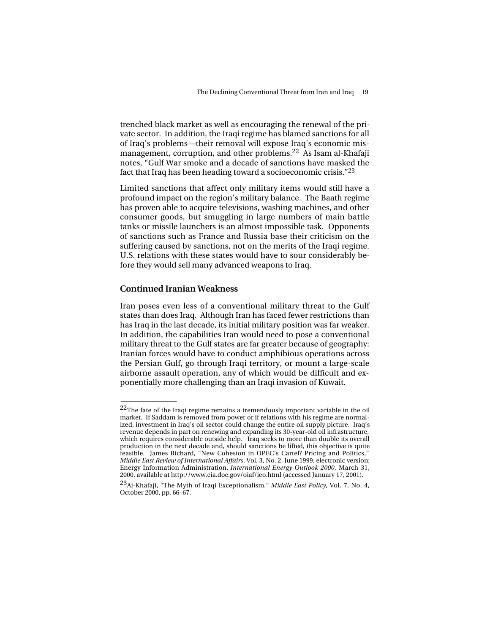trenched black market as well as encouraging the renewal of the private sector. In addition, the Iraqi regime has blamed sanctions for all of Iraq's problems—their removal will expose Iraq's economic mismanagement, corruption, and other problems.22 As Isam al-Khafaji notes, "Gulf War smoke and a decade of sanctions have masked the fact that Iraq has been heading toward a socioeconomic crisis."23

Limited sanctions that affect only military items would still have a profound impact on the region's military balance. The Baath regime has proven able to acquire televisions, washing machines, and other consumer goods, but smuggling in large numbers of main battle tanks or missile launchers is an almost impossible task. Opponents of sanctions such as France and Russia base their criticism on the suffering caused by sanctions, not on the merits of the Iraqi regime. U.S. relations with these states would have to sour considerably before they would sell many advanced weapons to Iraq.

#### **Continued Iranian Weakness**

 $\overline{\phantom{a}}$ 

Iran poses even less of a conventional military threat to the Gulf states than does Iraq. Although Iran has faced fewer restrictions than has Iraq in the last decade, its initial military position was far weaker. In addition, the capabilities Iran would need to pose a conventional military threat to the Gulf states are far greater because of geography: Iranian forces would have to conduct amphibious operations across the Persian Gulf, go through Iraqi territory, or mount a large-scale airborne assault operation, any of which would be difficult and exponentially more challenging than an Iraqi invasion of Kuwait.

<sup>&</sup>lt;sup>22</sup>The fate of the Iraqi regime remains a tremendously important variable in the oil market. If Saddam is removed from power or if relations with his regime are normalized, investment in Iraq's oil sector could change the entire oil supply picture. Iraq's revenue depends in part on renewing and expanding its 30-year-old oil infrastructure, which requires considerable outside help. Iraq seeks to more than double its overall production in the next decade and, should sanctions be lifted, this objective is quite feasible. James Richard, "New Cohesion in OPEC's Cartel? Pricing and Politics," *Middle East Review of International Affairs*, Vol. 3, No. 2, June 1999, electronic version; Energy Information Administration, *International Energy Outlook 2000*, March 31, 2000, available at http://www.eia.doe.gov/oiaf/ieo.html (accessed January 17, 2001).

<sup>23</sup>Al-Khafaji, "The Myth of Iraqi Exceptionalism," *Middle East Policy*, Vol. 7, No. 4, October 2000, pp. 66–67.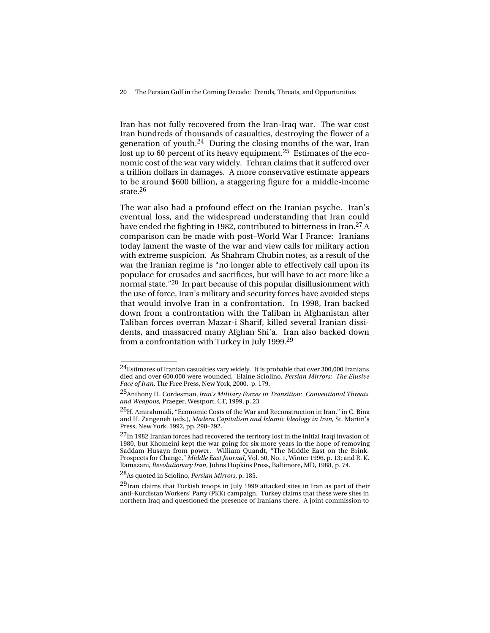Iran has not fully recovered from the Iran-Iraq war. The war cost Iran hundreds of thousands of casualties, destroying the flower of a generation of youth.24 During the closing months of the war, Iran lost up to 60 percent of its heavy equipment.<sup>25</sup> Estimates of the economic cost of the war vary widely. Tehran claims that it suffered over a trillion dollars in damages. A more conservative estimate appears to be around \$600 billion, a staggering figure for a middle-income state.26

The war also had a profound effect on the Iranian psyche. Iran's eventual loss, and the widespread understanding that Iran could have ended the fighting in 1982, contributed to bitterness in Iran.<sup>27</sup> A comparison can be made with post–World War I France: Iranians today lament the waste of the war and view calls for military action with extreme suspicion. As Shahram Chubin notes, as a result of the war the Iranian regime is "no longer able to effectively call upon its populace for crusades and sacrifices, but will have to act more like a normal state."28 In part because of this popular disillusionment with the use of force, Iran's military and security forces have avoided steps that would involve Iran in a confrontation. In 1998, Iran backed down from a confrontation with the Taliban in Afghanistan after Taliban forces overran Mazar-i Sharif, killed several Iranian dissidents, and massacred many Afghan Shi'a. Iran also backed down from a confrontation with Turkey in July 1999.29

28As quoted in Sciolino, *Persian Mirrors,* p. 185.

 $\overline{\phantom{a}}$ 

 $^{24}$ Estimates of Iranian casualties vary widely. It is probable that over 300,000 Iranians died and over 600,000 were wounded. Elaine Sciolino, *Persian Mirrors: The Elusive Face of Iran,* The Free Press, New York, 2000, p. 179.

<sup>25</sup>Anthony H. Cordesman, *Iran's Military Forces in Transition: Conventional Threats and Weapons,* Praeger, Westport, CT, 1999, p. 23

<sup>26</sup>H. Amirahmadi, "Economic Costs of the War and Reconstruction in Iran," in C. Bina and H. Zangeneh (eds.), *Modern Capitalism and Islamic Ideology in Iran*, St. Martin's Press, New York, 1992, pp. 290–292.

 $^{27}{\rm In}$  1982 Iranian forces had recovered the territory lost in the initial Iraqi invasion of 1980, but Khomeini kept the war going for six more years in the hope of removing Saddam Husayn from power. William Quandt, "The Middle East on the Brink: Prospects for Change," *Middle East Journal*, Vol. 50, No. 1, Winter 1996, p. 13; and R. K. Ramazani, *Revolutionary Iran,* Johns Hopkins Press, Baltimore, MD, 1988, p. 74.

<sup>&</sup>lt;sup>29</sup>Iran claims that Turkish troops in July 1999 attacked sites in Iran as part of their anti–Kurdistan Workers' Party (PKK) campaign. Turkey claims that these were sites in northern Iraq and questioned the presence of Iranians there. A joint commission to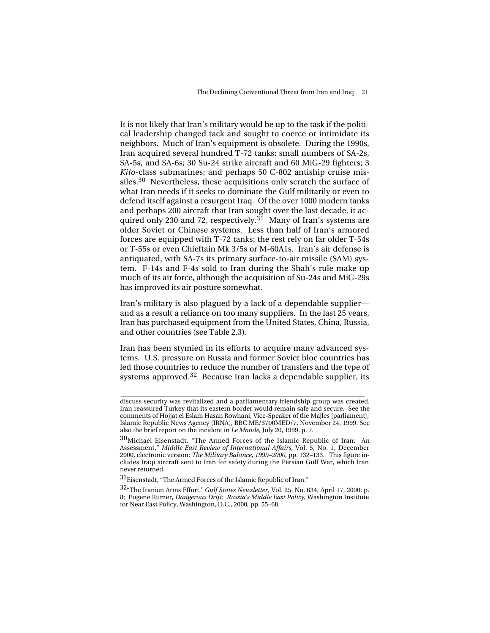It is not likely that Iran's military would be up to the task if the political leadership changed tack and sought to coerce or intimidate its neighbors. Much of Iran's equipment is obsolete. During the 1990s, Iran acquired several hundred T-72 tanks; small numbers of SA-2s, SA-5s, and SA-6s; 30 Su-24 strike aircraft and 60 MiG-29 fighters; 3 *Kilo*-class submarines; and perhaps 50 C-802 antiship cruise missiles.30 Nevertheless, these acquisitions only scratch the surface of what Iran needs if it seeks to dominate the Gulf militarily or even to defend itself against a resurgent Iraq. Of the over 1000 modern tanks and perhaps 200 aircraft that Iran sought over the last decade, it acquired only 230 and 72, respectively.<sup>31</sup> Many of Iran's systems are older Soviet or Chinese systems. Less than half of Iran's armored forces are equipped with T-72 tanks; the rest rely on far older T-54s or T-55s or even Chieftain Mk 3/5s or M-60A1s. Iran's air defense is antiquated, with SA-7s its primary surface-to-air missile (SAM) system. F-14s and F-4s sold to Iran during the Shah's rule make up much of its air force, although the acquisition of Su-24s and MiG-29s has improved its air posture somewhat.

Iran's military is also plagued by a lack of a dependable supplier and as a result a reliance on too many suppliers. In the last 25 years, Iran has purchased equipment from the United States, China, Russia, and other countries (see Table 2.3).

Iran has been stymied in its efforts to acquire many advanced systems. U.S. pressure on Russia and former Soviet bloc countries has led those countries to reduce the number of transfers and the type of systems approved.32 Because Iran lacks a dependable supplier, its

**\_\_\_\_\_\_\_\_\_\_\_\_\_\_\_\_\_\_\_\_\_\_\_\_\_\_\_\_\_\_\_\_\_\_\_\_\_\_\_\_\_\_\_\_\_\_\_\_\_\_\_\_\_\_\_\_\_\_\_\_\_**

discuss security was revitalized and a parliamentary friendship group was created. Iran reassured Turkey that its eastern border would remain safe and secure. See the comments of Hojjat el Eslam Hasan Rowhani, Vice-Speaker of the Majles [parliament], Islamic Republic News Agency (IRNA), BBC ME/3700MED/7, November 24, 1999. See also the brief report on the incident in *Le Monde,* July 20, 1999, p. 7.

<sup>30</sup>Michael Eisenstadt, "The Armed Forces of the Islamic Republic of Iran: An Assessment," *Middle East Review of International Affairs*, Vol. 5, No. 1, December 2000, electronic version; *The Military Balance, 1999–2000,* pp. 132–133. This figure includes Iraqi aircraft sent to Iran for safety during the Persian Gulf War, which Iran never returned.

<sup>31</sup>Eisenstadt, "The Armed Forces of the Islamic Republic of Iran."

<sup>32&</sup>quot;The Iranian Arms Effort," *Gulf States Newsletter*, Vol. 25, No. 634, April 17, 2000, p. 8; Eugene Rumer, *Dangerous Drift: Russia's Middle East Policy*, Washington Institute for Near East Policy, Washington, D.C., 2000*,* pp. 55–68.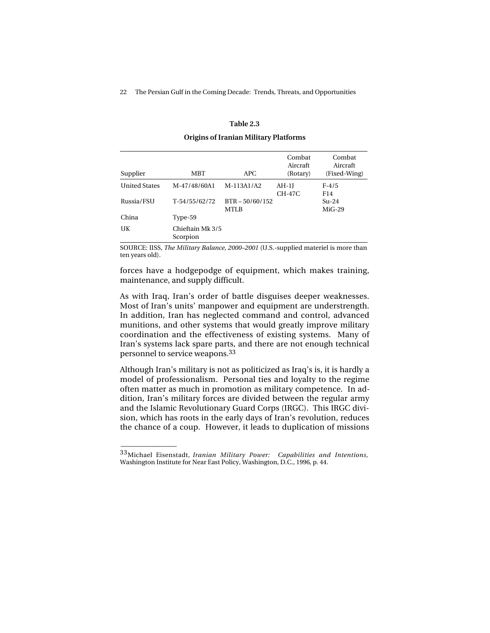### **Table 2.3**

#### **Origins of Iranian Military Platforms**

| Supplier             | MBT                          | APC                              | Combat<br>Aircraft<br>(Rotary) | Combat<br>Aircraft<br>(Fixed-Wing) |
|----------------------|------------------------------|----------------------------------|--------------------------------|------------------------------------|
| <b>United States</b> | M-47/48/60A1                 | M-113A1/A2                       | $AH-IJ$<br>$CH-47C$            | $F-4/5$<br>F14                     |
| Russia/FSU           | T-54/55/62/72                | $BTR - 50/60/152$<br><b>MTLB</b> |                                | $S_{11-24}$<br>$MiG-29$            |
| China                | Type-59                      |                                  |                                |                                    |
| UK                   | Chieftain Mk 3/5<br>Scorpion |                                  |                                |                                    |

SOURCE: IISS, *The Military Balance, 2000–2001* (U.S.-supplied materiel is more than ten years old).

forces have a hodgepodge of equipment, which makes training, maintenance, and supply difficult.

As with Iraq, Iran's order of battle disguises deeper weaknesses. Most of Iran's units' manpower and equipment are understrength. In addition, Iran has neglected command and control, advanced munitions, and other systems that would greatly improve military coordination and the effectiveness of existing systems. Many of Iran's systems lack spare parts, and there are not enough technical personnel to service weapons.33

Although Iran's military is not as politicized as Iraq's is, it is hardly a model of professionalism. Personal ties and loyalty to the regime often matter as much in promotion as military competence. In addition, Iran's military forces are divided between the regular army and the Islamic Revolutionary Guard Corps (IRGC). This IRGC division, which has roots in the early days of Iran's revolution, reduces the chance of a coup. However, it leads to duplication of missions

<sup>33</sup>Michael Eisenstadt, *Iranian Military Power: Capabilities and Intentions*, Washington Institute for Near East Policy, Washington, D.C., 1996*,* p. 44.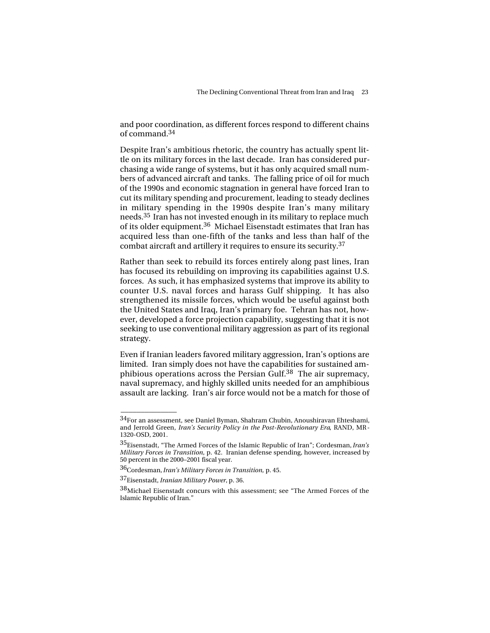and poor coordination, as different forces respond to different chains of command.34

Despite Iran's ambitious rhetoric, the country has actually spent little on its military forces in the last decade. Iran has considered purchasing a wide range of systems, but it has only acquired small numbers of advanced aircraft and tanks. The falling price of oil for much of the 1990s and economic stagnation in general have forced Iran to cut its military spending and procurement, leading to steady declines in military spending in the 1990s despite Iran's many military needs.35 Iran has not invested enough in its military to replace much of its older equipment.36 Michael Eisenstadt estimates that Iran has acquired less than one-fifth of the tanks and less than half of the combat aircraft and artillery it requires to ensure its security.<sup>37</sup>

Rather than seek to rebuild its forces entirely along past lines, Iran has focused its rebuilding on improving its capabilities against U.S. forces. As such, it has emphasized systems that improve its ability to counter U.S. naval forces and harass Gulf shipping. It has also strengthened its missile forces, which would be useful against both the United States and Iraq, Iran's primary foe. Tehran has not, however, developed a force projection capability, suggesting that it is not seeking to use conventional military aggression as part of its regional strategy.

Even if Iranian leaders favored military aggression, Iran's options are limited. Iran simply does not have the capabilities for sustained amphibious operations across the Persian Gulf.38 The air supremacy, naval supremacy, and highly skilled units needed for an amphibious assault are lacking. Iran's air force would not be a match for those of

<sup>34</sup>For an assessment, see Daniel Byman, Shahram Chubin, Anoushiravan Ehteshami, and Jerrold Green, *Iran's Security Policy in the Post-Revolutionary Era*, RAND, MR-1320-OSD, 2001*.*

<sup>35</sup>Eisenstadt, "The Armed Forces of the Islamic Republic of Iran"; Cordesman, *Iran's Military Forces in Transition,* p. 42. Iranian defense spending, however, increased by 50 percent in the 2000–2001 fiscal year.

<sup>36</sup>Cordesman, *Iran's Military Forces in Transition,* p. 45.

<sup>37</sup>Eisenstadt, *Iranian Military Power,* p. 36.

<sup>38</sup>Michael Eisenstadt concurs with this assessment; see "The Armed Forces of the Islamic Republic of Iran."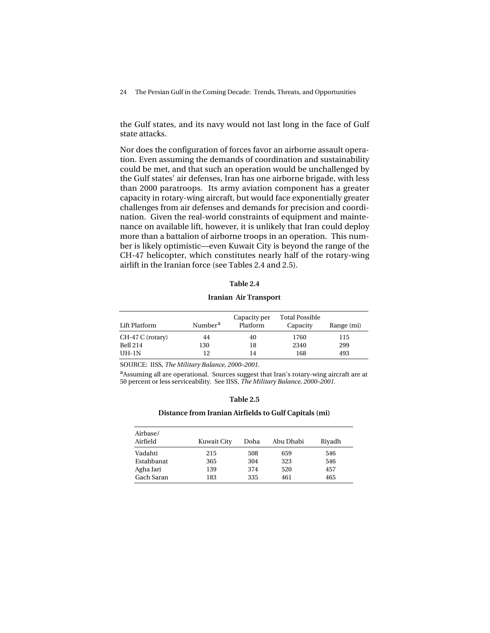the Gulf states, and its navy would not last long in the face of Gulf state attacks.

Nor does the configuration of forces favor an airborne assault operation. Even assuming the demands of coordination and sustainability could be met, and that such an operation would be unchallenged by the Gulf states' air defenses, Iran has one airborne brigade, with less than 2000 paratroops. Its army aviation component has a greater capacity in rotary-wing aircraft, but would face exponentially greater challenges from air defenses and demands for precision and coordination. Given the real-world constraints of equipment and maintenance on available lift, however, it is unlikely that Iran could deploy more than a battalion of airborne troops in an operation. This number is likely optimistic—even Kuwait City is beyond the range of the CH-47 helicopter, which constitutes nearly half of the rotary-wing airlift in the Iranian force (see Tables 2.4 and 2.5).

#### **Table 2.4**

#### **Iranian Air Transport**

| Lift Platform    | Number <sup>a</sup> | Capacity per<br>Platform | <b>Total Possible</b><br>Capacity | Range (mi) |
|------------------|---------------------|--------------------------|-----------------------------------|------------|
| CH-47 C (rotary) | 44                  | 40                       | 1760                              | 115        |
| <b>Bell 214</b>  | 130                 | 18                       | 2340                              | 299        |
| UH-1N            | 12                  | 14                       | 168                               | 493        |

SOURCE: IISS, *The Military Balance, 2000–2001.*

a<sub>Assuming all are operational. Sources suggest that Iran's rotary-wing aircraft are at</sub> 50 percent or less serviceability. See IISS, *The Military Balance, 2000–2001.*

#### **Table 2.5**

#### **Distance from Iranian Airfields to Gulf Capitals (mi)**

| Airbase/<br>Airfield | Kuwait City | Doha | Abu Dhabi | Riyadh |
|----------------------|-------------|------|-----------|--------|
| Vadahti              | 215         | 508  | 659       | 546    |
| Estahbanat           | 365         | 304  | 323       | 546    |
| Agha Jari            | 139         | 374  | 520       | 457    |
| Gach Saran           | 183         | 335  | 461       | 465    |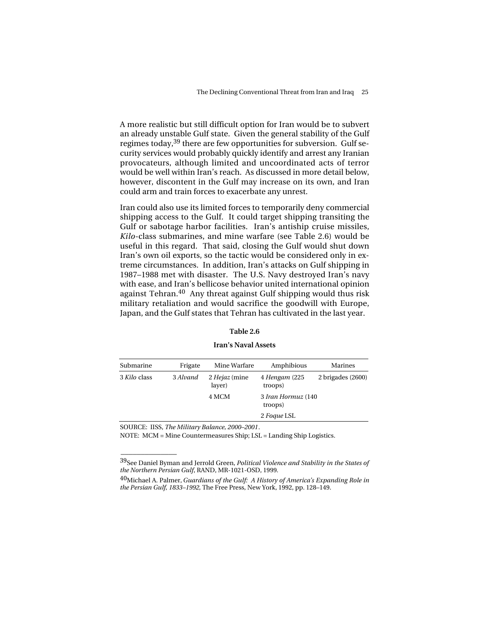A more realistic but still difficult option for Iran would be to subvert an already unstable Gulf state. Given the general stability of the Gulf regimes today,39 there are few opportunities for subversion. Gulf security services would probably quickly identify and arrest any Iranian provocateurs, although limited and uncoordinated acts of terror would be well within Iran's reach. As discussed in more detail below, however, discontent in the Gulf may increase on its own, and Iran could arm and train forces to exacerbate any unrest.

Iran could also use its limited forces to temporarily deny commercial shipping access to the Gulf. It could target shipping transiting the Gulf or sabotage harbor facilities. Iran's antiship cruise missiles, *Kilo*-class submarines, and mine warfare (see Table 2.6) would be useful in this regard. That said, closing the Gulf would shut down Iran's own oil exports, so the tactic would be considered only in extreme circumstances. In addition, Iran's attacks on Gulf shipping in 1987–1988 met with disaster. The U.S. Navy destroyed Iran's navy with ease, and Iran's bellicose behavior united international opinion against Tehran.40 Any threat against Gulf shipping would thus risk military retaliation and would sacrifice the goodwill with Europe, Japan, and the Gulf states that Tehran has cultivated in the last year.

#### **Table 2.6**

#### **Iran's Naval Assets**

| Submarine    | Frigate  | Mine Warfare            | Amphibious                    | Marines                     |
|--------------|----------|-------------------------|-------------------------------|-----------------------------|
| 3 Kilo class | 3 Alvand | 2 Hejaz (mine<br>layer) | 4 Hengam (225)<br>troops)     | $2 \text{ bridges } (2600)$ |
|              |          | 4 MCM                   | 3 Iran Hormuz (140<br>troops) |                             |
|              |          |                         | 2 Foque LSL                   |                             |

SOURCE: IISS, *The Military Balance, 2000–2001*.

 $\overline{\phantom{a}}$ 

NOTE: MCM = Mine Countermeasures Ship; LSL = Landing Ship Logistics.

<sup>39</sup>See Daniel Byman and Jerrold Green, *Political Violence and Stability in the States of the Northern Persian Gulf*, RAND, MR-1021-OSD, 1999*.*

<sup>40</sup>Michael A. Palmer, *Guardians of the Gulf: A History of America's Expanding Role in the Persian Gulf, 1833–1992,* The Free Press, New York, 1992, pp. 128–149.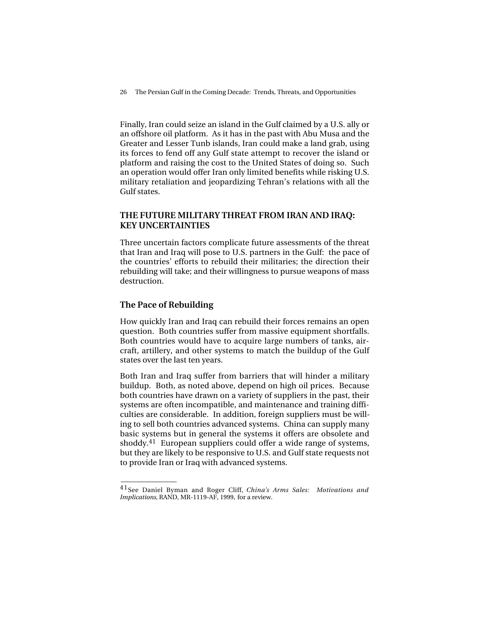Finally, Iran could seize an island in the Gulf claimed by a U.S. ally or an offshore oil platform. As it has in the past with Abu Musa and the Greater and Lesser Tunb islands, Iran could make a land grab, using its forces to fend off any Gulf state attempt to recover the island or platform and raising the cost to the United States of doing so. Such an operation would offer Iran only limited benefits while risking U.S. military retaliation and jeopardizing Tehran's relations with all the Gulf states.

# **THE FUTURE MILITARY THREAT FROM IRAN AND IRAQ: KEY UNCERTAINTIES**

Three uncertain factors complicate future assessments of the threat that Iran and Iraq will pose to U.S. partners in the Gulf: the pace of the countries' efforts to rebuild their militaries; the direction their rebuilding will take; and their willingness to pursue weapons of mass destruction.

## **The Pace of Rebuilding**

\_\_\_\_\_\_\_\_\_\_\_\_\_\_

How quickly Iran and Iraq can rebuild their forces remains an open question. Both countries suffer from massive equipment shortfalls. Both countries would have to acquire large numbers of tanks, aircraft, artillery, and other systems to match the buildup of the Gulf states over the last ten years.

Both Iran and Iraq suffer from barriers that will hinder a military buildup. Both, as noted above, depend on high oil prices. Because both countries have drawn on a variety of suppliers in the past, their systems are often incompatible, and maintenance and training difficulties are considerable. In addition, foreign suppliers must be willing to sell both countries advanced systems. China can supply many basic systems but in general the systems it offers are obsolete and shoddy.<sup>41</sup> European suppliers could offer a wide range of systems, but they are likely to be responsive to U.S. and Gulf state requests not to provide Iran or Iraq with advanced systems.

<sup>41</sup>See Daniel Byman and Roger Cliff, *China's Arms Sales: Motivations and Implications*, RAND, MR-1119-AF, 1999, for a review.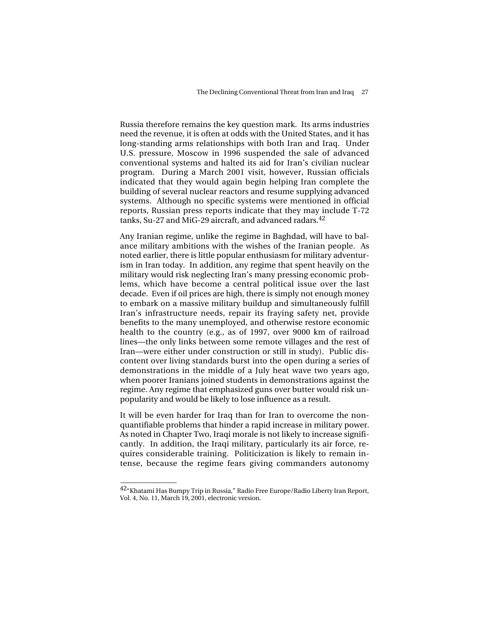Russia therefore remains the key question mark. Its arms industries need the revenue, it is often at odds with the United States, and it has long-standing arms relationships with both Iran and Iraq. Under U.S. pressure, Moscow in 1996 suspended the sale of advanced conventional systems and halted its aid for Iran's civilian nuclear program. During a March 2001 visit, however, Russian officials indicated that they would again begin helping Iran complete the building of several nuclear reactors and resume supplying advanced systems. Although no specific systems were mentioned in official reports, Russian press reports indicate that they may include T-72 tanks, Su-27 and MiG-29 aircraft, and advanced radars.<sup>42</sup>

Any Iranian regime, unlike the regime in Baghdad, will have to balance military ambitions with the wishes of the Iranian people. As noted earlier, there is little popular enthusiasm for military adventurism in Iran today. In addition, any regime that spent heavily on the military would risk neglecting Iran's many pressing economic problems, which have become a central political issue over the last decade. Even if oil prices are high, there is simply not enough money to embark on a massive military buildup and simultaneously fulfill Iran's infrastructure needs, repair its fraying safety net, provide benefits to the many unemployed, and otherwise restore economic health to the country (e.g., as of 1997, over 9000 km of railroad lines—the only links between some remote villages and the rest of Iran—were either under construction or still in study). Public discontent over living standards burst into the open during a series of demonstrations in the middle of a July heat wave two years ago, when poorer Iranians joined students in demonstrations against the regime. Any regime that emphasized guns over butter would risk unpopularity and would be likely to lose influence as a result.

It will be even harder for Iraq than for Iran to overcome the nonquantifiable problems that hinder a rapid increase in military power. As noted in Chapter Two, Iraqi morale is not likely to increase significantly. In addition, the Iraqi military, particularly its air force, requires considerable training. Politicization is likely to remain intense, because the regime fears giving commanders autonomy

 $^{42}$ "Khatami Has Bumpy Trip in Russia," Radio Free Europe/Radio Liberty Iran Report, Vol. 4, No. 11, March 19, 2001, electronic version.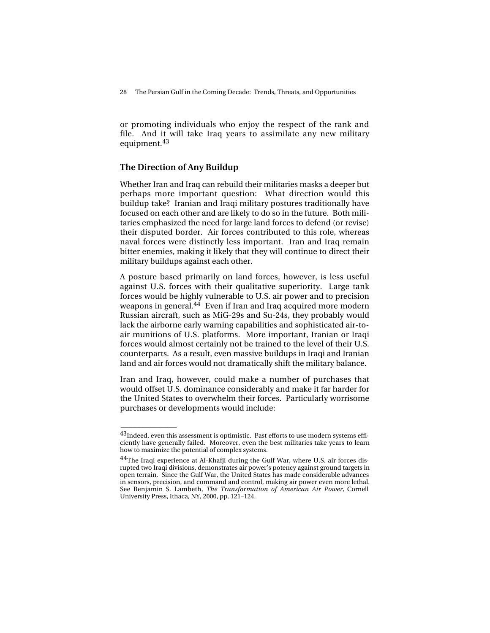or promoting individuals who enjoy the respect of the rank and file. And it will take Iraq years to assimilate any new military equipment.<sup>43</sup>

## **The Direction of Any Buildup**

\_\_\_\_\_\_\_\_\_\_\_\_\_\_

Whether Iran and Iraq can rebuild their militaries masks a deeper but perhaps more important question: What direction would this buildup take? Iranian and Iraqi military postures traditionally have focused on each other and are likely to do so in the future. Both militaries emphasized the need for large land forces to defend (or revise) their disputed border. Air forces contributed to this role, whereas naval forces were distinctly less important. Iran and Iraq remain bitter enemies, making it likely that they will continue to direct their military buildups against each other.

A posture based primarily on land forces, however, is less useful against U.S. forces with their qualitative superiority. Large tank forces would be highly vulnerable to U.S. air power and to precision weapons in general.<sup>44</sup> Even if Iran and Iraq acquired more modern Russian aircraft, such as MiG-29s and Su-24s, they probably would lack the airborne early warning capabilities and sophisticated air-toair munitions of U.S. platforms. More important, Iranian or Iraqi forces would almost certainly not be trained to the level of their U.S. counterparts. As a result, even massive buildups in Iraqi and Iranian land and air forces would not dramatically shift the military balance.

Iran and Iraq, however, could make a number of purchases that would offset U.S. dominance considerably and make it far harder for the United States to overwhelm their forces. Particularly worrisome purchases or developments would include:

<sup>43</sup>Indeed, even this assessment is optimistic. Past efforts to use modern systems efficiently have generally failed. Moreover, even the best militaries take years to learn how to maximize the potential of complex systems.

<sup>&</sup>lt;sup>44</sup>The Iraqi experience at Al-Khafii during the Gulf War, where U.S. air forces disrupted two Iraqi divisions, demonstrates air power's potency against ground targets in open terrain. Since the Gulf War, the United States has made considerable advances in sensors, precision, and command and control, making air power even more lethal. See Benjamin S. Lambeth, *The Transformation of American Air Power,* Cornell University Press, Ithaca, NY, 2000, pp. 121–124.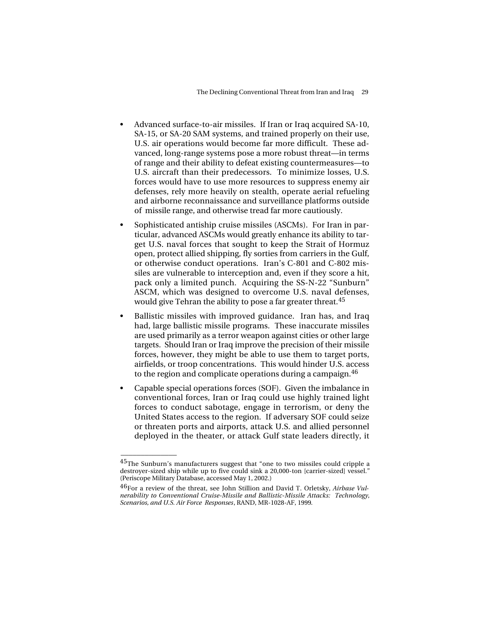- Advanced surface-to-air missiles. If Iran or Iraq acquired SA-10, SA-15, or SA-20 SAM systems, and trained properly on their use, U.S. air operations would become far more difficult. These advanced, long-range systems pose a more robust threat—in terms of range and their ability to defeat existing countermeasures—to U.S. aircraft than their predecessors. To minimize losses, U.S. forces would have to use more resources to suppress enemy air defenses, rely more heavily on stealth, operate aerial refueling and airborne reconnaissance and surveillance platforms outside of missile range, and otherwise tread far more cautiously.
- Sophisticated antiship cruise missiles (ASCMs). For Iran in particular, advanced ASCMs would greatly enhance its ability to target U.S. naval forces that sought to keep the Strait of Hormuz open, protect allied shipping, fly sorties from carriers in the Gulf, or otherwise conduct operations. Iran's C-801 and C-802 missiles are vulnerable to interception and, even if they score a hit, pack only a limited punch. Acquiring the SS-N-22 "Sunburn" ASCM, which was designed to overcome U.S. naval defenses, would give Tehran the ability to pose a far greater threat.<sup>45</sup>
- Ballistic missiles with improved guidance. Iran has, and Iraq had, large ballistic missile programs. These inaccurate missiles are used primarily as a terror weapon against cities or other large targets. Should Iran or Iraq improve the precision of their missile forces, however, they might be able to use them to target ports, airfields, or troop concentrations. This would hinder U.S. access to the region and complicate operations during a campaign.<sup>46</sup>
- Capable special operations forces (SOF). Given the imbalance in conventional forces, Iran or Iraq could use highly trained light forces to conduct sabotage, engage in terrorism, or deny the United States access to the region. If adversary SOF could seize or threaten ports and airports, attack U.S. and allied personnel deployed in the theater, or attack Gulf state leaders directly, it

<sup>45</sup>The Sunburn's manufacturers suggest that "one to two missiles could cripple a destroyer-sized ship while up to five could sink a 20,000-ton [carrier-sized] vessel." (Periscope Military Database, accessed May 1, 2002.)

<sup>46</sup>For a review of the threat, see John Stillion and David T. Orletsky, *Airbase Vulnerability to Conventional Cruise-Missile and Ballistic-Missile Attacks: Technology, Scenarios, and U.S. Air Force Responses*, RAND, MR-1028-AF, 1999*.*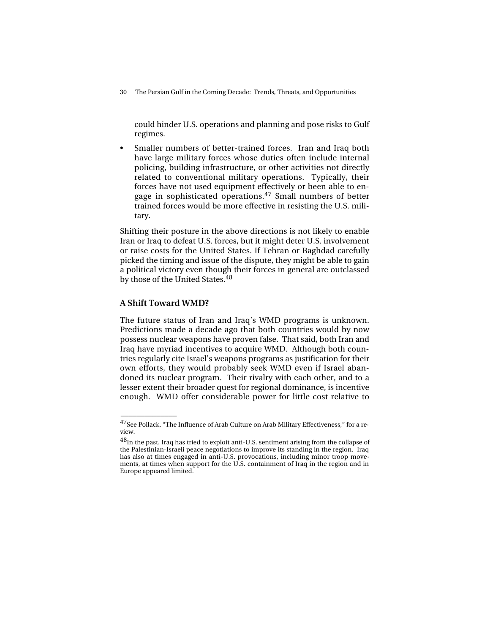could hinder U.S. operations and planning and pose risks to Gulf regimes.

• Smaller numbers of better-trained forces. Iran and Iraq both have large military forces whose duties often include internal policing, building infrastructure, or other activities not directly related to conventional military operations. Typically, their forces have not used equipment effectively or been able to engage in sophisticated operations.47 Small numbers of better trained forces would be more effective in resisting the U.S. military.

Shifting their posture in the above directions is not likely to enable Iran or Iraq to defeat U.S. forces, but it might deter U.S. involvement or raise costs for the United States. If Tehran or Baghdad carefully picked the timing and issue of the dispute, they might be able to gain a political victory even though their forces in general are outclassed by those of the United States.<sup>48</sup>

## **A Shift Toward WMD?**

 $\overline{\phantom{a}}$ 

The future status of Iran and Iraq's WMD programs is unknown. Predictions made a decade ago that both countries would by now possess nuclear weapons have proven false. That said, both Iran and Iraq have myriad incentives to acquire WMD. Although both countries regularly cite Israel's weapons programs as justification for their own efforts, they would probably seek WMD even if Israel abandoned its nuclear program. Their rivalry with each other, and to a lesser extent their broader quest for regional dominance, is incentive enough. WMD offer considerable power for little cost relative to

<sup>47</sup>See Pollack, "The Influence of Arab Culture on Arab Military Effectiveness," for a review.

<sup>48</sup>In the past, Iraq has tried to exploit anti-U.S. sentiment arising from the collapse of the Palestinian-Israeli peace negotiations to improve its standing in the region. Iraq has also at times engaged in anti-U.S. provocations, including minor troop movements, at times when support for the U.S. containment of Iraq in the region and in Europe appeared limited.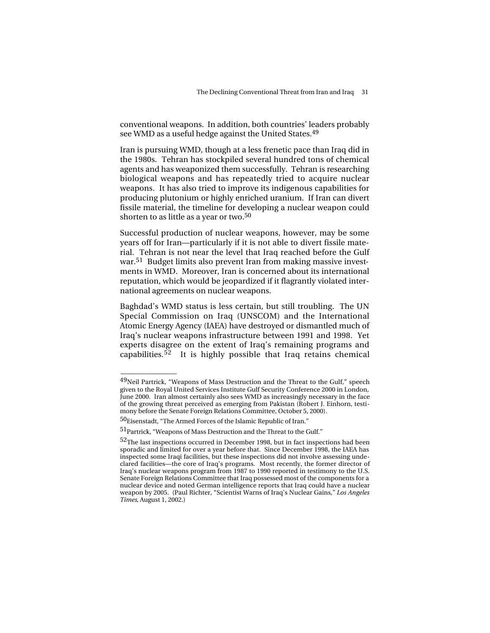conventional weapons. In addition, both countries' leaders probably see WMD as a useful hedge against the United States.<sup>49</sup>

Iran is pursuing WMD, though at a less frenetic pace than Iraq did in the 1980s. Tehran has stockpiled several hundred tons of chemical agents and has weaponized them successfully. Tehran is researching biological weapons and has repeatedly tried to acquire nuclear weapons. It has also tried to improve its indigenous capabilities for producing plutonium or highly enriched uranium. If Iran can divert fissile material, the timeline for developing a nuclear weapon could shorten to as little as a year or two.<sup>50</sup>

Successful production of nuclear weapons, however, may be some years off for Iran—particularly if it is not able to divert fissile material. Tehran is not near the level that Iraq reached before the Gulf war.51 Budget limits also prevent Iran from making massive investments in WMD. Moreover, Iran is concerned about its international reputation, which would be jeopardized if it flagrantly violated international agreements on nuclear weapons.

Baghdad's WMD status is less certain, but still troubling. The UN Special Commission on Iraq (UNSCOM) and the International Atomic Energy Agency (IAEA) have destroyed or dismantled much of Iraq's nuclear weapons infrastructure between 1991 and 1998. Yet experts disagree on the extent of Iraq's remaining programs and capabilities.<sup>52</sup> It is highly possible that Iraq retains chemical

<sup>49</sup>Neil Partrick, "Weapons of Mass Destruction and the Threat to the Gulf," speech given to the Royal United Services Institute Gulf Security Conference 2000 in London, June 2000. Iran almost certainly also sees WMD as increasingly necessary in the face of the growing threat perceived as emerging from Pakistan (Robert J. Einhorn, testimony before the Senate Foreign Relations Committee, October 5, 2000).

<sup>50</sup>Eisenstadt, "The Armed Forces of the Islamic Republic of Iran."

<sup>51</sup>Partrick, "Weapons of Mass Destruction and the Threat to the Gulf."

<sup>52</sup>The last inspections occurred in December 1998, but in fact inspections had been sporadic and limited for over a year before that. Since December 1998, the IAEA has inspected some Iraqi facilities, but these inspections did not involve assessing undeclared facilities—the core of Iraq's programs. Most recently, the former director of Iraq's nuclear weapons program from 1987 to 1990 reported in testimony to the U.S. Senate Foreign Relations Committee that Iraq possessed most of the components for a nuclear device and noted German intelligence reports that Iraq could have a nuclear weapon by 2005. (Paul Richter, "Scientist Warns of Iraq's Nuclear Gains," *Los Angeles Times*, August 1, 2002.)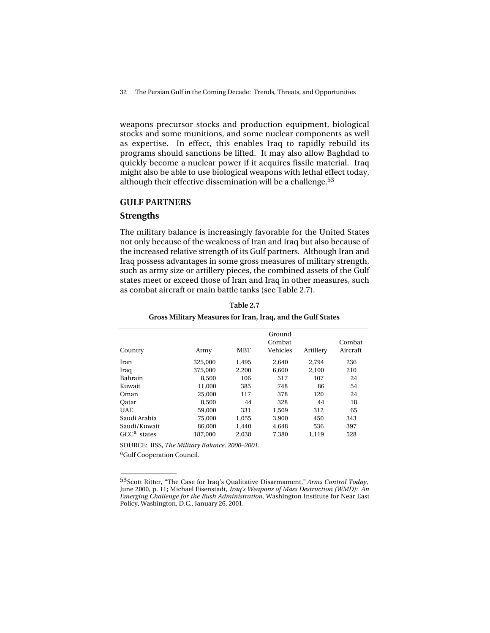weapons precursor stocks and production equipment, biological stocks and some munitions, and some nuclear components as well as expertise. In effect, this enables Iraq to rapidly rebuild its programs should sanctions be lifted. It may also allow Baghdad to quickly become a nuclear power if it acquires fissile material. Iraq might also be able to use biological weapons with lethal effect today, although their effective dissemination will be a challenge.<sup>53</sup>

### **GULF PARTNERS**

### **Strengths**

The military balance is increasingly favorable for the United States not only because of the weakness of Iran and Iraq but also because of the increased relative strength of its Gulf partners. Although Iran and Iraq possess advantages in some gross measures of military strength, such as army size or artillery pieces, the combined assets of the Gulf states meet or exceed those of Iran and Iraq in other measures, such as combat aircraft or main battle tanks (see Table 2.7).

| Country       | Army    | <b>MBT</b> | Ground<br>Combat<br><b>Vehicles</b> | Artillery | Combat<br>Aircraft |
|---------------|---------|------------|-------------------------------------|-----------|--------------------|
| Iran          | 325,000 | 1.495      | 2.640                               | 2.794     | 236                |
| Iraq          | 375,000 | 2.200      | 6.600                               | 2.100     | 210                |
| Bahrain       | 8.500   | 106        | 517                                 | 107       | 24                 |
| Kuwait        | 11,000  | 385        | 748                                 | 86        | 54                 |
| Oman          | 25,000  | 117        | 378                                 | 120       | 24                 |
| Oatar         | 8.500   | 44         | 328                                 | 44        | 18                 |
| <b>UAE</b>    | 59,000  | 331        | 1,509                               | 312       | 65                 |
| Saudi Arabia  | 75,000  | 1.055      | 3.900                               | 450       | 343                |
| Saudi/Kuwait  | 86,000  | 1,440      | 4,648                               | 536       | 397                |
| $GCCa$ states | 187,000 | 2,038      | 7,380                               | 1,119     | 528                |

#### **Table 2.7**

#### **Gross Military Measures for Iran, Iraq, and the Gulf States**

SOURCE: IISS, *The Military Balance, 2000–2001.*

a<sub>Gulf</sub> Cooperation Council.

<sup>53</sup>Scott Ritter, "The Case for Iraq's Qualitative Disarmament," *Arms Control Today*, June 2000, p. 11; Michael Eisenstadt, *Iraq's Weapons of Mass Destruction (WMD): An Emerging Challenge for the Bush Administration*, Washington Institute for Near East Policy, Washington, D.C., January 26, 2001.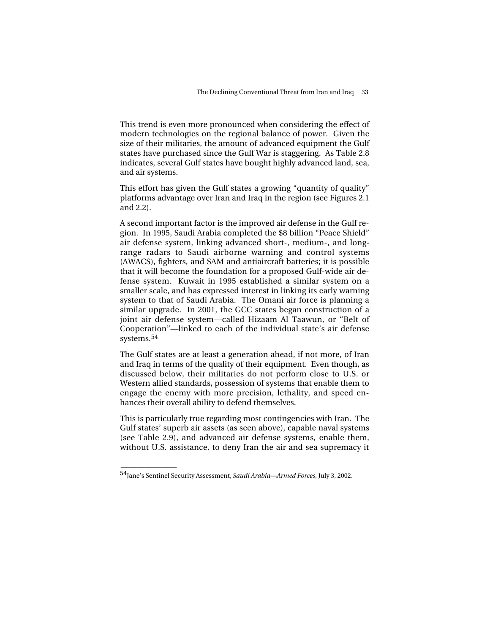This trend is even more pronounced when considering the effect of modern technologies on the regional balance of power. Given the size of their militaries, the amount of advanced equipment the Gulf states have purchased since the Gulf War is staggering. As Table 2.8 indicates, several Gulf states have bought highly advanced land, sea, and air systems.

This effort has given the Gulf states a growing "quantity of quality" platforms advantage over Iran and Iraq in the region (see Figures 2.1 and 2.2).

A second important factor is the improved air defense in the Gulf region. In 1995, Saudi Arabia completed the \$8 billion "Peace Shield" air defense system, linking advanced short-, medium-, and longrange radars to Saudi airborne warning and control systems (AWACS), fighters, and SAM and antiaircraft batteries; it is possible that it will become the foundation for a proposed Gulf-wide air defense system. Kuwait in 1995 established a similar system on a smaller scale, and has expressed interest in linking its early warning system to that of Saudi Arabia. The Omani air force is planning a similar upgrade. In 2001, the GCC states began construction of a joint air defense system—called Hizaam Al Taawun, or "Belt of Cooperation"—linked to each of the individual state's air defense systems.<sup>54</sup>

The Gulf states are at least a generation ahead, if not more, of Iran and Iraq in terms of the quality of their equipment. Even though, as discussed below, their militaries do not perform close to U.S. or Western allied standards, possession of systems that enable them to engage the enemy with more precision, lethality, and speed enhances their overall ability to defend themselves.

This is particularly true regarding most contingencies with Iran. The Gulf states' superb air assets (as seen above), capable naval systems (see Table 2.9), and advanced air defense systems, enable them, without U.S. assistance, to deny Iran the air and sea supremacy it

<sup>54</sup>Jane's Sentinel Security Assessment, *Saudi Arabia—Armed Forces*, July 3, 2002.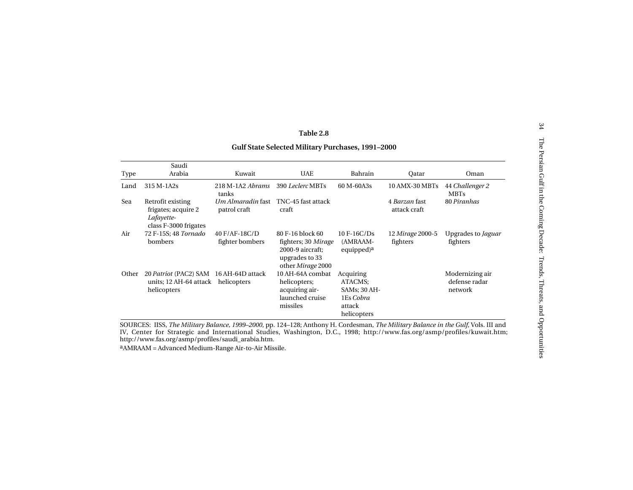|  | Table 2.8 |
|--|-----------|
|--|-----------|

## **Gulf State Selected Military Purchases, 1991–2000**

|       | Saudi                                                                           |                                   |                                                                                                    |                                                                            |                                      |                                             |
|-------|---------------------------------------------------------------------------------|-----------------------------------|----------------------------------------------------------------------------------------------------|----------------------------------------------------------------------------|--------------------------------------|---------------------------------------------|
| Type  | Arabia                                                                          | Kuwait                            | <b>UAE</b>                                                                                         | <b>Bahrain</b>                                                             | Oatar                                | Oman                                        |
| Land  | 315 M-1A2s                                                                      | 218 M-1A2 Abrams<br>tanks         | 390 Leclerc MBTs                                                                                   | 60 M-60A3s                                                                 | <b>10 AMX-30 MBTs</b>                | 44 Challenger 2<br><b>MBTs</b>              |
| Sea   | Retrofit existing<br>frigates; acquire 2<br>Lafayette-<br>class F-3000 frigates | Um Almaradin fast<br>patrol craft | TNC-45 fast attack<br>craft                                                                        |                                                                            | 4 <i>Barzan</i> fast<br>attack craft | 80 Piranhas                                 |
| Air   | 72 F-15S; 48 Tornado<br>bombers                                                 | 40 F/AF-18C/D<br>fighter bombers  | 80 F-16 block 60<br>fighters; 30 Mirage<br>2000-9 aircraft:<br>upgrades to 33<br>other Mirage 2000 | $10$ F-16C/Ds<br>(AMRAAM-<br>equipped) <sup>a</sup>                        | 12 Mirage 2000-5<br>fighters         | Upgrades to <i>Jaguar</i><br>fighters       |
| Other | 20 <i>Patriot</i> (PAC2) SAM<br>units; 12 AH-64 attack<br>helicopters           | 16 AH-64D attack<br>helicopters   | 10 AH-64A combat<br>helicopters;<br>acquiring air-<br>launched cruise<br>missiles                  | Acquiring<br>ATACMS;<br>SAMs; 30 AH-<br>1Es Cobra<br>attack<br>helicopters |                                      | Modernizing air<br>defense radar<br>network |

SOURCES: IISS, *The Military Balance, 1999–2000*, pp. 124–128; Anthony H. Cordesman, *The Military Balance in the Gulf,* Vols. III and IV, Center for Strategic and International Studies, Washington, D.C., 1998; http://www.fas.org/asmp/profiles/kuwait.htm; http://www.fas.org/asmp/profiles/saudi\_arabia.htm.

aAMRAAM = Advanced Medium-Range Air-to-Air Missile.

 $^{34}\,$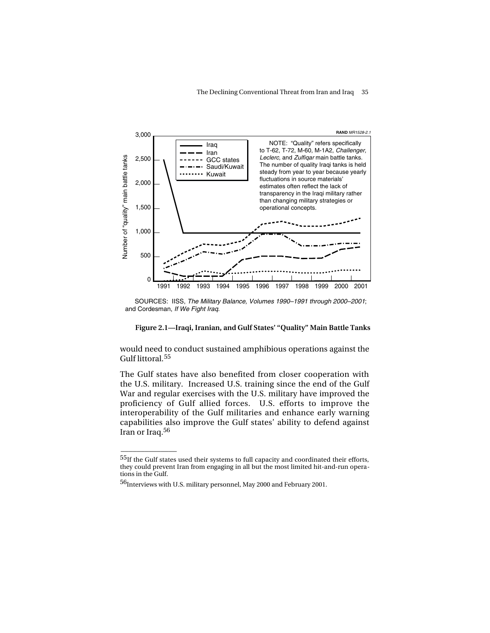#### The Declining Conventional Threat from Iran and Iraq 35



SOURCES: IISS, The Military Balance, Volumes 1990–1991 through 2000–2001; and Cordesman, If We Fight Iraq.

### **Figure 2.1—Iraqi, Iranian, and Gulf States' "Quality" Main Battle Tanks**

would need to conduct sustained amphibious operations against the Gulf littoral.<sup>55</sup>

The Gulf states have also benefited from closer cooperation with the U.S. military. Increased U.S. training since the end of the Gulf War and regular exercises with the U.S. military have improved the proficiency of Gulf allied forces. U.S. efforts to improve the interoperability of the Gulf militaries and enhance early warning capabilities also improve the Gulf states' ability to defend against Iran or Iraq.56

 $\rm ^{55} If$  the Gulf states used their systems to full capacity and coordinated their efforts, they could prevent Iran from engaging in all but the most limited hit-and-run operations in the Gulf.

<sup>56</sup>Interviews with U.S. military personnel, May 2000 and February 2001.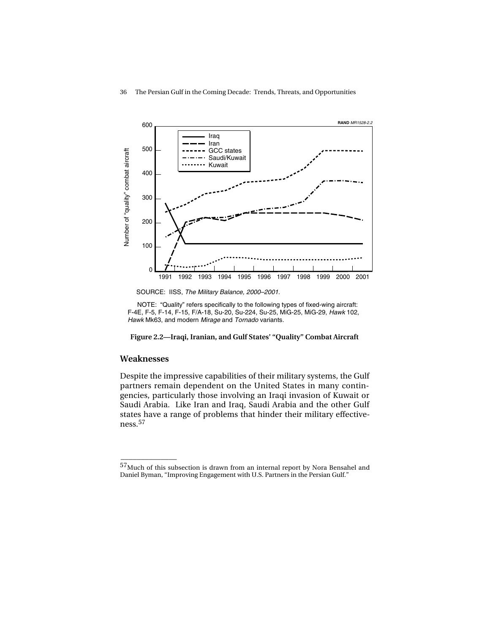

SOURCE: IISS, The Military Balance, 2000–2001.

NOTE: "Quality" refers specifically to the following types of fixed-wing aircraft: F-4E, F-5, F-14, F-15, F/A-18, Su-20, Su-224, Su-25, MiG-25, MiG-29, Hawk 102, Hawk Mk63, and modern Mirage and Tornado variants.

#### **Figure 2.2—Iraqi, Iranian, and Gulf States' "Quality" Combat Aircraft**

### **Weaknesses**

 $\overline{\phantom{a}}$ 

Despite the impressive capabilities of their military systems, the Gulf partners remain dependent on the United States in many contingencies, particularly those involving an Iraqi invasion of Kuwait or Saudi Arabia. Like Iran and Iraq, Saudi Arabia and the other Gulf states have a range of problems that hinder their military effectiveness.<sup>57</sup>

<sup>57</sup>Much of this subsection is drawn from an internal report by Nora Bensahel and Daniel Byman, "Improving Engagement with U.S. Partners in the Persian Gulf."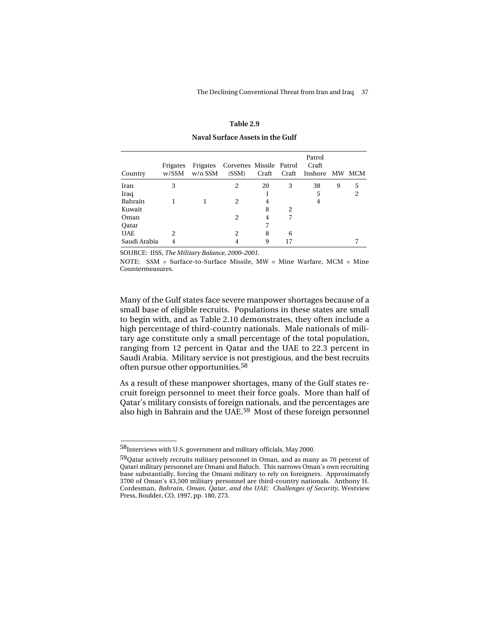| Table 2.9 |
|-----------|
|           |

**Naval Surface Assets in the Gulf**

| Country      | Frigates<br>w/SSM | Frigates<br>$w/o$ SSM | Corvettes Missile Patrol<br>(SSM) | Craft | Craft          | Patrol<br>Craft<br>Inshore MW MCM |   |   |
|--------------|-------------------|-----------------------|-----------------------------------|-------|----------------|-----------------------------------|---|---|
| Iran         | 3                 |                       | 2                                 | 20    | 3              | 38                                | 9 | 5 |
| Iraq         |                   |                       |                                   |       |                | 5                                 |   | 2 |
| Bahrain      |                   |                       | 2                                 | 4     |                | 4                                 |   |   |
| Kuwait       |                   |                       |                                   | 8     | $\mathfrak{D}$ |                                   |   |   |
| Oman         |                   |                       | $\mathfrak{D}$                    | 4     |                |                                   |   |   |
| Oatar        |                   |                       |                                   | 7     |                |                                   |   |   |
| <b>UAE</b>   | 2                 |                       | $\mathfrak{D}$                    | 8     | 6              |                                   |   |   |
| Saudi Arabia | 4                 |                       | 4                                 | 9     |                |                                   |   |   |

SOURCE: IISS, *The Military Balance, 2000–2001.*

NOTE: SSM = Surface-to-Surface Missile, MW = Mine Warfare, MCM = Mine Countermeasures.

Many of the Gulf states face severe manpower shortages because of a small base of eligible recruits. Populations in these states are small to begin with, and as Table 2.10 demonstrates, they often include a high percentage of third-country nationals. Male nationals of military age constitute only a small percentage of the total population, ranging from 12 percent in Qatar and the UAE to 22.3 percent in Saudi Arabia. Military service is not prestigious, and the best recruits often pursue other opportunities.58

As a result of these manpower shortages, many of the Gulf states recruit foreign personnel to meet their force goals. More than half of Qatar's military consists of foreign nationals, and the percentages are also high in Bahrain and the UAE.59 Most of these foreign personnel

 $^{58}\!$  Interviews with U.S. government and military officials, May 2000.

<sup>59</sup>Qatar actively recruits military personnel in Oman, and as many as 70 percent of Qatari military personnel are Omani and Baluch. This narrows Oman's own recruiting base substantially, forcing the Omani military to rely on foreigners. Approximately 3700 of Oman's 43,500 military personnel are third-country nationals. Anthony H. Cordesman, *Bahrain, Oman, Qatar, and the UAE: Challenges of Security*, Westview Press, Boulder, CO, 1997*,* pp. 180, 273.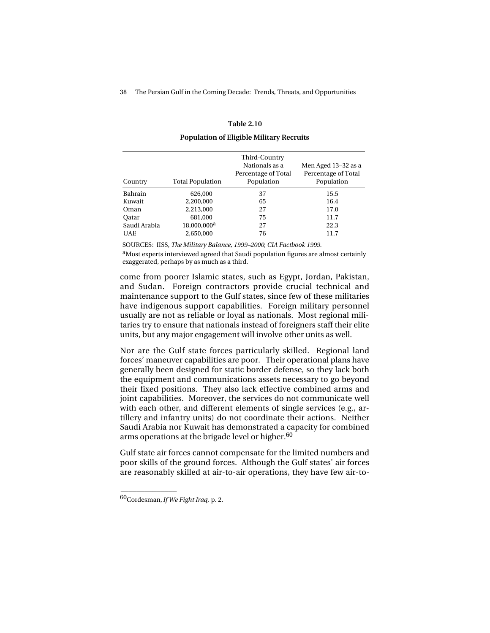### **Table 2.10**

#### **Population of Eligible Military Recruits**

| Country      | <b>Total Population</b> | Third-Country<br>Nationals as a<br>Percentage of Total<br>Population | Men Aged 13-32 as a<br>Percentage of Total<br>Population |
|--------------|-------------------------|----------------------------------------------------------------------|----------------------------------------------------------|
| Bahrain      | 626,000                 | 37                                                                   | 15.5                                                     |
| Kuwait       | 2,200,000               | 65                                                                   | 16.4                                                     |
| Oman         | 2,213,000               | 27                                                                   | 17.0                                                     |
| Oatar        | 681,000                 | 75                                                                   | 11.7                                                     |
| Saudi Arabia | 18,000,000 <sup>a</sup> | 27                                                                   | 22.3                                                     |
| <b>UAE</b>   | 2,650,000               | 76                                                                   | 11.7                                                     |

SOURCES: IISS, *The Military Balance, 1999–2000*; *CIA Factbook 1999.*

aMost experts interviewed agreed that Saudi population figures are almost certainly exaggerated, perhaps by as much as a third.

come from poorer Islamic states, such as Egypt, Jordan, Pakistan, and Sudan. Foreign contractors provide crucial technical and maintenance support to the Gulf states, since few of these militaries have indigenous support capabilities. Foreign military personnel usually are not as reliable or loyal as nationals. Most regional militaries try to ensure that nationals instead of foreigners staff their elite units, but any major engagement will involve other units as well.

Nor are the Gulf state forces particularly skilled. Regional land forces' maneuver capabilities are poor. Their operational plans have generally been designed for static border defense, so they lack both the equipment and communications assets necessary to go beyond their fixed positions. They also lack effective combined arms and joint capabilities. Moreover, the services do not communicate well with each other, and different elements of single services (e.g., artillery and infantry units) do not coordinate their actions. Neither Saudi Arabia nor Kuwait has demonstrated a capacity for combined arms operations at the brigade level or higher.<sup>60</sup>

Gulf state air forces cannot compensate for the limited numbers and poor skills of the ground forces. Although the Gulf states' air forces are reasonably skilled at air-to-air operations, they have few air-to-

<sup>60</sup>Cordesman, *If We Fight Iraq,* p. 2.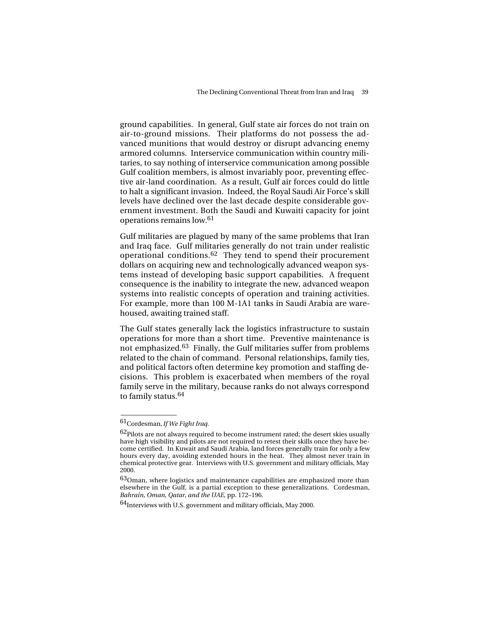ground capabilities. In general, Gulf state air forces do not train on air-to-ground missions. Their platforms do not possess the advanced munitions that would destroy or disrupt advancing enemy armored columns. Interservice communication within country militaries, to say nothing of interservice communication among possible Gulf coalition members, is almost invariably poor, preventing effective air-land coordination. As a result, Gulf air forces could do little to halt a significant invasion. Indeed, the Royal Saudi Air Force's skill levels have declined over the last decade despite considerable government investment. Both the Saudi and Kuwaiti capacity for joint operations remains low.61

Gulf militaries are plagued by many of the same problems that Iran and Iraq face. Gulf militaries generally do not train under realistic operational conditions.62 They tend to spend their procurement dollars on acquiring new and technologically advanced weapon systems instead of developing basic support capabilities. A frequent consequence is the inability to integrate the new, advanced weapon systems into realistic concepts of operation and training activities. For example, more than 100 M-1A1 tanks in Saudi Arabia are warehoused, awaiting trained staff.

The Gulf states generally lack the logistics infrastructure to sustain operations for more than a short time. Preventive maintenance is not emphasized.63 Finally, the Gulf militaries suffer from problems related to the chain of command. Personal relationships, family ties, and political factors often determine key promotion and staffing decisions. This problem is exacerbated when members of the royal family serve in the military, because ranks do not always correspond to family status.<sup>64</sup>

<sup>61</sup>Cordesman, *If We Fight Iraq.*

<sup>62</sup>Pilots are not always required to become instrument rated; the desert skies usually have high visibility and pilots are not required to retest their skills once they have become certified. In Kuwait and Saudi Arabia, land forces generally train for only a few hours every day, avoiding extended hours in the heat. They almost never train in chemical protective gear. Interviews with U.S. government and military officials, May 2000.

 $63$ Oman, where logistics and maintenance capabilities are emphasized more than elsewhere in the Gulf, is a partial exception to these generalizations. Cordesman, *Bahrain, Oman, Qatar, and the UAE,* pp. 172–196.

<sup>64</sup>Interviews with U.S. government and military officials, May 2000.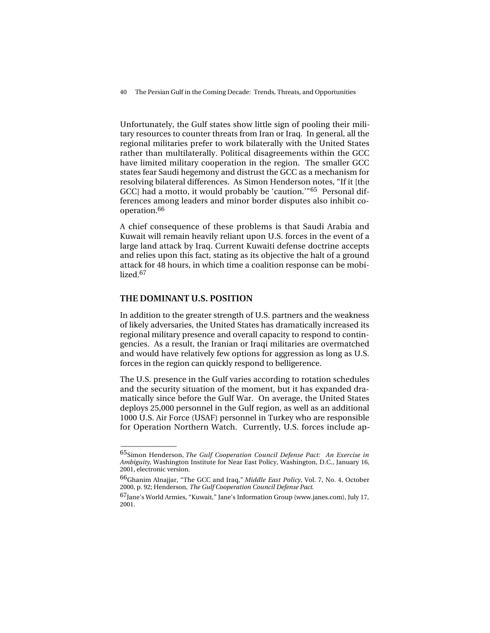Unfortunately, the Gulf states show little sign of pooling their military resources to counter threats from Iran or Iraq. In general, all the regional militaries prefer to work bilaterally with the United States rather than multilaterally. Political disagreements within the GCC have limited military cooperation in the region. The smaller GCC states fear Saudi hegemony and distrust the GCC as a mechanism for resolving bilateral differences. As Simon Henderson notes, "If it [the GCC] had a motto, it would probably be 'caution.'"65 Personal differences among leaders and minor border disputes also inhibit cooperation.66

A chief consequence of these problems is that Saudi Arabia and Kuwait will remain heavily reliant upon U.S. forces in the event of a large land attack by Iraq. Current Kuwaiti defense doctrine accepts and relies upon this fact, stating as its objective the halt of a ground attack for 48 hours, in which time a coalition response can be mobilized.67

## **THE DOMINANT U.S. POSITION**

 $\overline{\phantom{a}}$ 

In addition to the greater strength of U.S. partners and the weakness of likely adversaries, the United States has dramatically increased its regional military presence and overall capacity to respond to contingencies. As a result, the Iranian or Iraqi militaries are overmatched and would have relatively few options for aggression as long as U.S. forces in the region can quickly respond to belligerence.

The U.S. presence in the Gulf varies according to rotation schedules and the security situation of the moment, but it has expanded dramatically since before the Gulf War. On average, the United States deploys 25,000 personnel in the Gulf region, as well as an additional 1000 U.S. Air Force (USAF) personnel in Turkey who are responsible for Operation Northern Watch. Currently, U.S. forces include ap-

<sup>65</sup>Simon Henderson, *The Gulf Cooperation Council Defense Pact: An Exercise in Ambiguity*, Washington Institute for Near East Policy, Washington, D.C., January 16, 2001, electronic version.

<sup>66</sup>Ghanim Alnajjar, "The GCC and Iraq," *Middle East Policy*, Vol. 7, No. 4, October 2000, p. 92; Henderson, *The Gulf Cooperation Council Defense Pact*.

<sup>67</sup>Jane's World Armies, "Kuwait," Jane's Information Group (www.janes.com), July 17, 2001.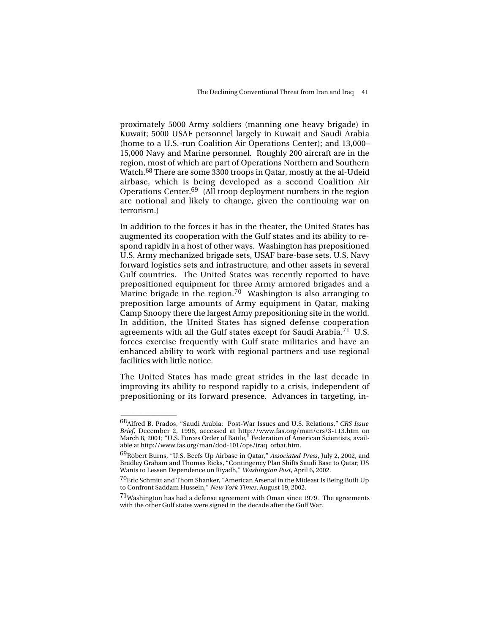proximately 5000 Army soldiers (manning one heavy brigade) in Kuwait; 5000 USAF personnel largely in Kuwait and Saudi Arabia (home to a U.S.-run Coalition Air Operations Center); and 13,000– 15,000 Navy and Marine personnel. Roughly 200 aircraft are in the region, most of which are part of Operations Northern and Southern Watch.68 There are some 3300 troops in Qatar, mostly at the al-Udeid airbase, which is being developed as a second Coalition Air Operations Center.69 (All troop deployment numbers in the region are notional and likely to change, given the continuing war on terrorism.)

In addition to the forces it has in the theater, the United States has augmented its cooperation with the Gulf states and its ability to respond rapidly in a host of other ways. Washington has prepositioned U.S. Army mechanized brigade sets, USAF bare-base sets, U.S. Navy forward logistics sets and infrastructure, and other assets in several Gulf countries. The United States was recently reported to have prepositioned equipment for three Army armored brigades and a Marine brigade in the region.<sup>70</sup> Washington is also arranging to preposition large amounts of Army equipment in Qatar, making Camp Snoopy there the largest Army prepositioning site in the world. In addition, the United States has signed defense cooperation agreements with all the Gulf states except for Saudi Arabia.71 U.S. forces exercise frequently with Gulf state militaries and have an enhanced ability to work with regional partners and use regional facilities with little notice.

The United States has made great strides in the last decade in improving its ability to respond rapidly to a crisis, independent of prepositioning or its forward presence. Advances in targeting, in-

<sup>68</sup>Alfred B. Prados, "Saudi Arabia: Post-War Issues and U.S. Relations," *CRS Issue Brief*, December 2, 1996, accessed at http://www.fas.org/man/crs/3-113.htm on March 8, 2001; "U.S. Forces Order of Battle," Federation of American Scientists, available at http://www.fas.org/man/dod-101/ops/iraq\_orbat.htm.

<sup>69</sup>Robert Burns, "U.S. Beefs Up Airbase in Qatar," *Associated Press*, July 2, 2002, and Bradley Graham and Thomas Ricks, "Contingency Plan Shifts Saudi Base to Qatar; US Wants to Lessen Dependence on Riyadh," *Washington Post*, April 6, 2002.

 $^{70}\rm{Eric}$  Schmitt and Thom Shanker, "American Arsenal in the Mideast Is Being Built Up to Confront Saddam Hussein," *New York Times*, August 19, 2002.

 $71$ Washington has had a defense agreement with Oman since 1979. The agreements with the other Gulf states were signed in the decade after the Gulf War.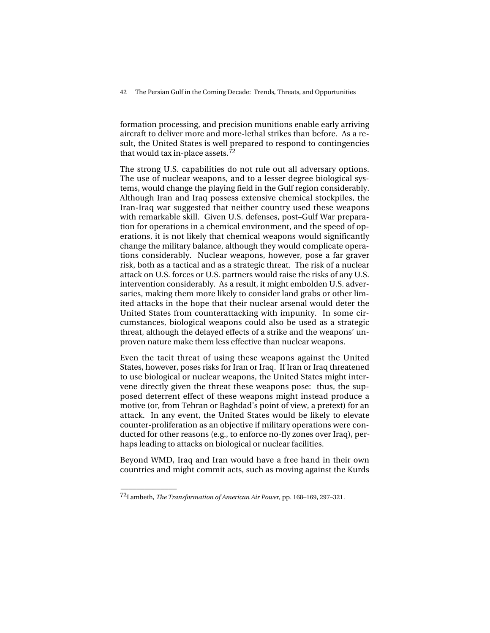formation processing, and precision munitions enable early arriving aircraft to deliver more and more-lethal strikes than before. As a result, the United States is well prepared to respond to contingencies that would tax in-place assets.<sup>72</sup>

The strong U.S. capabilities do not rule out all adversary options. The use of nuclear weapons, and to a lesser degree biological systems, would change the playing field in the Gulf region considerably. Although Iran and Iraq possess extensive chemical stockpiles, the Iran-Iraq war suggested that neither country used these weapons with remarkable skill. Given U.S. defenses, post–Gulf War preparation for operations in a chemical environment, and the speed of operations, it is not likely that chemical weapons would significantly change the military balance, although they would complicate operations considerably. Nuclear weapons, however, pose a far graver risk, both as a tactical and as a strategic threat. The risk of a nuclear attack on U.S. forces or U.S. partners would raise the risks of any U.S. intervention considerably. As a result, it might embolden U.S. adversaries, making them more likely to consider land grabs or other limited attacks in the hope that their nuclear arsenal would deter the United States from counterattacking with impunity. In some circumstances, biological weapons could also be used as a strategic threat, although the delayed effects of a strike and the weapons' unproven nature make them less effective than nuclear weapons.

Even the tacit threat of using these weapons against the United States, however, poses risks for Iran or Iraq. If Iran or Iraq threatened to use biological or nuclear weapons, the United States might intervene directly given the threat these weapons pose: thus, the supposed deterrent effect of these weapons might instead produce a motive (or, from Tehran or Baghdad's point of view, a pretext) for an attack. In any event, the United States would be likely to elevate counter-proliferation as an objective if military operations were conducted for other reasons (e.g., to enforce no-fly zones over Iraq), perhaps leading to attacks on biological or nuclear facilities.

Beyond WMD, Iraq and Iran would have a free hand in their own countries and might commit acts, such as moving against the Kurds

<sup>72</sup>Lambeth, *The Transformation of American Air Power,* pp. 168–169, 297–321.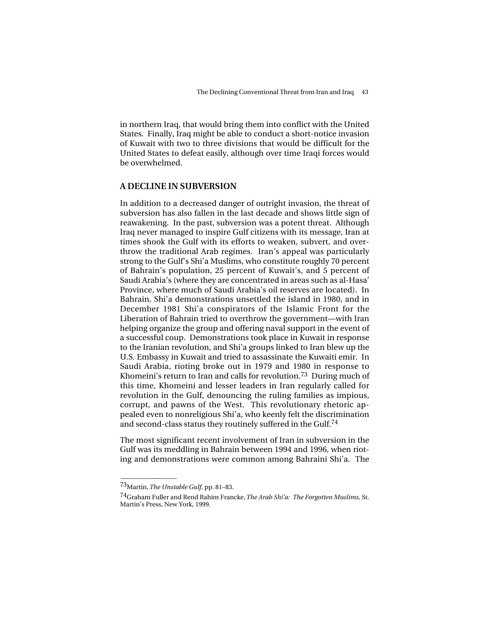in northern Iraq, that would bring them into conflict with the United States. Finally, Iraq might be able to conduct a short-notice invasion of Kuwait with two to three divisions that would be difficult for the United States to defeat easily, although over time Iraqi forces would be overwhelmed.

## **A DECLINE IN SUBVERSION**

In addition to a decreased danger of outright invasion, the threat of subversion has also fallen in the last decade and shows little sign of reawakening. In the past, subversion was a potent threat. Although Iraq never managed to inspire Gulf citizens with its message, Iran at times shook the Gulf with its efforts to weaken, subvert, and overthrow the traditional Arab regimes. Iran's appeal was particularly strong to the Gulf's Shi'a Muslims, who constitute roughly 70 percent of Bahrain's population, 25 percent of Kuwait's, and 5 percent of Saudi Arabia's (where they are concentrated in areas such as al-Hasa' Province, where much of Saudi Arabia's oil reserves are located). In Bahrain, Shi'a demonstrations unsettled the island in 1980, and in December 1981 Shi'a conspirators of the Islamic Front for the Liberation of Bahrain tried to overthrow the government—with Iran helping organize the group and offering naval support in the event of a successful coup. Demonstrations took place in Kuwait in response to the Iranian revolution, and Shi'a groups linked to Iran blew up the U.S. Embassy in Kuwait and tried to assassinate the Kuwaiti emir. In Saudi Arabia, rioting broke out in 1979 and 1980 in response to Khomeini's return to Iran and calls for revolution.73 During much of this time, Khomeini and lesser leaders in Iran regularly called for revolution in the Gulf, denouncing the ruling families as impious, corrupt, and pawns of the West. This revolutionary rhetoric appealed even to nonreligious Shi'a, who keenly felt the discrimination and second-class status they routinely suffered in the Gulf.<sup>74</sup>

The most significant recent involvement of Iran in subversion in the Gulf was its meddling in Bahrain between 1994 and 1996, when rioting and demonstrations were common among Bahraini Shi'a. The

<sup>73</sup>Martin, *The Unstable Gulf,* pp. 81–83.

<sup>74</sup>Graham Fuller and Rend Rahim Francke, *The Arab Shi'a: The Forgotten Muslims*, St. Martin's Press, New York, 1999*.*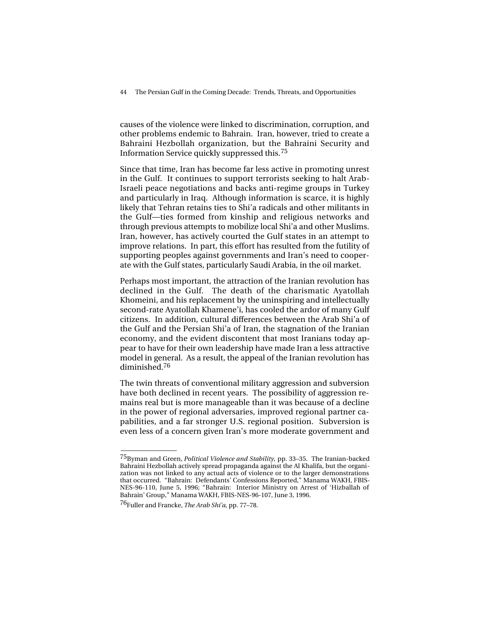causes of the violence were linked to discrimination, corruption, and other problems endemic to Bahrain. Iran, however, tried to create a Bahraini Hezbollah organization, but the Bahraini Security and Information Service quickly suppressed this.<sup>75</sup>

Since that time, Iran has become far less active in promoting unrest in the Gulf. It continues to support terrorists seeking to halt Arab-Israeli peace negotiations and backs anti-regime groups in Turkey and particularly in Iraq. Although information is scarce, it is highly likely that Tehran retains ties to Shi'a radicals and other militants in the Gulf—ties formed from kinship and religious networks and through previous attempts to mobilize local Shi'a and other Muslims. Iran, however, has actively courted the Gulf states in an attempt to improve relations. In part, this effort has resulted from the futility of supporting peoples against governments and Iran's need to cooperate with the Gulf states, particularly Saudi Arabia, in the oil market.

Perhaps most important, the attraction of the Iranian revolution has declined in the Gulf. The death of the charismatic Ayatollah Khomeini, and his replacement by the uninspiring and intellectually second-rate Ayatollah Khamene'i, has cooled the ardor of many Gulf citizens. In addition, cultural differences between the Arab Shi'a of the Gulf and the Persian Shi'a of Iran, the stagnation of the Iranian economy, and the evident discontent that most Iranians today appear to have for their own leadership have made Iran a less attractive model in general. As a result, the appeal of the Iranian revolution has diminished.76

The twin threats of conventional military aggression and subversion have both declined in recent years. The possibility of aggression remains real but is more manageable than it was because of a decline in the power of regional adversaries, improved regional partner capabilities, and a far stronger U.S. regional position. Subversion is even less of a concern given Iran's more moderate government and

<sup>75</sup>Byman and Green, *Political Violence and Stability,* pp. 33–35. The Iranian-backed Bahraini Hezbollah actively spread propaganda against the Al Khalifa, but the organization was not linked to any actual acts of violence or to the larger demonstrations that occurred. "Bahrain: Defendants' Confessions Reported," Manama WAKH, FBIS-NES-96-110, June 5, 1996; "Bahrain: Interior Ministry on Arrest of 'Hizballah of Bahrain' Group," Manama WAKH, FBIS-NES-96-107, June 3, 1996.

<sup>76</sup>Fuller and Francke, *The Arab Shi'a,* pp. 77–78.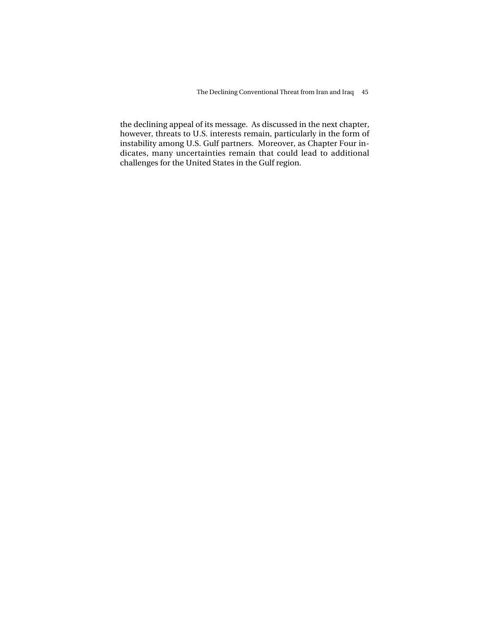The Declining Conventional Threat from Iran and Iraq 45

the declining appeal of its message. As discussed in the next chapter, however, threats to U.S. interests remain, particularly in the form of instability among U.S. Gulf partners. Moreover, as Chapter Four indicates, many uncertainties remain that could lead to additional challenges for the United States in the Gulf region.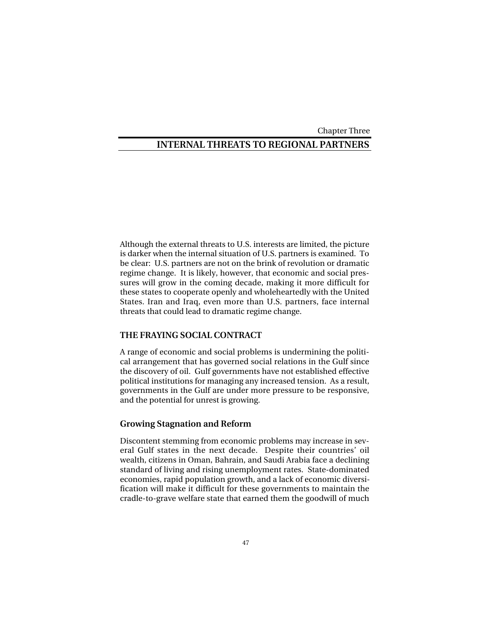Chapter Three

# **INTERNAL THREATS TO REGIONAL PARTNERS**

Although the external threats to U.S. interests are limited, the picture is darker when the internal situation of U.S. partners is examined. To be clear: U.S. partners are not on the brink of revolution or dramatic regime change. It is likely, however, that economic and social pressures will grow in the coming decade, making it more difficult for these states to cooperate openly and wholeheartedly with the United States. Iran and Iraq, even more than U.S. partners, face internal threats that could lead to dramatic regime change.

## **THE FRAYING SOCIAL CONTRACT**

A range of economic and social problems is undermining the political arrangement that has governed social relations in the Gulf since the discovery of oil. Gulf governments have not established effective political institutions for managing any increased tension. As a result, governments in the Gulf are under more pressure to be responsive, and the potential for unrest is growing.

### **Growing Stagnation and Reform**

Discontent stemming from economic problems may increase in several Gulf states in the next decade. Despite their countries' oil wealth, citizens in Oman, Bahrain, and Saudi Arabia face a declining standard of living and rising unemployment rates. State-dominated economies, rapid population growth, and a lack of economic diversification will make it difficult for these governments to maintain the cradle-to-grave welfare state that earned them the goodwill of much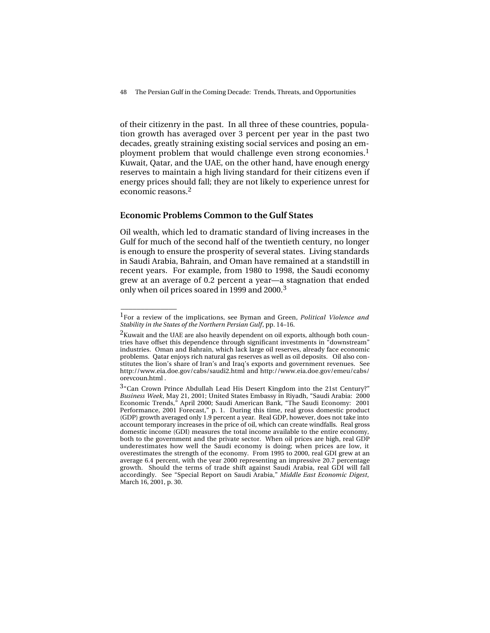of their citizenry in the past. In all three of these countries, population growth has averaged over 3 percent per year in the past two decades, greatly straining existing social services and posing an employment problem that would challenge even strong economies.<sup>1</sup> Kuwait, Qatar, and the UAE, on the other hand, have enough energy reserves to maintain a high living standard for their citizens even if energy prices should fall; they are not likely to experience unrest for economic reasons.<sup>2</sup>

### **Economic Problems Common to the Gulf States**

\_\_\_\_\_\_\_\_\_\_\_\_\_\_

Oil wealth, which led to dramatic standard of living increases in the Gulf for much of the second half of the twentieth century, no longer is enough to ensure the prosperity of several states. Living standards in Saudi Arabia, Bahrain, and Oman have remained at a standstill in recent years. For example, from 1980 to 1998, the Saudi economy grew at an average of 0.2 percent a year—a stagnation that ended only when oil prices soared in 1999 and 2000.<sup>3</sup>

<sup>1</sup>For a review of the implications, see Byman and Green, *Political Violence and Stability in the States of the Northern Persian Gulf*, pp. 14–16.

<sup>&</sup>lt;sup>2</sup>Kuwait and the UAE are also heavily dependent on oil exports, although both countries have offset this dependence through significant investments in "downstream" industries. Oman and Bahrain, which lack large oil reserves, already face economic problems. Qatar enjoys rich natural gas reserves as well as oil deposits. Oil also constitutes the lion's share of Iran's and Iraq's exports and government revenues. See http://www.eia.doe.gov/cabs/saudi2.html and http://www.eia.doe.gov/emeu/cabs/ orevcoun.html .

<sup>3&</sup>quot;Can Crown Prince Abdullah Lead His Desert Kingdom into the 21st Century?" *Business Week*, May 21, 2001; United States Embassy in Riyadh, "Saudi Arabia: 2000 Economic Trends," April 2000; Saudi American Bank, "The Saudi Economy: 2001 Performance, 2001 Forecast," p. 1. During this time, real gross domestic product (GDP) growth averaged only 1.9 percent a year. Real GDP, however, does not take into account temporary increases in the price of oil, which can create windfalls. Real gross domestic income (GDI) measures the total income available to the entire economy, both to the government and the private sector. When oil prices are high, real GDP underestimates how well the Saudi economy is doing; when prices are low, it overestimates the strength of the economy. From 1995 to 2000, real GDI grew at an average 6.4 percent, with the year 2000 representing an impressive 20.7 percentage growth. Should the terms of trade shift against Saudi Arabia, real GDI will fall accordingly. See "Special Report on Saudi Arabia," *Middle East Economic Digest*, March 16, 2001, p. 30.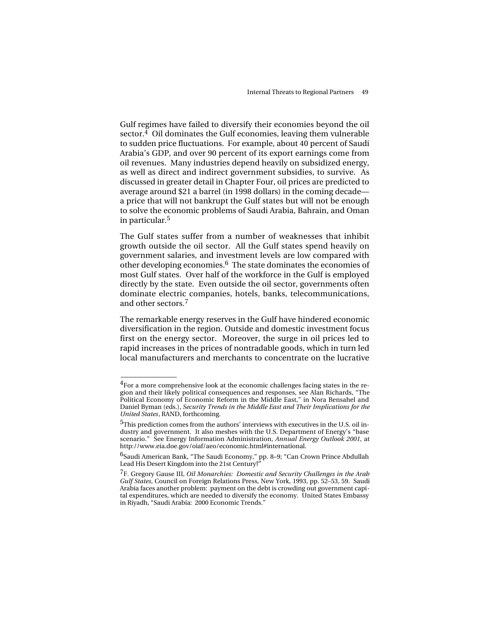Gulf regimes have failed to diversify their economies beyond the oil  $\sec$ tor.<sup>4</sup> Oil dominates the Gulf economies, leaving them vulnerable to sudden price fluctuations. For example, about 40 percent of Saudi Arabia's GDP, and over 90 percent of its export earnings come from oil revenues. Many industries depend heavily on subsidized energy, as well as direct and indirect government subsidies, to survive. As discussed in greater detail in Chapter Four, oil prices are predicted to average around \$21 a barrel (in 1998 dollars) in the coming decade a price that will not bankrupt the Gulf states but will not be enough to solve the economic problems of Saudi Arabia, Bahrain, and Oman in particular.5

The Gulf states suffer from a number of weaknesses that inhibit growth outside the oil sector. All the Gulf states spend heavily on government salaries, and investment levels are low compared with other developing economies.6 The state dominates the economies of most Gulf states. Over half of the workforce in the Gulf is employed directly by the state. Even outside the oil sector, governments often dominate electric companies, hotels, banks, telecommunications, and other sectors.<sup>7</sup>

The remarkable energy reserves in the Gulf have hindered economic diversification in the region. Outside and domestic investment focus first on the energy sector. Moreover, the surge in oil prices led to rapid increases in the prices of nontradable goods, which in turn led local manufacturers and merchants to concentrate on the lucrative

 $4$ For a more comprehensive look at the economic challenges facing states in the region and their likely political consequences and responses, see Alan Richards, "The Political Economy of Economic Reform in the Middle East," in Nora Bensahel and Daniel Byman (eds.), *Security Trends in the Middle East and Their Implications for the United States*, RAND, forthcoming.

<sup>&</sup>lt;sup>5</sup>This prediction comes from the authors' interviews with executives in the U.S. oil industry and government. It also meshes with the U.S. Department of Energy's "base scenario." See Energy Information Administration, *Annual Energy Outlook 2001*, at http://www.eia.doe.gov/oiaf/aeo/economic.html#international.

 $^6$ Saudi American Bank, "The Saudi Economy," pp. 8–9; "Can Crown Prince Abdullah Lead His Desert Kingdom into the 21st Century?"

<sup>7</sup>F. Gregory Gause III, *Oil Monarchies: Domestic and Security Challenges in the Arab Gulf States*, Council on Foreign Relations Press, New York, 1993, pp. 52–53, 59. Saudi Arabia faces another problem: payment on the debt is crowding out government capital expenditures, which are needed to diversify the economy. United States Embassy in Riyadh, "Saudi Arabia: 2000 Economic Trends."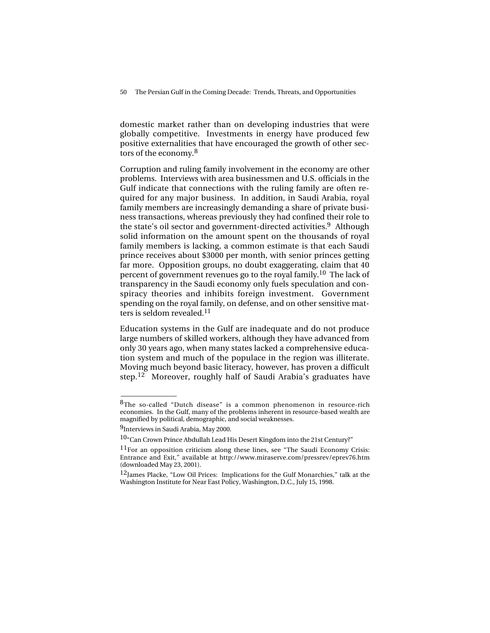domestic market rather than on developing industries that were globally competitive. Investments in energy have produced few positive externalities that have encouraged the growth of other sectors of the economy.<sup>8</sup>

Corruption and ruling family involvement in the economy are other problems. Interviews with area businessmen and U.S. officials in the Gulf indicate that connections with the ruling family are often required for any major business. In addition, in Saudi Arabia, royal family members are increasingly demanding a share of private business transactions, whereas previously they had confined their role to the state's oil sector and government-directed activities.9 Although solid information on the amount spent on the thousands of royal family members is lacking, a common estimate is that each Saudi prince receives about \$3000 per month, with senior princes getting far more. Opposition groups, no doubt exaggerating, claim that 40 percent of government revenues go to the royal family.10 The lack of transparency in the Saudi economy only fuels speculation and conspiracy theories and inhibits foreign investment. Government spending on the royal family, on defense, and on other sensitive matters is seldom revealed.<sup>11</sup>

Education systems in the Gulf are inadequate and do not produce large numbers of skilled workers, although they have advanced from only 30 years ago, when many states lacked a comprehensive education system and much of the populace in the region was illiterate. Moving much beyond basic literacy, however, has proven a difficult step.12 Moreover, roughly half of Saudi Arabia's graduates have

<sup>8</sup>The so-called "Dutch disease" is a common phenomenon in resource-rich economies. In the Gulf, many of the problems inherent in resource-based wealth are magnified by political, demographic, and social weaknesses.

<sup>&</sup>lt;sup>9</sup>Interviews in Saudi Arabia, May 2000.

<sup>10&</sup>quot;Can Crown Prince Abdullah Lead His Desert Kingdom into the 21st Century?"

 $11$ For an opposition criticism along these lines, see "The Saudi Economy Crisis: Entrance and Exit," available at http://www.miraserve.com/pressrev/eprev76.htm (downloaded May 23, 2001).

<sup>12</sup>James Placke, "Low Oil Prices: Implications for the Gulf Monarchies," talk at the Washington Institute for Near East Policy, Washington, D.C., July 15, 1998.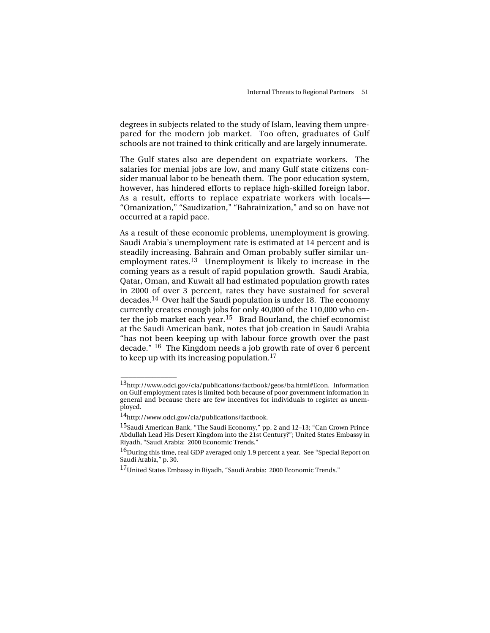degrees in subjects related to the study of Islam, leaving them unprepared for the modern job market. Too often, graduates of Gulf schools are not trained to think critically and are largely innumerate.

The Gulf states also are dependent on expatriate workers. The salaries for menial jobs are low, and many Gulf state citizens consider manual labor to be beneath them. The poor education system, however, has hindered efforts to replace high-skilled foreign labor. As a result, efforts to replace expatriate workers with locals— "Omanization," "Saudization," "Bahrainization," and so on have not occurred at a rapid pace.

As a result of these economic problems, unemployment is growing. Saudi Arabia's unemployment rate is estimated at 14 percent and is steadily increasing. Bahrain and Oman probably suffer similar unemployment rates.<sup>13</sup> Unemployment is likely to increase in the coming years as a result of rapid population growth. Saudi Arabia, Qatar, Oman, and Kuwait all had estimated population growth rates in 2000 of over 3 percent, rates they have sustained for several decades.14 Over half the Saudi population is under 18. The economy currently creates enough jobs for only 40,000 of the 110,000 who enter the job market each year.15 Brad Bourland, the chief economist at the Saudi American bank, notes that job creation in Saudi Arabia "has not been keeping up with labour force growth over the past decade." 16 The Kingdom needs a job growth rate of over 6 percent to keep up with its increasing population.17

<sup>13</sup>http://www.odci.gov/cia/publications/factbook/geos/ba.html#Econ. Information on Gulf employment rates is limited both because of poor government information in general and because there are few incentives for individuals to register as unemployed.

<sup>14</sup>http://www.odci.gov/cia/publications/factbook.

<sup>15</sup>Saudi American Bank, "The Saudi Economy," pp. 2 and 12–13; "Can Crown Prince Abdullah Lead His Desert Kingdom into the 21st Century?"; United States Embassy in Riyadh, "Saudi Arabia: 2000 Economic Trends."

<sup>16</sup>During this time, real GDP averaged only 1.9 percent a year. See "Special Report on Saudi Arabia," p. 30.

<sup>17</sup>United States Embassy in Riyadh, "Saudi Arabia: 2000 Economic Trends."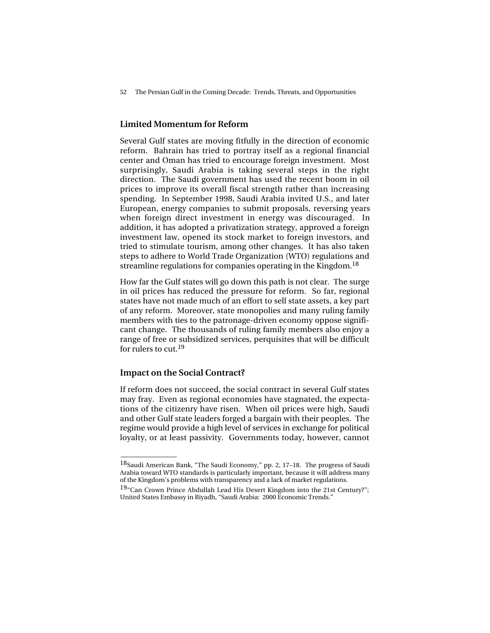### **Limited Momentum for Reform**

Several Gulf states are moving fitfully in the direction of economic reform. Bahrain has tried to portray itself as a regional financial center and Oman has tried to encourage foreign investment. Most surprisingly, Saudi Arabia is taking several steps in the right direction. The Saudi government has used the recent boom in oil prices to improve its overall fiscal strength rather than increasing spending. In September 1998, Saudi Arabia invited U.S., and later European, energy companies to submit proposals, reversing years when foreign direct investment in energy was discouraged. In addition, it has adopted a privatization strategy, approved a foreign investment law, opened its stock market to foreign investors, and tried to stimulate tourism, among other changes. It has also taken steps to adhere to World Trade Organization (WTO) regulations and streamline regulations for companies operating in the Kingdom.18

How far the Gulf states will go down this path is not clear. The surge in oil prices has reduced the pressure for reform. So far, regional states have not made much of an effort to sell state assets, a key part of any reform. Moreover, state monopolies and many ruling family members with ties to the patronage-driven economy oppose significant change. The thousands of ruling family members also enjoy a range of free or subsidized services, perquisites that will be difficult for rulers to cut.19

## **Impact on the Social Contract?**

 $\overline{\phantom{a}}$ 

If reform does not succeed, the social contract in several Gulf states may fray. Even as regional economies have stagnated, the expectations of the citizenry have risen. When oil prices were high, Saudi and other Gulf state leaders forged a bargain with their peoples. The regime would provide a high level of services in exchange for political loyalty, or at least passivity. Governments today, however, cannot

<sup>18</sup>Saudi American Bank, "The Saudi Economy," pp. 2, 17–18. The progress of Saudi Arabia toward WTO standards is particularly important, because it will address many of the Kingdom's problems with transparency and a lack of market regulations.

<sup>19&</sup>quot;Can Crown Prince Abdullah Lead His Desert Kingdom into the 21st Century?"; United States Embassy in Riyadh, "Saudi Arabia: 2000 Economic Trends."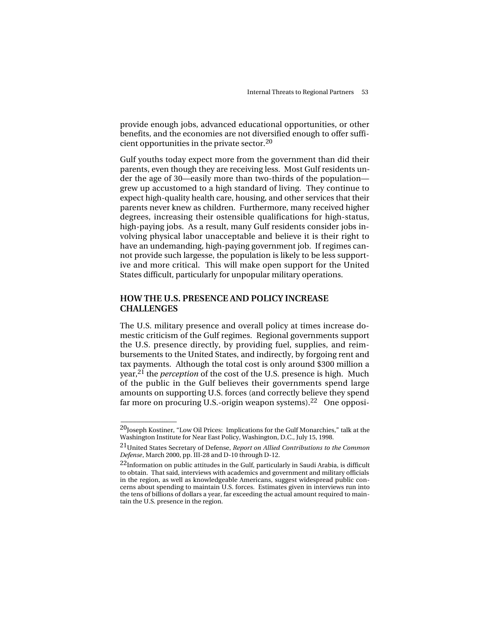provide enough jobs, advanced educational opportunities, or other benefits, and the economies are not diversified enough to offer sufficient opportunities in the private sector.<sup>20</sup>

Gulf youths today expect more from the government than did their parents, even though they are receiving less. Most Gulf residents under the age of 30—easily more than two-thirds of the population grew up accustomed to a high standard of living. They continue to expect high-quality health care, housing, and other services that their parents never knew as children. Furthermore, many received higher degrees, increasing their ostensible qualifications for high-status, high-paying jobs. As a result, many Gulf residents consider jobs involving physical labor unacceptable and believe it is their right to have an undemanding, high-paying government job. If regimes cannot provide such largesse, the population is likely to be less supportive and more critical. This will make open support for the United States difficult, particularly for unpopular military operations.

# **HOW THE U.S. PRESENCE AND POLICY INCREASE CHALLENGES**

The U.S. military presence and overall policy at times increase domestic criticism of the Gulf regimes. Regional governments support the U.S. presence directly, by providing fuel, supplies, and reimbursements to the United States, and indirectly, by forgoing rent and tax payments. Although the total cost is only around \$300 million a year,21 the *perception* of the cost of the U.S. presence is high. Much of the public in the Gulf believes their governments spend large amounts on supporting U.S. forces (and correctly believe they spend far more on procuring U.S.-origin weapon systems).<sup>22</sup> One opposi-

<sup>20</sup>Joseph Kostiner, "Low Oil Prices: Implications for the Gulf Monarchies," talk at the Washington Institute for Near East Policy, Washington, D.C., July 15, 1998.

<sup>21</sup>United States Secretary of Defense, *Report on Allied Contributions to the Common Defense*, March 2000, pp. III-28 and D-10 through D-12.

<sup>&</sup>lt;sup>22</sup>Information on public attitudes in the Gulf, particularly in Saudi Arabia, is difficult to obtain. That said, interviews with academics and government and military officials in the region, as well as knowledgeable Americans, suggest widespread public concerns about spending to maintain U.S. forces. Estimates given in interviews run into the tens of billions of dollars a year, far exceeding the actual amount required to maintain the U.S. presence in the region.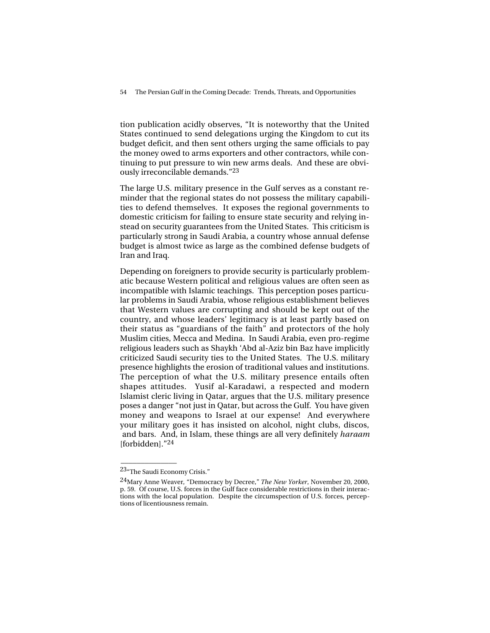tion publication acidly observes, "It is noteworthy that the United States continued to send delegations urging the Kingdom to cut its budget deficit, and then sent others urging the same officials to pay the money owed to arms exporters and other contractors, while continuing to put pressure to win new arms deals. And these are obviously irreconcilable demands."23

The large U.S. military presence in the Gulf serves as a constant reminder that the regional states do not possess the military capabilities to defend themselves. It exposes the regional governments to domestic criticism for failing to ensure state security and relying instead on security guarantees from the United States. This criticism is particularly strong in Saudi Arabia, a country whose annual defense budget is almost twice as large as the combined defense budgets of Iran and Iraq.

Depending on foreigners to provide security is particularly problematic because Western political and religious values are often seen as incompatible with Islamic teachings. This perception poses particular problems in Saudi Arabia, whose religious establishment believes that Western values are corrupting and should be kept out of the country, and whose leaders' legitimacy is at least partly based on their status as "guardians of the faith" and protectors of the holy Muslim cities, Mecca and Medina. In Saudi Arabia, even pro-regime religious leaders such as Shaykh 'Abd al-Aziz bin Baz have implicitly criticized Saudi security ties to the United States. The U.S. military presence highlights the erosion of traditional values and institutions. The perception of what the U.S. military presence entails often shapes attitudes. Yusif al-Karadawi, a respected and modern Islamist cleric living in Qatar, argues that the U.S. military presence poses a danger "not just in Qatar, but across the Gulf. You have given money and weapons to Israel at our expense! And everywhere your military goes it has insisted on alcohol, night clubs, discos, and bars. And, in Islam, these things are all very definitely *haraam* [forbidden]."24

<sup>23&</sup>quot;The Saudi Economy Crisis."

<sup>24</sup>Mary Anne Weaver, "Democracy by Decree," *The New Yorker*, November 20, 2000, p. 59. Of course, U.S. forces in the Gulf face considerable restrictions in their interactions with the local population. Despite the circumspection of U.S. forces, perceptions of licentiousness remain.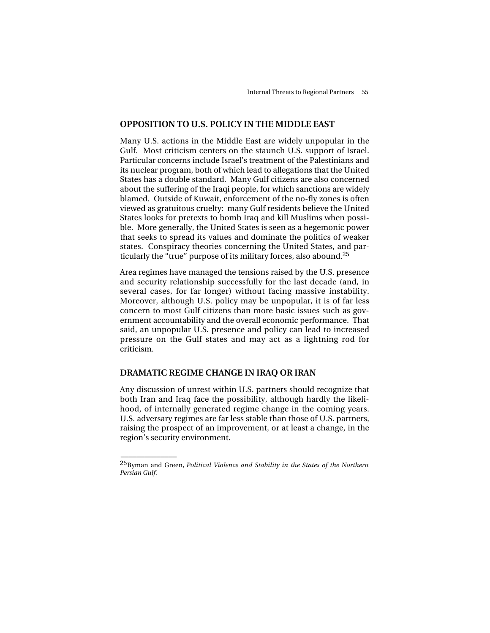# **OPPOSITION TO U.S. POLICY IN THE MIDDLE EAST**

Many U.S. actions in the Middle East are widely unpopular in the Gulf. Most criticism centers on the staunch U.S. support of Israel. Particular concerns include Israel's treatment of the Palestinians and its nuclear program, both of which lead to allegations that the United States has a double standard. Many Gulf citizens are also concerned about the suffering of the Iraqi people, for which sanctions are widely blamed. Outside of Kuwait, enforcement of the no-fly zones is often viewed as gratuitous cruelty: many Gulf residents believe the United States looks for pretexts to bomb Iraq and kill Muslims when possible. More generally, the United States is seen as a hegemonic power that seeks to spread its values and dominate the politics of weaker states. Conspiracy theories concerning the United States, and particularly the "true" purpose of its military forces, also abound.25

Area regimes have managed the tensions raised by the U.S. presence and security relationship successfully for the last decade (and, in several cases, for far longer) without facing massive instability. Moreover, although U.S. policy may be unpopular, it is of far less concern to most Gulf citizens than more basic issues such as government accountability and the overall economic performance. That said, an unpopular U.S. presence and policy can lead to increased pressure on the Gulf states and may act as a lightning rod for criticism.

## **DRAMATIC REGIME CHANGE IN IRAQ OR IRAN**

 $\overline{\phantom{a}}$ 

Any discussion of unrest within U.S. partners should recognize that both Iran and Iraq face the possibility, although hardly the likelihood, of internally generated regime change in the coming years. U.S. adversary regimes are far less stable than those of U.S. partners, raising the prospect of an improvement, or at least a change, in the region's security environment.

<sup>25</sup>Byman and Green, *Political Violence and Stability in the States of the Northern Persian Gulf*.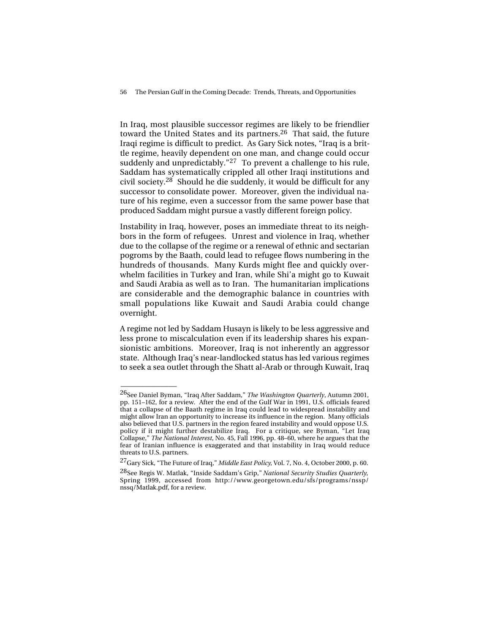In Iraq, most plausible successor regimes are likely to be friendlier toward the United States and its partners.<sup>26</sup> That said, the future Iraqi regime is difficult to predict. As Gary Sick notes, "Iraq is a brittle regime, heavily dependent on one man, and change could occur suddenly and unpredictably."<sup>27</sup> To prevent a challenge to his rule, Saddam has systematically crippled all other Iraqi institutions and civil society.<sup>28</sup> Should he die suddenly, it would be difficult for any successor to consolidate power. Moreover, given the individual nature of his regime, even a successor from the same power base that produced Saddam might pursue a vastly different foreign policy.

Instability in Iraq, however, poses an immediate threat to its neighbors in the form of refugees. Unrest and violence in Iraq, whether due to the collapse of the regime or a renewal of ethnic and sectarian pogroms by the Baath, could lead to refugee flows numbering in the hundreds of thousands. Many Kurds might flee and quickly overwhelm facilities in Turkey and Iran, while Shi'a might go to Kuwait and Saudi Arabia as well as to Iran. The humanitarian implications are considerable and the demographic balance in countries with small populations like Kuwait and Saudi Arabia could change overnight.

A regime not led by Saddam Husayn is likely to be less aggressive and less prone to miscalculation even if its leadership shares his expansionistic ambitions. Moreover, Iraq is not inherently an aggressor state. Although Iraq's near-landlocked status has led various regimes to seek a sea outlet through the Shatt al-Arab or through Kuwait, Iraq

<sup>26</sup>See Daniel Byman, "Iraq After Saddam," *The Washington Quarterly*, Autumn 2001, pp. 151–162, for a review. After the end of the Gulf War in 1991, U.S. officials feared that a collapse of the Baath regime in Iraq could lead to widespread instability and might allow Iran an opportunity to increase its influence in the region. Many officials also believed that U.S. partners in the region feared instability and would oppose U.S. policy if it might further destabilize Iraq. For a critique, see Byman, "Let Iraq Collapse," *The National Interest*, No. 45, Fall 1996, pp. 48–60, where he argues that the fear of Iranian influence is exaggerated and that instability in Iraq would reduce threats to U.S. partners.

<sup>27</sup>Gary Sick, "The Future of Iraq," *Middle East Policy*, Vol. 7, No. 4, October 2000, p. 60.

<sup>28</sup>See Regis W. Matlak, "Inside Saddam's Grip," *National Security Studies Quarterly*, Spring 1999, accessed from http://www.georgetown.edu/sfs/programs/nssp/ nssq/Matlak.pdf, for a review.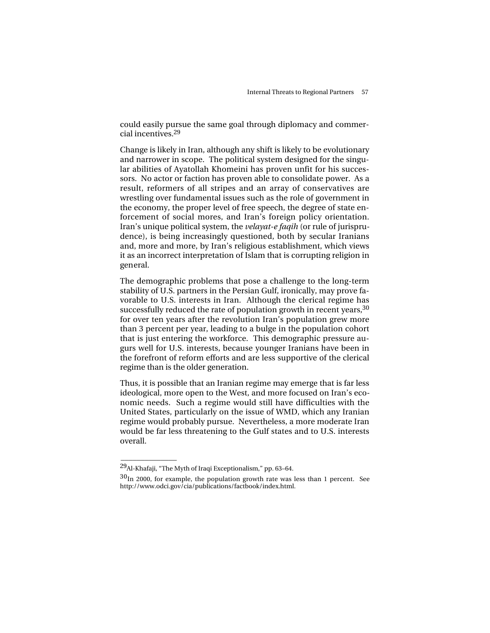could easily pursue the same goal through diplomacy and commercial incentives.29

Change is likely in Iran, although any shift is likely to be evolutionary and narrower in scope. The political system designed for the singular abilities of Ayatollah Khomeini has proven unfit for his successors. No actor or faction has proven able to consolidate power. As a result, reformers of all stripes and an array of conservatives are wrestling over fundamental issues such as the role of government in the economy, the proper level of free speech, the degree of state enforcement of social mores, and Iran's foreign policy orientation. Iran's unique political system, the *velayat-e faqih* (or rule of jurisprudence), is being increasingly questioned, both by secular Iranians and, more and more, by Iran's religious establishment, which views it as an incorrect interpretation of Islam that is corrupting religion in general.

The demographic problems that pose a challenge to the long-term stability of U.S. partners in the Persian Gulf, ironically, may prove favorable to U.S. interests in Iran. Although the clerical regime has successfully reduced the rate of population growth in recent years, 30 for over ten years after the revolution Iran's population grew more than 3 percent per year, leading to a bulge in the population cohort that is just entering the workforce. This demographic pressure augurs well for U.S. interests, because younger Iranians have been in the forefront of reform efforts and are less supportive of the clerical regime than is the older generation.

Thus, it is possible that an Iranian regime may emerge that is far less ideological, more open to the West, and more focused on Iran's economic needs. Such a regime would still have difficulties with the United States, particularly on the issue of WMD, which any Iranian regime would probably pursue. Nevertheless, a more moderate Iran would be far less threatening to the Gulf states and to U.S. interests overall.

<sup>29</sup>Al-Khafaji, "The Myth of Iraqi Exceptionalism," pp. 63–64.

 $30$ In 2000, for example, the population growth rate was less than 1 percent. See http://www.odci.gov/cia/publications/factbook/index.html.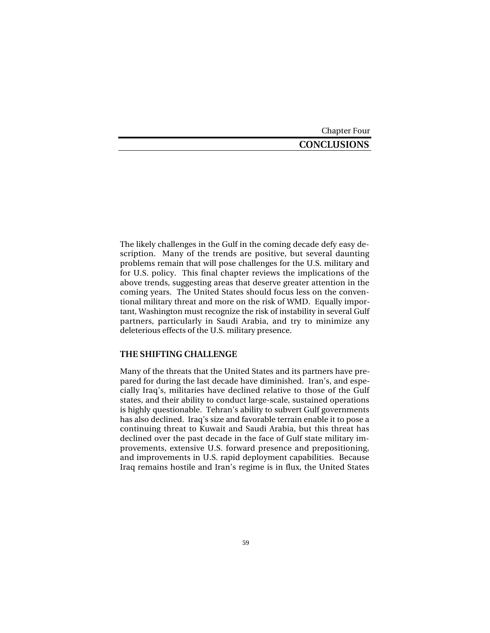### Chapter Four

# **CONCLUSIONS**

The likely challenges in the Gulf in the coming decade defy easy description. Many of the trends are positive, but several daunting problems remain that will pose challenges for the U.S. military and for U.S. policy. This final chapter reviews the implications of the above trends, suggesting areas that deserve greater attention in the coming years. The United States should focus less on the conventional military threat and more on the risk of WMD. Equally important, Washington must recognize the risk of instability in several Gulf partners, particularly in Saudi Arabia, and try to minimize any deleterious effects of the U.S. military presence.

### **THE SHIFTING CHALLENGE**

Many of the threats that the United States and its partners have prepared for during the last decade have diminished. Iran's, and especially Iraq's, militaries have declined relative to those of the Gulf states, and their ability to conduct large-scale, sustained operations is highly questionable. Tehran's ability to subvert Gulf governments has also declined. Iraq's size and favorable terrain enable it to pose a continuing threat to Kuwait and Saudi Arabia, but this threat has declined over the past decade in the face of Gulf state military improvements, extensive U.S. forward presence and prepositioning, and improvements in U.S. rapid deployment capabilities. Because Iraq remains hostile and Iran's regime is in flux, the United States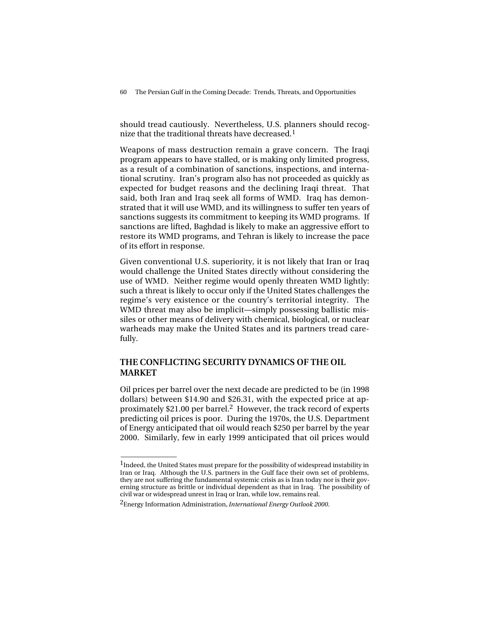should tread cautiously. Nevertheless, U.S. planners should recognize that the traditional threats have decreased.<sup>1</sup>

Weapons of mass destruction remain a grave concern. The Iraqi program appears to have stalled, or is making only limited progress, as a result of a combination of sanctions, inspections, and international scrutiny. Iran's program also has not proceeded as quickly as expected for budget reasons and the declining Iraqi threat. That said, both Iran and Iraq seek all forms of WMD. Iraq has demonstrated that it will use WMD, and its willingness to suffer ten years of sanctions suggests its commitment to keeping its WMD programs. If sanctions are lifted, Baghdad is likely to make an aggressive effort to restore its WMD programs, and Tehran is likely to increase the pace of its effort in response.

Given conventional U.S. superiority, it is not likely that Iran or Iraq would challenge the United States directly without considering the use of WMD. Neither regime would openly threaten WMD lightly: such a threat is likely to occur only if the United States challenges the regime's very existence or the country's territorial integrity. The WMD threat may also be implicit—simply possessing ballistic missiles or other means of delivery with chemical, biological, or nuclear warheads may make the United States and its partners tread carefully.

# **THE CONFLICTING SECURITY DYNAMICS OF THE OIL MARKET**

Oil prices per barrel over the next decade are predicted to be (in 1998 dollars) between \$14.90 and \$26.31, with the expected price at approximately \$21.00 per barrel.2 However, the track record of experts predicting oil prices is poor. During the 1970s, the U.S. Department of Energy anticipated that oil would reach \$250 per barrel by the year 2000. Similarly, few in early 1999 anticipated that oil prices would

\_\_\_\_\_\_\_\_\_\_\_\_\_\_

<sup>1</sup>Indeed, the United States must prepare for the possibility of widespread instability in Iran or Iraq. Although the U.S. partners in the Gulf face their own set of problems, they are not suffering the fundamental systemic crisis as is Iran today nor is their governing structure as brittle or individual dependent as that in Iraq. The possibility of civil war or widespread unrest in Iraq or Iran, while low, remains real.

<sup>2</sup>Energy Information Administration, *International Energy Outlook 2000*.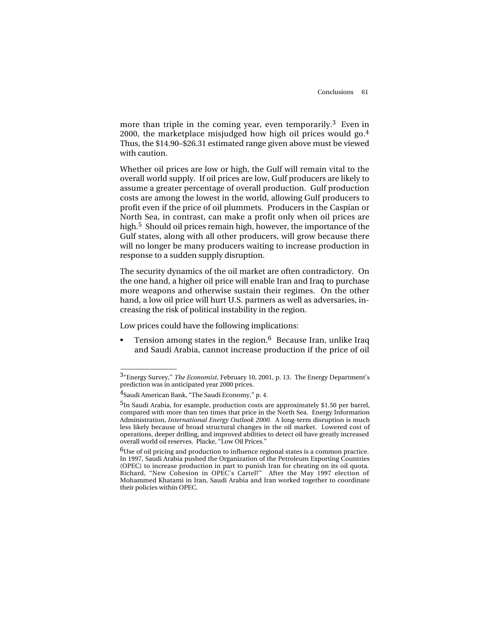more than triple in the coming year, even temporarily.<sup>3</sup> Even in 2000, the marketplace misjudged how high oil prices would go.<sup>4</sup> Thus, the \$14.90–\$26.31 estimated range given above must be viewed with caution.

Whether oil prices are low or high, the Gulf will remain vital to the overall world supply. If oil prices are low, Gulf producers are likely to assume a greater percentage of overall production. Gulf production costs are among the lowest in the world, allowing Gulf producers to profit even if the price of oil plummets. Producers in the Caspian or North Sea, in contrast, can make a profit only when oil prices are high.<sup>5</sup> Should oil prices remain high, however, the importance of the Gulf states, along with all other producers, will grow because there will no longer be many producers waiting to increase production in response to a sudden supply disruption.

The security dynamics of the oil market are often contradictory. On the one hand, a higher oil price will enable Iran and Iraq to purchase more weapons and otherwise sustain their regimes. On the other hand, a low oil price will hurt U.S. partners as well as adversaries, increasing the risk of political instability in the region.

Low prices could have the following implications:

Tension among states in the region.<sup>6</sup> Because Iran, unlike Iraq and Saudi Arabia, cannot increase production if the price of oil

\_\_\_\_\_\_\_\_\_\_\_\_\_\_

<sup>3&</sup>quot;Energy Survey," *The Economist*, February 10, 2001, p. 13. The Energy Department's prediction was in anticipated year 2000 prices.

<sup>4</sup>Saudi American Bank, "The Saudi Economy," p. 4.

<sup>&</sup>lt;sup>5</sup>In Saudi Arabia, for example, production costs are approximately \$1.50 per barrel, compared with more than ten times that price in the North Sea. Energy Information Administration, *International Energy Outlook 2000*. A long-term disruption is much less likely because of broad structural changes in the oil market. Lowered cost of operations, deeper drilling, and improved abilities to detect oil have greatly increased overall world oil reserves. Placke, "Low Oil Prices."

 $<sup>6</sup>$ Use of oil pricing and production to influence regional states is a common practice.</sup> In 1997, Saudi Arabia pushed the Organization of the Petroleum Exporting Countries (OPEC) to increase production in part to punish Iran for cheating on its oil quota. Richard, "New Cohesion in OPEC's Cartel?" After the May 1997 election of Mohammed Khatami in Iran, Saudi Arabia and Iran worked together to coordinate their policies within OPEC.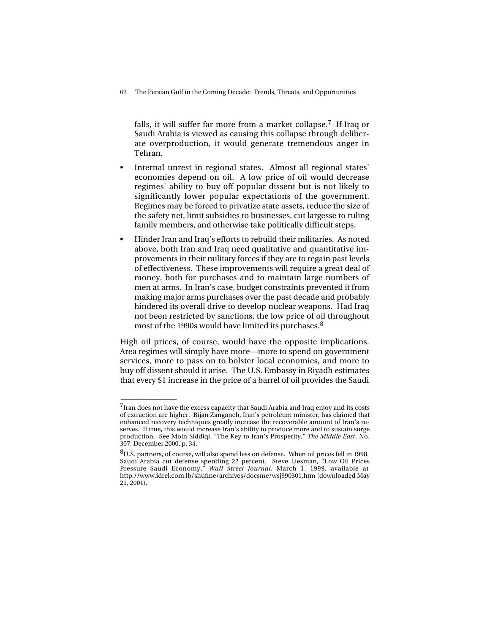falls, it will suffer far more from a market collapse.<sup>7</sup> If Iraq or Saudi Arabia is viewed as causing this collapse through deliberate overproduction, it would generate tremendous anger in Tehran.

- Internal unrest in regional states. Almost all regional states' economies depend on oil. A low price of oil would decrease regimes' ability to buy off popular dissent but is not likely to significantly lower popular expectations of the government. Regimes may be forced to privatize state assets, reduce the size of the safety net, limit subsidies to businesses, cut largesse to ruling family members, and otherwise take politically difficult steps.
- Hinder Iran and Iraq's efforts to rebuild their militaries. As noted above, both Iran and Iraq need qualitative and quantitative improvements in their military forces if they are to regain past levels of effectiveness. These improvements will require a great deal of money, both for purchases and to maintain large numbers of men at arms. In Iran's case, budget constraints prevented it from making major arms purchases over the past decade and probably hindered its overall drive to develop nuclear weapons. Had Iraq not been restricted by sanctions, the low price of oil throughout most of the 1990s would have limited its purchases.<sup>8</sup>

High oil prices, of course, would have the opposite implications. Area regimes will simply have more—more to spend on government services, more to pass on to bolster local economies, and more to buy off dissent should it arise. The U.S. Embassy in Riyadh estimates that every \$1 increase in the price of a barrel of oil provides the Saudi

 $\overline{\phantom{a}}$ 

<sup>&</sup>lt;sup>7</sup> Iran does not have the excess capacity that Saudi Arabia and Iraq enjoy and its costs of extraction are higher. Bijan Zanganeh, Iran's petroleum minister, has claimed that enhanced recovery techniques greatly increase the recoverable amount of Iran's reserves. If true, this would increase Iran's ability to produce more and to sustain surge production. See Moin Siddiqi, "The Key to Iran's Prosperity," *The Middle East*, No. 307, December 2000, p. 34.

<sup>8</sup>U.S. partners, of course, will also spend less on defense. When oil prices fell in 1998, Saudi Arabia cut defense spending 22 percent. Steve Liesman, "Low Oil Prices Pressure Saudi Economy," *Wall Street Journal*, March 1, 1999, available at http://www.idrel.com.lb/shufme/archives/docsme/wsj990301.htm (downloaded May 21, 2001).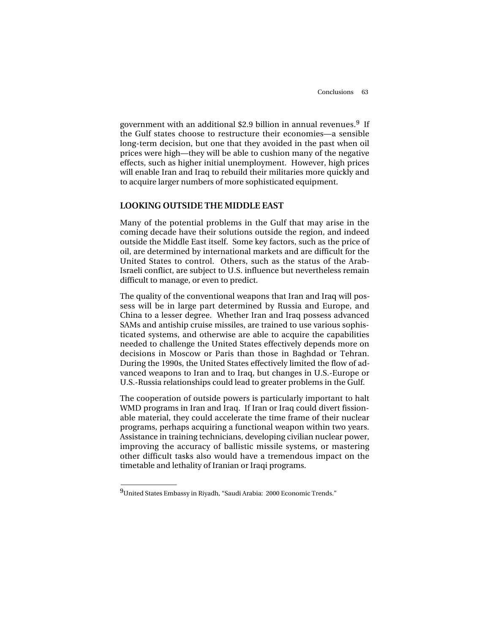government with an additional \$2.9 billion in annual revenues.9 If the Gulf states choose to restructure their economies—a sensible long-term decision, but one that they avoided in the past when oil prices were high—they will be able to cushion many of the negative effects, such as higher initial unemployment. However, high prices will enable Iran and Iraq to rebuild their militaries more quickly and to acquire larger numbers of more sophisticated equipment.

# **LOOKING OUTSIDE THE MIDDLE EAST**

Many of the potential problems in the Gulf that may arise in the coming decade have their solutions outside the region, and indeed outside the Middle East itself. Some key factors, such as the price of oil, are determined by international markets and are difficult for the United States to control. Others, such as the status of the Arab-Israeli conflict, are subject to U.S. influence but nevertheless remain difficult to manage, or even to predict.

The quality of the conventional weapons that Iran and Iraq will possess will be in large part determined by Russia and Europe, and China to a lesser degree. Whether Iran and Iraq possess advanced SAMs and antiship cruise missiles, are trained to use various sophisticated systems, and otherwise are able to acquire the capabilities needed to challenge the United States effectively depends more on decisions in Moscow or Paris than those in Baghdad or Tehran. During the 1990s, the United States effectively limited the flow of advanced weapons to Iran and to Iraq, but changes in U.S.-Europe or U.S.-Russia relationships could lead to greater problems in the Gulf.

The cooperation of outside powers is particularly important to halt WMD programs in Iran and Iraq. If Iran or Iraq could divert fissionable material, they could accelerate the time frame of their nuclear programs, perhaps acquiring a functional weapon within two years. Assistance in training technicians, developing civilian nuclear power. improving the accuracy of ballistic missile systems, or mastering other difficult tasks also would have a tremendous impact on the timetable and lethality of Iranian or Iraqi programs.

 $\overline{\phantom{a}}$ 

<sup>9</sup>United States Embassy in Riyadh, "Saudi Arabia: 2000 Economic Trends."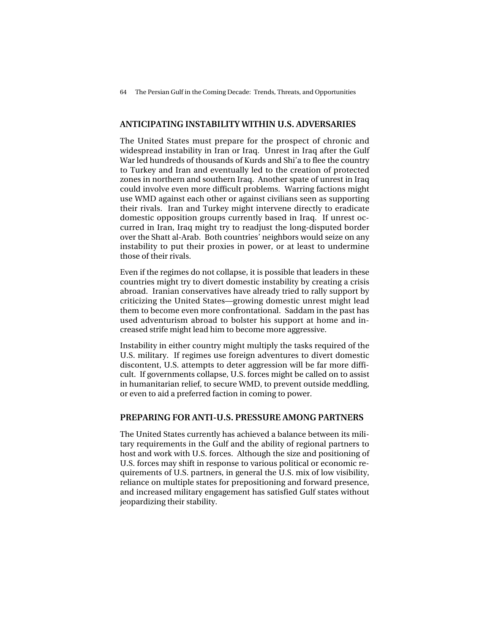# **ANTICIPATING INSTABILITY WITHIN U.S. ADVERSARIES**

The United States must prepare for the prospect of chronic and widespread instability in Iran or Iraq. Unrest in Iraq after the Gulf War led hundreds of thousands of Kurds and Shi'a to flee the country to Turkey and Iran and eventually led to the creation of protected zones in northern and southern Iraq. Another spate of unrest in Iraq could involve even more difficult problems. Warring factions might use WMD against each other or against civilians seen as supporting their rivals. Iran and Turkey might intervene directly to eradicate domestic opposition groups currently based in Iraq. If unrest occurred in Iran, Iraq might try to readjust the long-disputed border over the Shatt al-Arab. Both countries' neighbors would seize on any instability to put their proxies in power, or at least to undermine those of their rivals.

Even if the regimes do not collapse, it is possible that leaders in these countries might try to divert domestic instability by creating a crisis abroad. Iranian conservatives have already tried to rally support by criticizing the United States—growing domestic unrest might lead them to become even more confrontational. Saddam in the past has used adventurism abroad to bolster his support at home and increased strife might lead him to become more aggressive.

Instability in either country might multiply the tasks required of the U.S. military. If regimes use foreign adventures to divert domestic discontent, U.S. attempts to deter aggression will be far more difficult. If governments collapse, U.S. forces might be called on to assist in humanitarian relief, to secure WMD, to prevent outside meddling, or even to aid a preferred faction in coming to power.

# **PREPARING FOR ANTI-U.S. PRESSURE AMONG PARTNERS**

The United States currently has achieved a balance between its military requirements in the Gulf and the ability of regional partners to host and work with U.S. forces. Although the size and positioning of U.S. forces may shift in response to various political or economic requirements of U.S. partners, in general the U.S. mix of low visibility, reliance on multiple states for prepositioning and forward presence, and increased military engagement has satisfied Gulf states without jeopardizing their stability.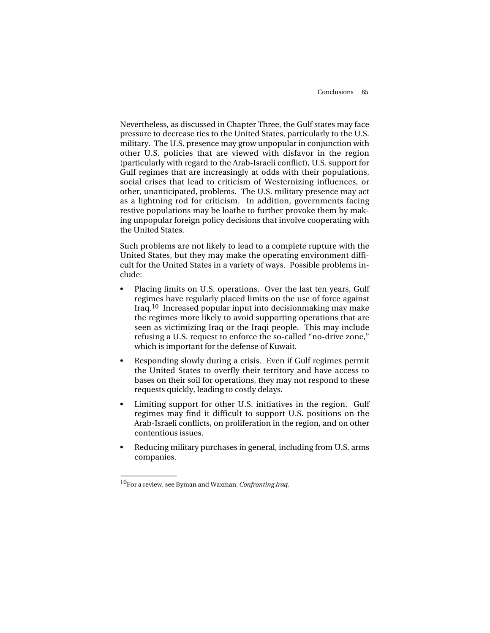Nevertheless, as discussed in Chapter Three, the Gulf states may face pressure to decrease ties to the United States, particularly to the U.S. military. The U.S. presence may grow unpopular in conjunction with other U.S. policies that are viewed with disfavor in the region (particularly with regard to the Arab-Israeli conflict), U.S. support for Gulf regimes that are increasingly at odds with their populations, social crises that lead to criticism of Westernizing influences, or other, unanticipated, problems. The U.S. military presence may act as a lightning rod for criticism. In addition, governments facing restive populations may be loathe to further provoke them by making unpopular foreign policy decisions that involve cooperating with the United States.

Such problems are not likely to lead to a complete rupture with the United States, but they may make the operating environment difficult for the United States in a variety of ways. Possible problems include:

- Placing limits on U.S. operations. Over the last ten years, Gulf regimes have regularly placed limits on the use of force against Iraq.10 Increased popular input into decisionmaking may make the regimes more likely to avoid supporting operations that are seen as victimizing Iraq or the Iraqi people. This may include refusing a U.S. request to enforce the so-called "no-drive zone," which is important for the defense of Kuwait.
- Responding slowly during a crisis. Even if Gulf regimes permit the United States to overfly their territory and have access to bases on their soil for operations, they may not respond to these requests quickly, leading to costly delays.
- Limiting support for other U.S. initiatives in the region. Gulf regimes may find it difficult to support U.S. positions on the Arab-Israeli conflicts, on proliferation in the region, and on other contentious issues.
- Reducing military purchases in general, including from U.S. arms companies.

\_\_\_\_\_\_\_\_\_\_\_\_\_\_

<sup>10</sup>For a review, see Byman and Waxman, *Confronting Iraq.*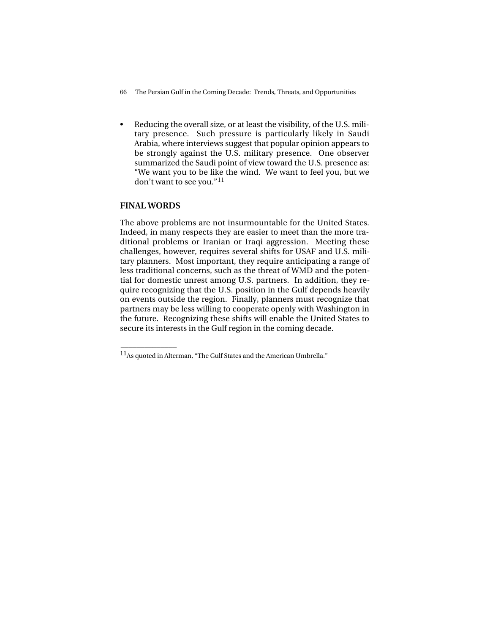- 66 The Persian Gulf in the Coming Decade: Trends, Threats, and Opportunities
- Reducing the overall size, or at least the visibility, of the U.S. military presence. Such pressure is particularly likely in Saudi Arabia, where interviews suggest that popular opinion appears to be strongly against the U.S. military presence. One observer summarized the Saudi point of view toward the U.S. presence as: "We want you to be like the wind. We want to feel you, but we don't want to see you."<sup>11</sup>

## **FINAL WORDS**

\_\_\_\_\_\_\_\_\_\_\_\_\_\_

The above problems are not insurmountable for the United States. Indeed, in many respects they are easier to meet than the more traditional problems or Iranian or Iraqi aggression. Meeting these challenges, however, requires several shifts for USAF and U.S. military planners. Most important, they require anticipating a range of less traditional concerns, such as the threat of WMD and the potential for domestic unrest among U.S. partners. In addition, they require recognizing that the U.S. position in the Gulf depends heavily on events outside the region. Finally, planners must recognize that partners may be less willing to cooperate openly with Washington in the future. Recognizing these shifts will enable the United States to secure its interests in the Gulf region in the coming decade.

<sup>11</sup>As quoted in Alterman, "The Gulf States and the American Umbrella."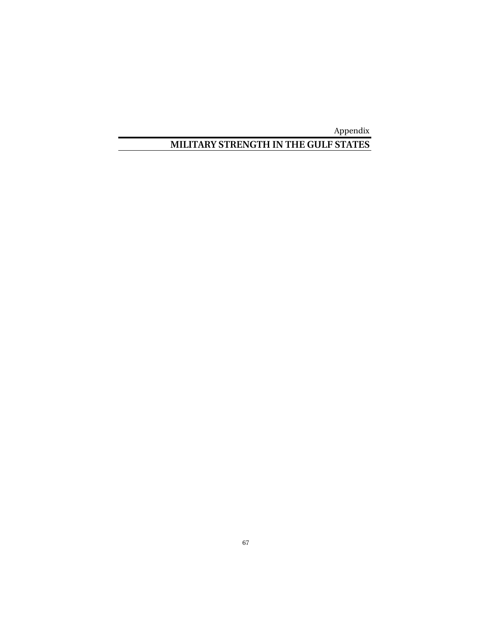Appendix

**MILITARY STRENGTH IN THE GULF STATES**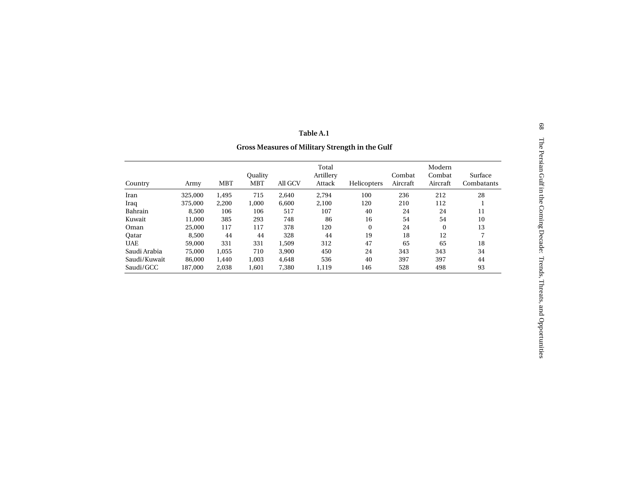| Gross Measures of Military Strength in the Gulf |         |            |                       |         |                              |                  |                    |                              |                       |
|-------------------------------------------------|---------|------------|-----------------------|---------|------------------------------|------------------|--------------------|------------------------------|-----------------------|
| Country                                         | Army    | <b>MBT</b> | Ouality<br><b>MBT</b> | All GCV | Total<br>Artillery<br>Attack | Helicopters      | Combat<br>Aircraft | Modern<br>Combat<br>Aircraft | Surface<br>Combatants |
| Iran                                            | 325,000 | 1,495      | 715                   | 2.640   | 2.794                        | 100              | 236                | 212                          | 28                    |
| Iraq                                            | 375,000 | 2,200      | 1.000                 | 6,600   | 2,100                        | 120              | 210                | 112                          |                       |
| Bahrain                                         | 8.500   | 106        | 106                   | 517     | 107                          | 40               | 24                 | 24                           | 11                    |
| Kuwait                                          | 11,000  | 385        | 293                   | 748     | 86                           | 16               | 54                 | 54                           | 10                    |
| Oman                                            | 25,000  | 117        | 117                   | 378     | 120                          | $\boldsymbol{0}$ | 24                 | $\mathbf{0}$                 | 13                    |
| Oatar                                           | 8,500   | 44         | 44                    | 328     | 44                           | 19               | 18                 | 12                           | 7                     |
| <b>UAE</b>                                      | 59,000  | 331        | 331                   | 1.509   | 312                          | 47               | 65                 | 65                           | 18                    |
| Saudi Arabia                                    | 75,000  | 1.055      | 710                   | 3.900   | 450                          | 24               | 343                | 343                          | 34                    |
| Saudi/Kuwait                                    | 86,000  | 1.440      | 1.003                 | 4.648   | 536                          | 40               | 397                | 397                          | 44                    |
| Saudi/GCC                                       | 187,000 | 2.038      | 1.601                 | 7.380   | 1,119                        | 146              | 528                | 498                          | 93                    |

**Gross Measures of Military Strength in the Gulf**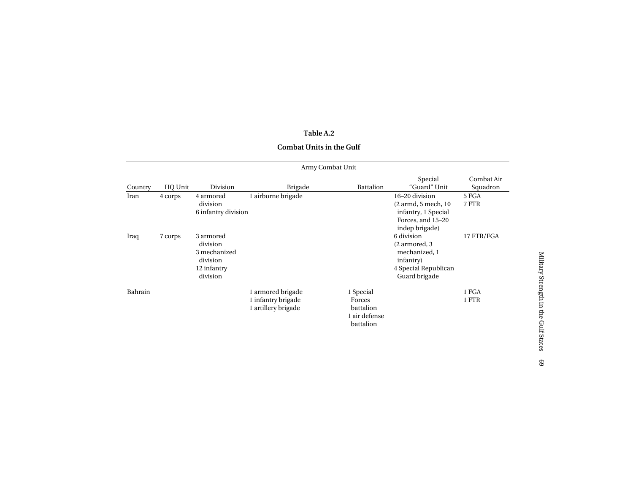### **Table A.2**

### **Combat Units in the Gulf**

|         | Army Combat Unit |                                                                              |                                                                |                                                                |                                                                                                                        |                        |  |
|---------|------------------|------------------------------------------------------------------------------|----------------------------------------------------------------|----------------------------------------------------------------|------------------------------------------------------------------------------------------------------------------------|------------------------|--|
| Country | HQ Unit          | Division                                                                     | <b>Brigade</b>                                                 | Battalion                                                      | Special<br>"Guard" Unit                                                                                                | Combat Air<br>Squadron |  |
| Iran    | 4 corps          | 4 armored<br>division<br>6 infantry division                                 | 1 airborne brigade                                             |                                                                | 16-20 division<br>$(2 \text{ armd}, 5 \text{ mech}, 10)$<br>infantry, 1 Special<br>Forces, and 15-20<br>indep brigade) | 5 FGA<br>7 FTR         |  |
| Iraq    | 7 corps          | 3 armored<br>division<br>3 mechanized<br>division<br>12 infantry<br>division |                                                                |                                                                | 6 division<br>(2 armored, 3)<br>mechanized, 1<br>infantry)<br>4 Special Republican<br>Guard brigade                    | 17 FTR/FGA             |  |
| Bahrain |                  |                                                                              | 1 armored brigade<br>1 infantry brigade<br>1 artillery brigade | 1 Special<br>Forces<br>battalion<br>1 air defense<br>battalion |                                                                                                                        | 1 FGA<br>1 FTR         |  |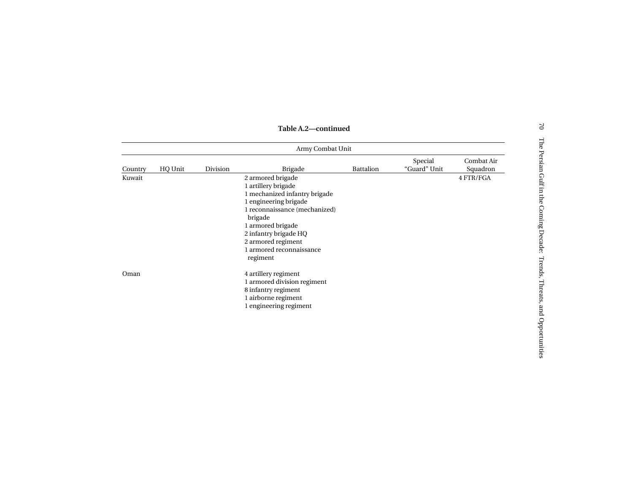| Army Combat Unit |         |          |                                                                                                                                                                                                                                                            |           |                         |                        |  |
|------------------|---------|----------|------------------------------------------------------------------------------------------------------------------------------------------------------------------------------------------------------------------------------------------------------------|-----------|-------------------------|------------------------|--|
| Country          | HQ Unit | Division | <b>Brigade</b>                                                                                                                                                                                                                                             | Battalion | Special<br>"Guard" Unit | Combat Air<br>Squadron |  |
| Kuwait           |         |          | 2 armored brigade<br>1 artillery brigade<br>1 mechanized infantry brigade<br>1 engineering brigade<br>1 reconnaissance (mechanized)<br>brigade<br>1 armored brigade<br>2 infantry brigade HQ<br>2 armored regiment<br>1 armored reconnaissance<br>regiment |           |                         | 4 FTR/FGA              |  |
| Oman             |         |          | 4 artillery regiment<br>1 armored division regiment<br>8 infantry regiment<br>1 airborne regiment<br>1 engineering regiment                                                                                                                                |           |                         |                        |  |

**Table A.2—continued**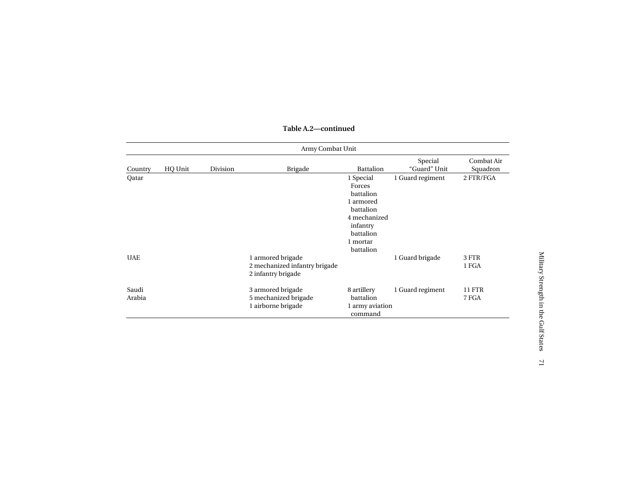|                 | Army Combat Unit |          |                                                                          |                                                                                                                              |                         |                        |  |  |
|-----------------|------------------|----------|--------------------------------------------------------------------------|------------------------------------------------------------------------------------------------------------------------------|-------------------------|------------------------|--|--|
| Country         | HQ Unit          | Division | <b>Brigade</b>                                                           | Battalion                                                                                                                    | Special<br>"Guard" Unit | Combat Air<br>Squadron |  |  |
| Qatar           |                  |          |                                                                          | 1 Special<br>Forces<br>battalion<br>1 armored<br>battalion<br>4 mechanized<br>infantry<br>battalion<br>1 mortar<br>battalion | 1 Guard regiment        | 2 FTR/FGA              |  |  |
| <b>UAE</b>      |                  |          | 1 armored brigade<br>2 mechanized infantry brigade<br>2 infantry brigade |                                                                                                                              | 1 Guard brigade         | 3 FTR<br>1 FGA         |  |  |
| Saudi<br>Arabia |                  |          | 3 armored brigade<br>5 mechanized brigade<br>1 airborne brigade          | 8 artillery<br>battalion<br>1 army aviation<br>command                                                                       | 1 Guard regiment        | <b>11 FTR</b><br>7 FGA |  |  |

### **Table A.2—continued**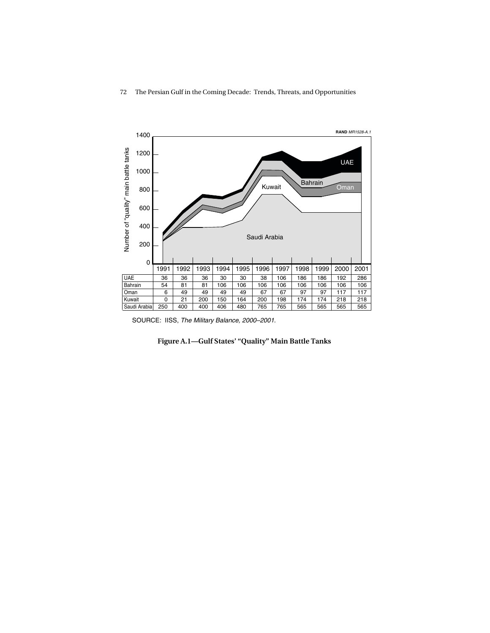

SOURCE: IISS, The Military Balance, 2000–2001.

**Figure A.1—Gulf States' "Quality" Main Battle Tanks**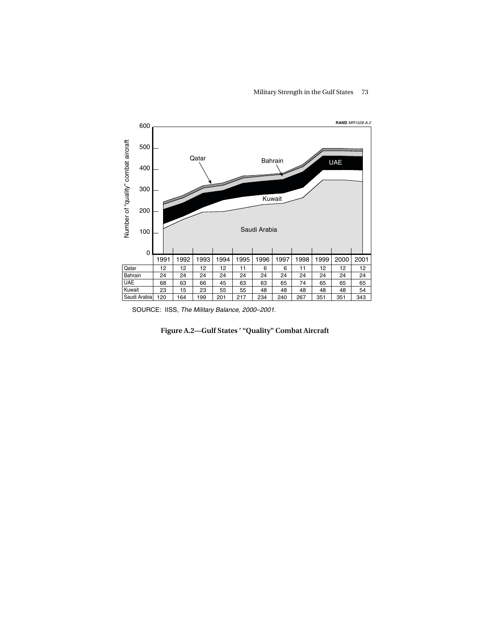## Military Strength in the Gulf States 73



SOURCE: IISS, The Military Balance, 2000–2001.

**Figure A.2—Gulf States ' "Quality" Combat Aircraft**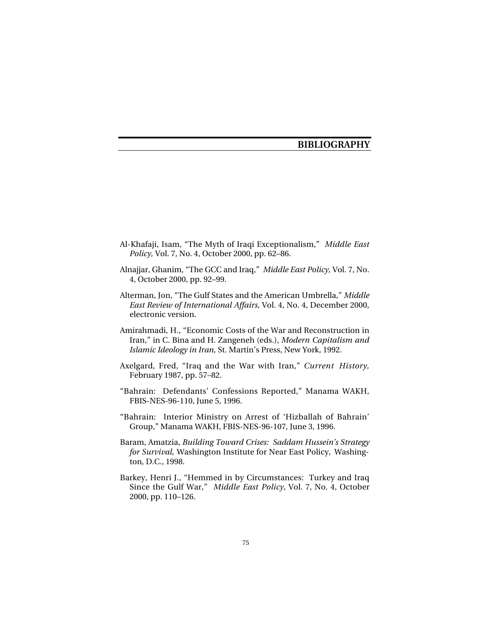# **BIBLIOGRAPHY**

- Al-Khafaji, Isam, "The Myth of Iraqi Exceptionalism," *Middle East Policy,* Vol. 7, No. 4, October 2000, pp. 62–86.
- Alnajjar, Ghanim, "The GCC and Iraq," *Middle East Policy,* Vol. 7, No. 4, October 2000, pp. 92–99.
- Alterman, Jon, "The Gulf States and the American Umbrella," *Middle East Review of International Affairs*, Vol. 4, No. 4, December 2000, electronic version.
- Amirahmadi, H., "Economic Costs of the War and Reconstruction in Iran," in C. Bina and H. Zangeneh (eds.), *Modern Capitalism and Islamic Ideology in Iran,* St. Martin's Press, New York, 1992.
- Axelgard, Fred, "Iraq and the War with Iran," *Current History,* February 1987, pp. 57–82.
- "Bahrain: Defendants' Confessions Reported," Manama WAKH, FBIS-NES-96-110, June 5, 1996.
- "Bahrain: Interior Ministry on Arrest of 'Hizballah of Bahrain' Group," Manama WAKH, FBIS-NES-96-107, June 3, 1996.
- Baram, Amatzia, *Building Toward Crises: Saddam Hussein's Strategy for Survival,* Washington Institute for Near East Policy, Washington, D.C., 1998.
- Barkey, Henri J., "Hemmed in by Circumstances: Turkey and Iraq Since the Gulf War," *Middle East Policy*, Vol. 7, No. 4, October 2000, pp. 110–126.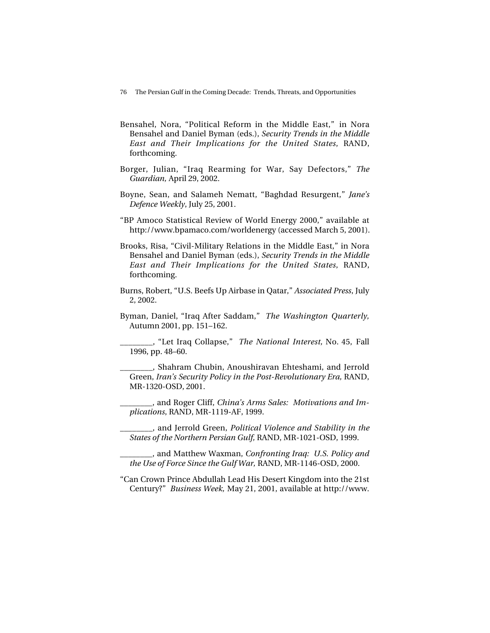- Bensahel, Nora, "Political Reform in the Middle East," in Nora Bensahel and Daniel Byman (eds.), *Security Trends in the Middle East and Their Implications for the United States*, RAND, forthcoming.
- Borger, Julian, "Iraq Rearming for War, Say Defectors," *The Guardian,* April 29, 2002.
- Boyne, Sean, and Salameh Nematt, "Baghdad Resurgent," *Jane's Defence Weekly*, July 25, 2001.
- "BP Amoco Statistical Review of World Energy 2000," available at http://www.bpamaco.com/worldenergy (accessed March 5, 2001).
- Brooks, Risa, "Civil-Military Relations in the Middle East," in Nora Bensahel and Daniel Byman (eds.), *Security Trends in the Middle East and Their Implications for the United States*, RAND, forthcoming.
- Burns, Robert, "U.S. Beefs Up Airbase in Qatar," *Associated Press*, July 2, 2002.
- Byman, Daniel, "Iraq After Saddam," *The Washington Quarterly,* Autumn 2001, pp. 151–162.
- \_\_\_\_\_\_\_\_, "Let Iraq Collapse," *The National Interest,* No. 45, Fall 1996, pp. 48–60.
- \_\_\_\_\_\_\_\_, Shahram Chubin, Anoushiravan Ehteshami, and Jerrold Green, *Iran's Security Policy in the Post-Revolutionary Era,* RAND, MR-1320-OSD, 2001.
- \_\_\_\_\_\_\_\_, and Roger Cliff, *China's Arms Sales: Motivations and Implications*, RAND, MR-1119-AF, 1999.
- \_\_\_\_\_\_\_\_, and Jerrold Green, *Political Violence and Stability in the States of the Northern Persian Gulf,* RAND, MR-1021-OSD, 1999.
- \_\_\_\_\_\_\_\_, and Matthew Waxman, *Confronting Iraq: U.S. Policy and the Use of Force Since the Gulf War,* RAND, MR-1146-OSD, 2000.
- "Can Crown Prince Abdullah Lead His Desert Kingdom into the 21st Century?" *Business Week,* May 21, 2001, available at http://www.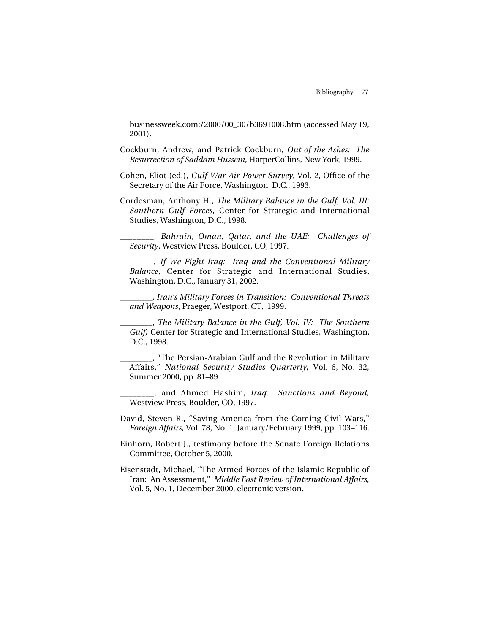businessweek.com:/2000/00\_30/b3691008.htm (accessed May 19, 2001).

- Cockburn, Andrew, and Patrick Cockburn, *Out of the Ashes: The Resurrection of Saddam Hussein,* HarperCollins, New York, 1999.
- Cohen, Eliot (ed.), *Gulf War Air Power Survey*, Vol. 2, Office of the Secretary of the Air Force, Washington, D.C., 1993.
- Cordesman, Anthony H., *The Military Balance in the Gulf, Vol. III: Southern Gulf Forces,* Center for Strategic and International Studies, Washington, D.C., 1998.
- \_\_\_\_\_\_\_\_, *Bahrain, Oman, Qatar, and the UAE: Challenges of Security*, Westview Press, Boulder, CO, 1997.
- \_\_\_\_\_\_\_\_, *If We Fight Iraq: Iraq and the Conventional Military Balance*, Center for Strategic and International Studies, Washington, D.C., January 31, 2002.
- \_\_\_\_\_\_\_\_, *Iran's Military Forces in Transition: Conventional Threats and Weapons*, Praeger, Westport, CT, 1999.

\_\_\_\_\_\_\_\_, *The Military Balance in the Gulf, Vol. IV: The Southern Gulf,* Center for Strategic and International Studies, Washington, D.C., 1998.

\_\_\_\_\_\_\_\_, "The Persian-Arabian Gulf and the Revolution in Military Affairs," *National Security Studies Quarterly,* Vol. 6, No. 32*,* Summer 2000, pp. 81–89.

\_\_\_\_\_\_\_\_, and Ahmed Hashim, *Iraq: Sanctions and Beyond,* Westview Press, Boulder, CO, 1997.

- David, Steven R., "Saving America from the Coming Civil Wars," *Foreign Affairs,* Vol. 78, No. 1, January/February 1999, pp. 103–116.
- Einhorn, Robert J., testimony before the Senate Foreign Relations Committee, October 5, 2000.
- Eisenstadt, Michael, "The Armed Forces of the Islamic Republic of Iran: An Assessment," *Middle East Review of International Affairs,* Vol. 5, No. 1, December 2000, electronic version.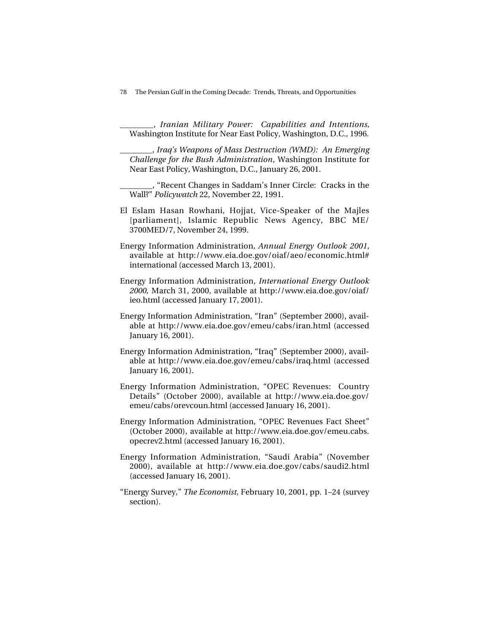\_\_\_\_\_\_\_\_, *Iranian Military Power: Capabilities and Intentions,* Washington Institute for Near East Policy, Washington, D.C., 1996.

\_\_\_\_\_\_\_\_, *Iraq's Weapons of Mass Destruction (WMD): An Emerging Challenge for the Bush Administration*, Washington Institute for Near East Policy, Washington, D.C., January 26, 2001.

\_\_\_\_\_\_\_\_, "Recent Changes in Saddam's Inner Circle: Cracks in the Wall?" *Policywatch* 22, November 22, 1991.

- El Eslam Hasan Rowhani, Hojjat, Vice-Speaker of the Majles [parliament], Islamic Republic News Agency, BBC ME/ 3700MED/7, November 24, 1999.
- Energy Information Administration, *Annual Energy Outlook 2001*, available at http://www.eia.doe.gov/oiaf/aeo/economic.html# international (accessed March 13, 2001).
- Energy Information Administration, *International Energy Outlook 2000,* March 31, 2000, available at http://www.eia.doe.gov/oiaf/ ieo.html (accessed January 17, 2001).
- Energy Information Administration, "Iran" (September 2000), available at http://www.eia.doe.gov/emeu/cabs/iran.html (accessed January 16, 2001).
- Energy Information Administration, "Iraq" (September 2000), available at http://www.eia.doe.gov/emeu/cabs/iraq.html (accessed January 16, 2001).
- Energy Information Administration, "OPEC Revenues: Country Details" (October 2000), available at http://www.eia.doe.gov/ emeu/cabs/orevcoun.html (accessed January 16, 2001).
- Energy Information Administration, "OPEC Revenues Fact Sheet" (October 2000), available at http://www.eia.doe.gov/emeu.cabs. opecrev2.html (accessed January 16, 2001).
- Energy Information Administration, "Saudi Arabia" (November 2000), available at http://www.eia.doe.gov/cabs/saudi2.html (accessed January 16, 2001).
- "Energy Survey," *The Economist,* February 10, 2001, pp. 1–24 (survey section).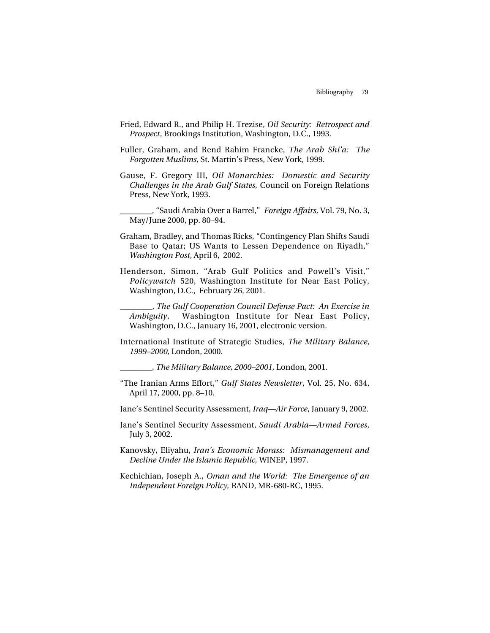- Fried, Edward R., and Philip H. Trezise, *Oil Security: Retrospect and Prospect*, Brookings Institution, Washington, D.C., 1993.
- Fuller, Graham, and Rend Rahim Francke, *The Arab Shi'a: The Forgotten Muslims,* St. Martin's Press, New York, 1999.
- Gause, F. Gregory III, *Oil Monarchies: Domestic and Security Challenges in the Arab Gulf States,* Council on Foreign Relations Press, New York, 1993.
- \_\_\_\_\_\_\_\_, "Saudi Arabia Over a Barrel," *Foreign Affairs,* Vol. 79, No. 3, May/June 2000, pp. 80–94.
- Graham, Bradley, and Thomas Ricks, "Contingency Plan Shifts Saudi Base to Qatar; US Wants to Lessen Dependence on Riyadh," *Washington Post*, April 6, 2002.
- Henderson, Simon, "Arab Gulf Politics and Powell's Visit," *Policywatch* 520, Washington Institute for Near East Policy, Washington, D.C., February 26, 2001.
	- \_\_\_\_\_\_\_\_, *The Gulf Cooperation Council Defense Pact: An Exercise in Ambiguity*, Washington Institute for Near East Policy, Washington, D.C., January 16, 2001, electronic version.
- International Institute of Strategic Studies, *The Military Balance, 1999–2000,* London, 2000.
	- \_\_\_\_\_\_\_\_, *The Military Balance, 2000–2001,* London, 2001.
- "The Iranian Arms Effort," *Gulf States Newsletter*, Vol. 25, No. 634, April 17, 2000, pp. 8–10.
- Jane's Sentinel Security Assessment, *Iraq—Air Force*, January 9, 2002.
- Jane's Sentinel Security Assessment, *Saudi Arabia—Armed Forces*, July 3, 2002.
- Kanovsky, Eliyahu, *Iran's Economic Morass: Mismanagement and Decline Under the Islamic Republic,* WINEP, 1997.
- Kechichian, Joseph A., *Oman and the World: The Emergence of an Independent Foreign Policy,* RAND, MR-680-RC, 1995.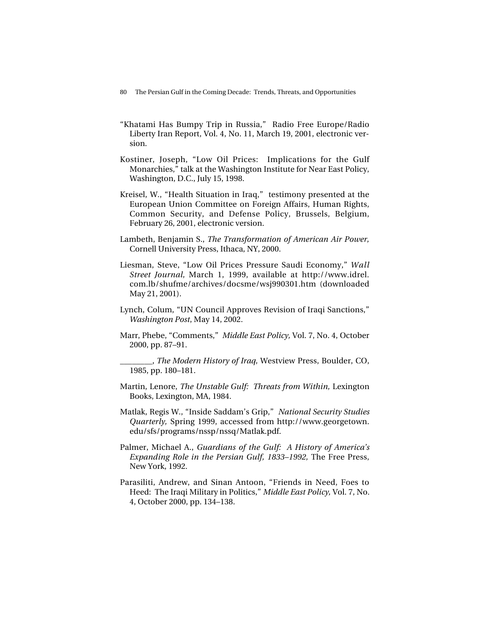- 80 The Persian Gulf in the Coming Decade: Trends, Threats, and Opportunities
- "Khatami Has Bumpy Trip in Russia," Radio Free Europe/Radio Liberty Iran Report, Vol. 4, No. 11, March 19, 2001, electronic version.
- Kostiner, Joseph, "Low Oil Prices: Implications for the Gulf Monarchies," talk at the Washington Institute for Near East Policy, Washington, D.C., July 15, 1998.
- Kreisel, W., "Health Situation in Iraq," testimony presented at the European Union Committee on Foreign Affairs, Human Rights, Common Security, and Defense Policy, Brussels, Belgium, February 26, 2001, electronic version.
- Lambeth, Benjamin S., *The Transformation of American Air Power,* Cornell University Press, Ithaca, NY, 2000.
- Liesman, Steve, "Low Oil Prices Pressure Saudi Economy," *Wall Street Journal,* March 1, 1999, available at http://www.idrel. com.lb/shufme/archives/docsme/wsj990301.htm (downloaded May 21, 2001).
- Lynch, Colum, "UN Council Approves Revision of Iraqi Sanctions," *Washington Post*, May 14, 2002.
- Marr, Phebe, "Comments," *Middle East Policy,* Vol. 7, No. 4, October 2000, pp. 87–91.

\_\_\_\_\_\_\_\_, *The Modern History of Iraq,* Westview Press, Boulder, CO, 1985, pp. 180–181.

- Martin, Lenore, *The Unstable Gulf: Threats from Within,* Lexington Books, Lexington, MA, 1984.
- Matlak, Regis W., "Inside Saddam's Grip," *National Security Studies Quarterly,* Spring 1999, accessed from http://www.georgetown. edu/sfs/programs/nssp/nssq/Matlak.pdf.
- Palmer, Michael A., *Guardians of the Gulf: A History of America's Expanding Role in the Persian Gulf, 1833–1992,* The Free Press, New York, 1992.
- Parasiliti, Andrew, and Sinan Antoon, "Friends in Need, Foes to Heed: The Iraqi Military in Politics," *Middle East Policy,* Vol. 7, No. 4, October 2000, pp. 134–138.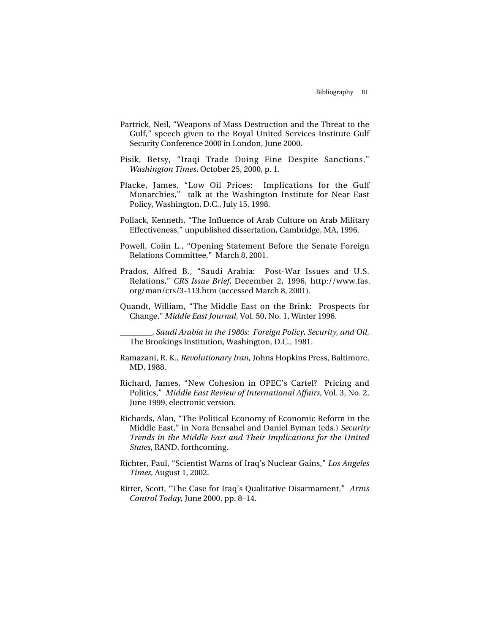- Partrick, Neil, "Weapons of Mass Destruction and the Threat to the Gulf," speech given to the Royal United Services Institute Gulf Security Conference 2000 in London, June 2000.
- Pisik, Betsy, "Iraqi Trade Doing Fine Despite Sanctions," *Washington Times*, October 25, 2000, p. 1.
- Placke, James, "Low Oil Prices: Implications for the Gulf Monarchies," talk at the Washington Institute for Near East Policy, Washington, D.C., July 15, 1998.
- Pollack, Kenneth, "The Influence of Arab Culture on Arab Military Effectiveness," unpublished dissertation, Cambridge, MA, 1996.
- Powell, Colin L., "Opening Statement Before the Senate Foreign Relations Committee," March 8, 2001.
- Prados, Alfred B., "Saudi Arabia: Post-War Issues and U.S. Relations," *CRS Issue Brief,* December 2, 1996, http://www.fas. org/man/crs/3-113.htm (accessed March 8, 2001).
- Quandt, William, "The Middle East on the Brink: Prospects for Change," *Middle East Journal,* Vol. 50, No. 1, Winter 1996.

\_\_\_\_\_\_\_\_, *Saudi Arabia in the 1980s: Foreign Policy, Security, and Oil,* The Brookings Institution, Washington, D.C., 1981.

- Ramazani, R. K., *Revolutionary Iran,* Johns Hopkins Press, Baltimore, MD, 1988.
- Richard, James, "New Cohesion in OPEC's Cartel? Pricing and Politics," *Middle East Review of International Affairs*, Vol. 3, No. 2, June 1999, electronic version.
- Richards, Alan, "The Political Economy of Economic Reform in the Middle East," in Nora Bensahel and Daniel Byman (eds.) *Security Trends in the Middle East and Their Implications for the United States*, RAND, forthcoming.
- Richter, Paul, "Scientist Warns of Iraq's Nuclear Gains," *Los Angeles Times,* August 1, 2002.
- Ritter, Scott, "The Case for Iraq's Qualitative Disarmament," *Arms Control Today,* June 2000, pp. 8–14.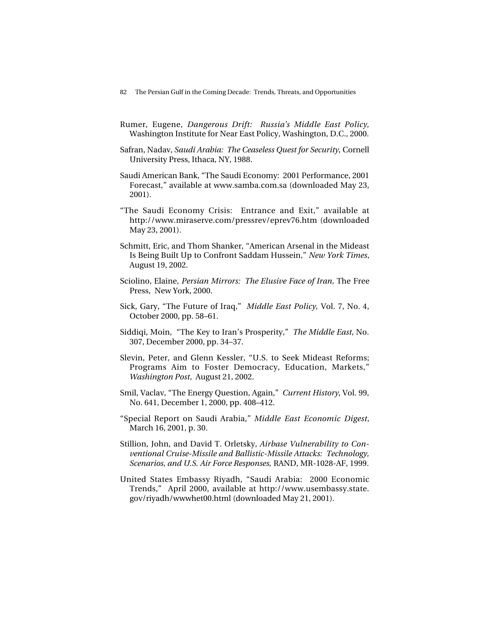- Rumer, Eugene, *Dangerous Drift: Russia's Middle East Policy,* Washington Institute for Near East Policy, Washington, D.C., 2000.
- Safran, Nadav, *Saudi Arabia: The Ceaseless Quest for Security,* Cornell University Press, Ithaca, NY, 1988.
- Saudi American Bank, "The Saudi Economy: 2001 Performance, 2001 Forecast," available at www.samba.com.sa (downloaded May 23, 2001).
- "The Saudi Economy Crisis: Entrance and Exit," available at http://www.miraserve.com/pressrev/eprev76.htm (downloaded May 23, 2001).
- Schmitt, Eric, and Thom Shanker, "American Arsenal in the Mideast Is Being Built Up to Confront Saddam Hussein," *New York Times*, August 19, 2002.
- Sciolino, Elaine, *Persian Mirrors: The Elusive Face of Iran,* The Free Press, New York, 2000.
- Sick, Gary, "The Future of Iraq," *Middle East Policy,* Vol. 7, No. 4, October 2000, pp. 58–61.
- Siddiqi, Moin, "The Key to Iran's Prosperity," *The Middle East,* No. 307, December 2000, pp. 34–37.
- Slevin, Peter, and Glenn Kessler, "U.S. to Seek Mideast Reforms; Programs Aim to Foster Democracy, Education, Markets," *Washington Post*, August 21, 2002.
- Smil, Vaclav, "The Energy Question, Again," *Current History*, Vol. 99, No. 641, December 1, 2000, pp. 408–412.
- "Special Report on Saudi Arabia," *Middle East Economic Digest*, March 16, 2001, p. 30.
- Stillion, John, and David T. Orletsky, *Airbase Vulnerability to Conventional Cruise-Missile and Ballistic-Missile Attacks: Technology, Scenarios, and U.S. Air Force Responses,* RAND, MR-1028-AF, 1999.
- United States Embassy Riyadh, "Saudi Arabia: 2000 Economic Trends," April 2000, available at http://www.usembassy.state. gov/riyadh/wwwhet00.html (downloaded May 21, 2001).